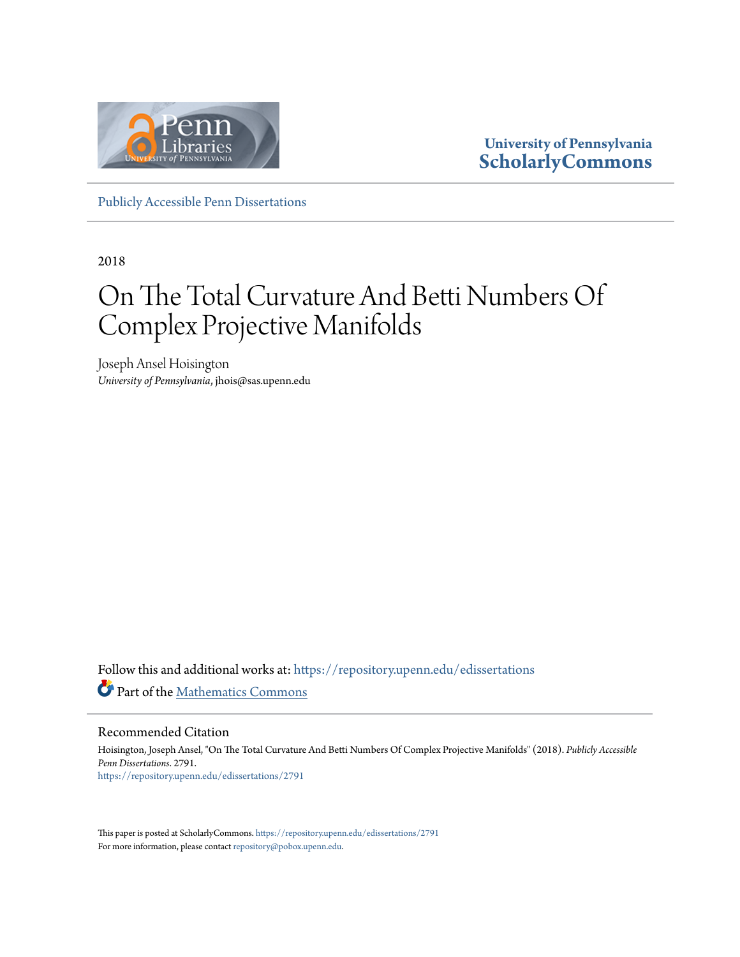

**University of Pennsylvania [ScholarlyCommons](https://repository.upenn.edu?utm_source=repository.upenn.edu%2Fedissertations%2F2791&utm_medium=PDF&utm_campaign=PDFCoverPages)**

[Publicly Accessible Penn Dissertations](https://repository.upenn.edu/edissertations?utm_source=repository.upenn.edu%2Fedissertations%2F2791&utm_medium=PDF&utm_campaign=PDFCoverPages)

2018

## On The Total Curvature And Betti Numbers Of Complex Projective Manifolds

Joseph Ansel Hoisington *University of Pennsylvania*, jhois@sas.upenn.edu

Follow this and additional works at: [https://repository.upenn.edu/edissertations](https://repository.upenn.edu/edissertations?utm_source=repository.upenn.edu%2Fedissertations%2F2791&utm_medium=PDF&utm_campaign=PDFCoverPages) Part of the [Mathematics Commons](http://network.bepress.com/hgg/discipline/174?utm_source=repository.upenn.edu%2Fedissertations%2F2791&utm_medium=PDF&utm_campaign=PDFCoverPages)

Recommended Citation

Hoisington, Joseph Ansel, "On The Total Curvature And Betti Numbers Of Complex Projective Manifolds" (2018). *Publicly Accessible Penn Dissertations*. 2791. [https://repository.upenn.edu/edissertations/2791](https://repository.upenn.edu/edissertations/2791?utm_source=repository.upenn.edu%2Fedissertations%2F2791&utm_medium=PDF&utm_campaign=PDFCoverPages)

This paper is posted at ScholarlyCommons. <https://repository.upenn.edu/edissertations/2791> For more information, please contact [repository@pobox.upenn.edu.](mailto:repository@pobox.upenn.edu)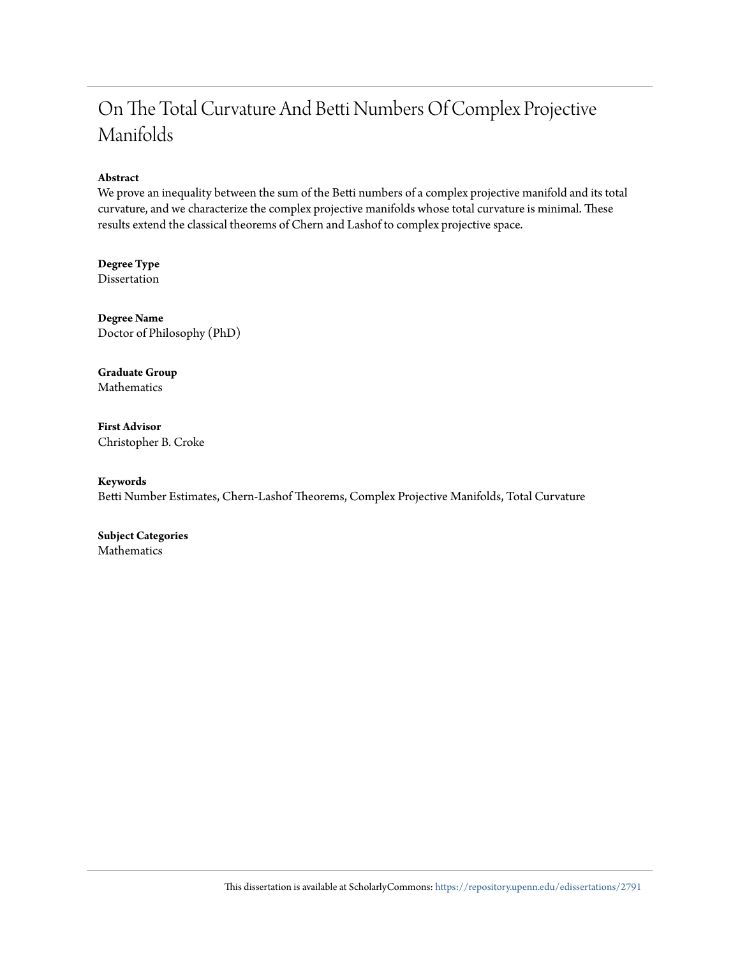#### On The Total Curvature And Betti Numbers Of Complex Projective Manifolds

#### **Abstract**

We prove an inequality between the sum of the Betti numbers of a complex projective manifold and its total curvature, and we characterize the complex projective manifolds whose total curvature is minimal. These results extend the classical theorems of Chern and Lashof to complex projective space.

**Degree Type** Dissertation

**Degree Name** Doctor of Philosophy (PhD)

**Graduate Group** Mathematics

**First Advisor** Christopher B. Croke

**Keywords** Betti Number Estimates, Chern-Lashof Theorems, Complex Projective Manifolds, Total Curvature

**Subject Categories** Mathematics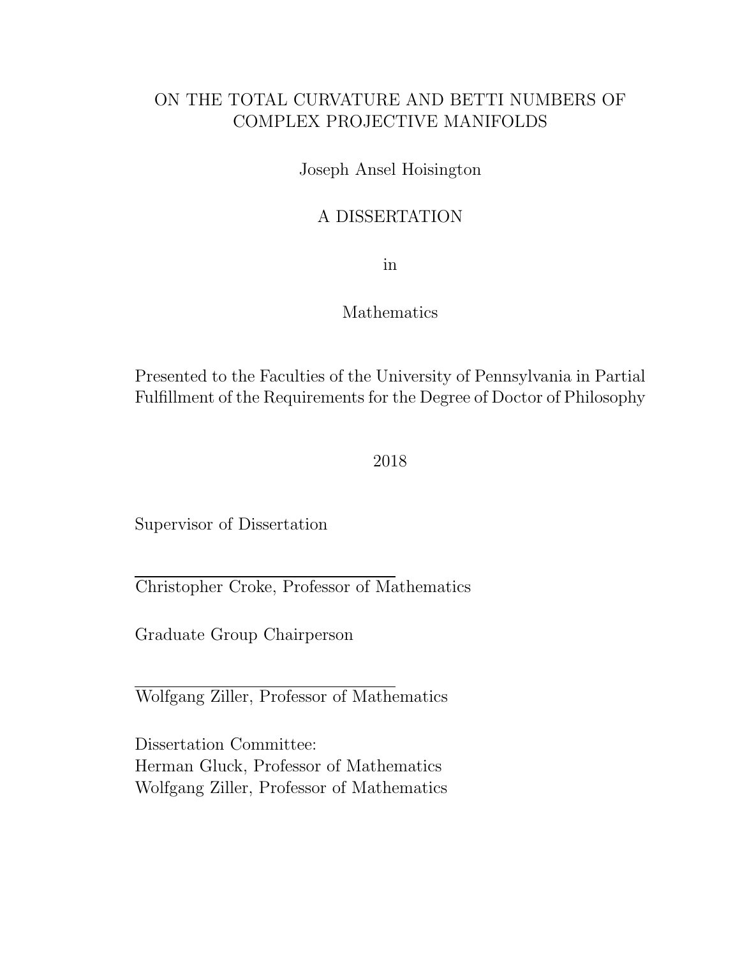#### ON THE TOTAL CURVATURE AND BETTI NUMBERS OF COMPLEX PROJECTIVE MANIFOLDS

Joseph Ansel Hoisington

#### A DISSERTATION

in

#### Mathematics

Presented to the Faculties of the University of Pennsylvania in Partial Fulfillment of the Requirements for the Degree of Doctor of Philosophy

2018

Supervisor of Dissertation

Christopher Croke, Professor of Mathematics

Graduate Group Chairperson

Wolfgang Ziller, Professor of Mathematics

Dissertation Committee: Herman Gluck, Professor of Mathematics Wolfgang Ziller, Professor of Mathematics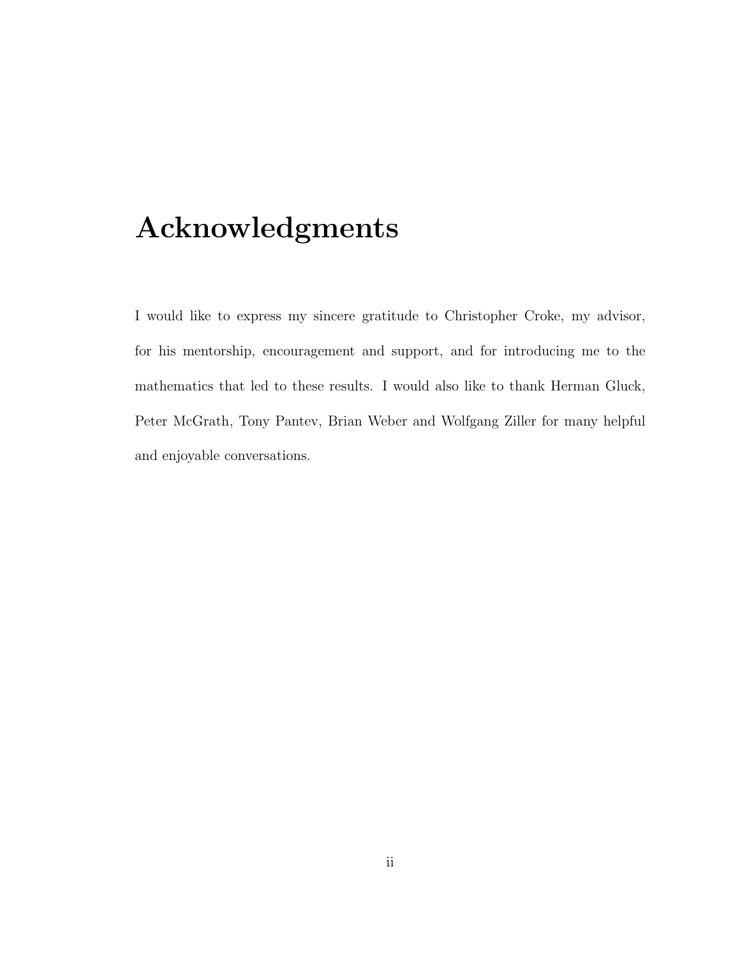## Acknowledgments

I would like to express my sincere gratitude to Christopher Croke, my advisor, for his mentorship, encouragement and support, and for introducing me to the mathematics that led to these results. I would also like to thank Herman Gluck, Peter McGrath, Tony Pantev, Brian Weber and Wolfgang Ziller for many helpful and enjoyable conversations.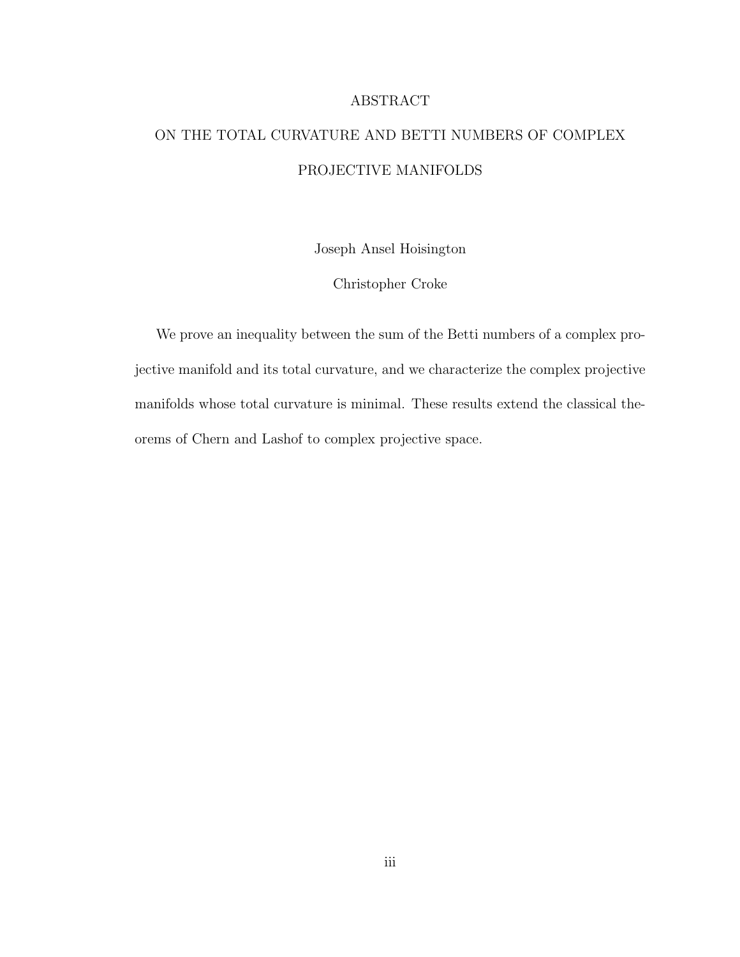#### ABSTRACT

### ON THE TOTAL CURVATURE AND BETTI NUMBERS OF COMPLEX PROJECTIVE MANIFOLDS

Joseph Ansel Hoisington

Christopher Croke

We prove an inequality between the sum of the Betti numbers of a complex projective manifold and its total curvature, and we characterize the complex projective manifolds whose total curvature is minimal. These results extend the classical theorems of Chern and Lashof to complex projective space.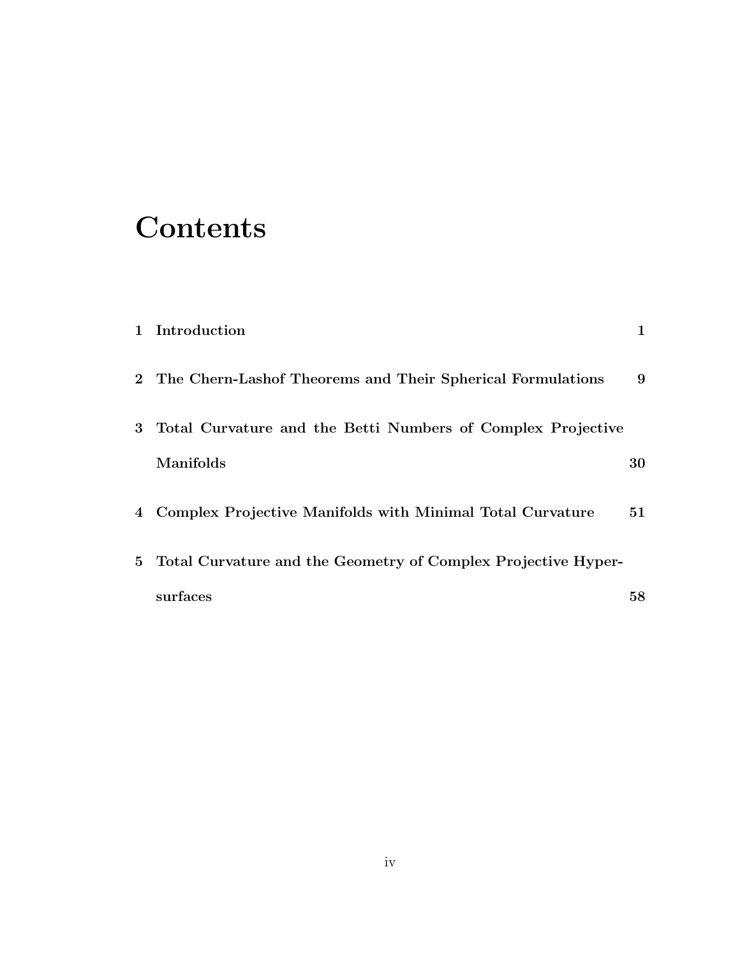# **Contents**

|                | 1 Introduction                                                  | 1  |
|----------------|-----------------------------------------------------------------|----|
|                | 2 The Chern-Lashof Theorems and Their Spherical Formulations    | 9  |
| 3 <sup>1</sup> | Total Curvature and the Betti Numbers of Complex Projective     |    |
|                | Manifolds                                                       | 30 |
| $\overline{4}$ | Complex Projective Manifolds with Minimal Total Curvature       | 51 |
|                | 5 Total Curvature and the Geometry of Complex Projective Hyper- |    |
|                | surfaces                                                        | 58 |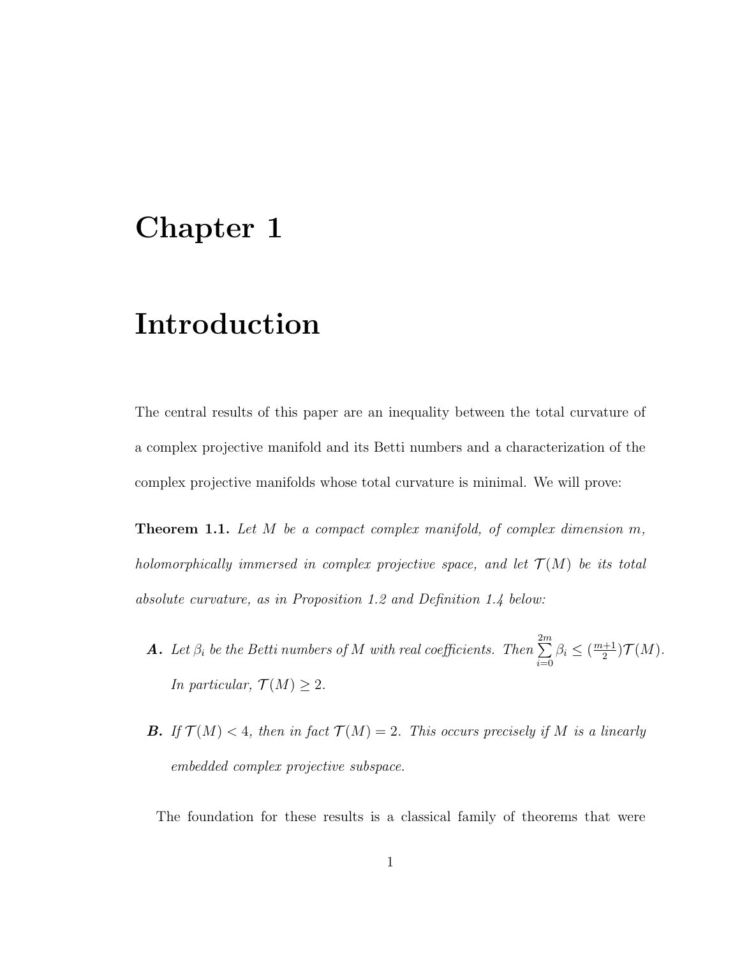## Chapter 1

## Introduction

The central results of this paper are an inequality between the total curvature of a complex projective manifold and its Betti numbers and a characterization of the complex projective manifolds whose total curvature is minimal. We will prove:

**Theorem 1.1.** Let M be a compact complex manifold, of complex dimension m, holomorphically immersed in complex projective space, and let  $\mathcal{T}(M)$  be its total absolute curvature, as in Proposition 1.2 and Definition 1.4 below:

- **A**. Let  $\beta_i$  be the Betti numbers of M with real coefficients. Then  $\sum^{2m}$  $i=0$  $\beta_i \leq (\frac{m+1}{2})$  $\frac{+1}{2}$ ) $\mathcal{T}(M)$ . In particular,  $\mathcal{T}(M) \geq 2$ .
- **B.** If  $\mathcal{T}(M) < 4$ , then in fact  $\mathcal{T}(M) = 2$ . This occurs precisely if M is a linearly embedded complex projective subspace.

The foundation for these results is a classical family of theorems that were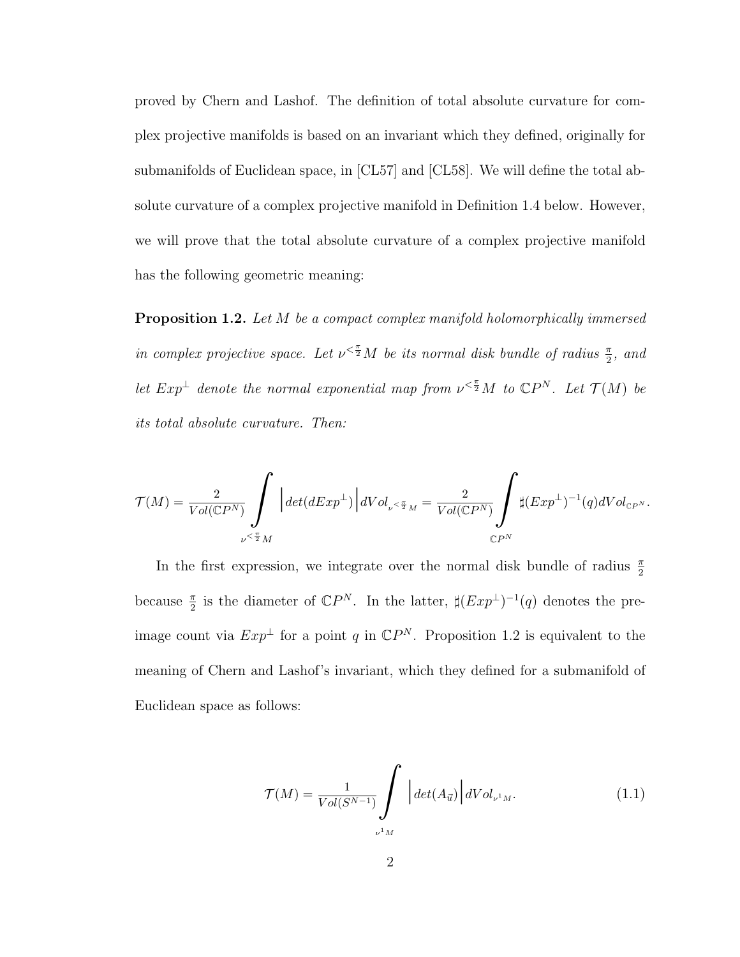proved by Chern and Lashof. The definition of total absolute curvature for complex projective manifolds is based on an invariant which they defined, originally for submanifolds of Euclidean space, in [CL57] and [CL58]. We will define the total absolute curvature of a complex projective manifold in Definition 1.4 below. However, we will prove that the total absolute curvature of a complex projective manifold has the following geometric meaning:

Proposition 1.2. Let M be a compact complex manifold holomorphically immersed in complex projective space. Let  $\nu^{\langle \frac{\pi}{2} M \rangle}$  be its normal disk bundle of radius  $\frac{\pi}{2}$ , and let  $Exp^{\perp}$  denote the normal exponential map from  $\nu^{\lt{\pi}} M$  to  $\mathbb{C}P^{N}$ . Let  $\mathcal{T}(M)$  be its total absolute curvature. Then:

$$
\mathcal{T}(M)=\frac{2}{Vol(\mathbb{C} P^N)}\int\limits_{\nu^{\leq \frac{\pi}{2}}M}\bigg|det(dExp^\perp)\bigg| dVol_{\nu^{\leq \frac{\pi}{2}}M}=\frac{2}{Vol(\mathbb{C} P^N)}\int\limits_{\mathbb{C} P^N}\sharp (Exp^\perp)^{-1}(q) dVol_{\mathbb{C} P^N}.
$$

In the first expression, we integrate over the normal disk bundle of radius  $\frac{\pi}{2}$ because  $\frac{\pi}{2}$  is the diameter of  $\mathbb{C}P^N$ . In the latter,  $\sharp (Exp^{\perp})^{-1}(q)$  denotes the preimage count via  $Exp^{\perp}$  for a point q in  $\mathbb{C}P^{N}$ . Proposition 1.2 is equivalent to the meaning of Chern and Lashof's invariant, which they defined for a submanifold of Euclidean space as follows:

$$
\mathcal{T}(M) = \frac{1}{Vol(S^{N-1})} \int \left| \det(A_{\vec{u}}) \right| dVol_{\nu^1 M}.
$$
 (1.1)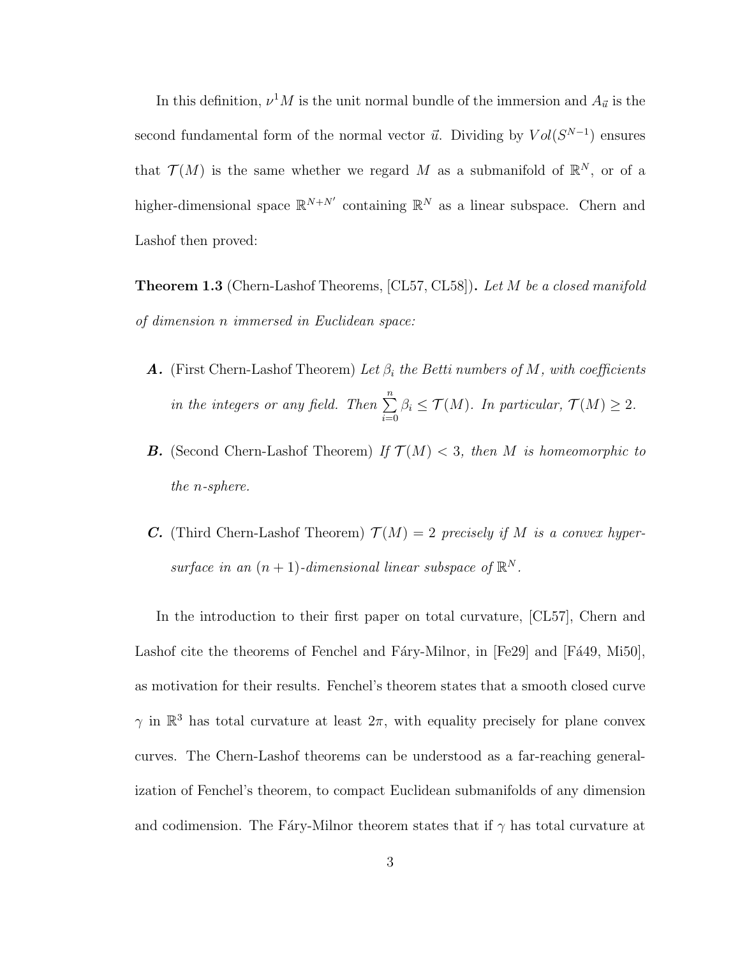In this definition,  $\nu^1 M$  is the unit normal bundle of the immersion and  $A_{\vec{u}}$  is the second fundamental form of the normal vector  $\vec{u}$ . Dividing by  $Vol(S^{N-1})$  ensures that  $\mathcal{T}(M)$  is the same whether we regard M as a submanifold of  $\mathbb{R}^N$ , or of a higher-dimensional space  $\mathbb{R}^{N+N'}$  containing  $\mathbb{R}^N$  as a linear subspace. Chern and Lashof then proved:

**Theorem 1.3** (Chern-Lashof Theorems,  $[CL57, CL58]$ ). Let M be a closed manifold of dimension n immersed in Euclidean space:

- **A.** (First Chern-Lashof Theorem) Let  $\beta_i$  the Betti numbers of M, with coefficients in the integers or any field. Then  $\sum^{n}$  $i=0$  $\beta_i \leq \mathcal{T}(M)$ . In particular,  $\mathcal{T}(M) \geq 2$ .
- **B.** (Second Chern-Lashof Theorem) If  $\mathcal{T}(M) < 3$ , then M is homeomorphic to the n-sphere.
- **C.** (Third Chern-Lashof Theorem)  $\mathcal{T}(M) = 2$  precisely if M is a convex hypersurface in an  $(n + 1)$ -dimensional linear subspace of  $\mathbb{R}^N$ .

In the introduction to their first paper on total curvature, [CL57], Chern and Lashof cite the theorems of Fenchel and Fáry-Milnor, in  $[Fe29]$  and  $[Fe49, Mi50]$ , as motivation for their results. Fenchel's theorem states that a smooth closed curve  $\gamma$  in  $\mathbb{R}^3$  has total curvature at least  $2\pi$ , with equality precisely for plane convex curves. The Chern-Lashof theorems can be understood as a far-reaching generalization of Fenchel's theorem, to compact Euclidean submanifolds of any dimension and codimension. The Fáry-Milnor theorem states that if  $\gamma$  has total curvature at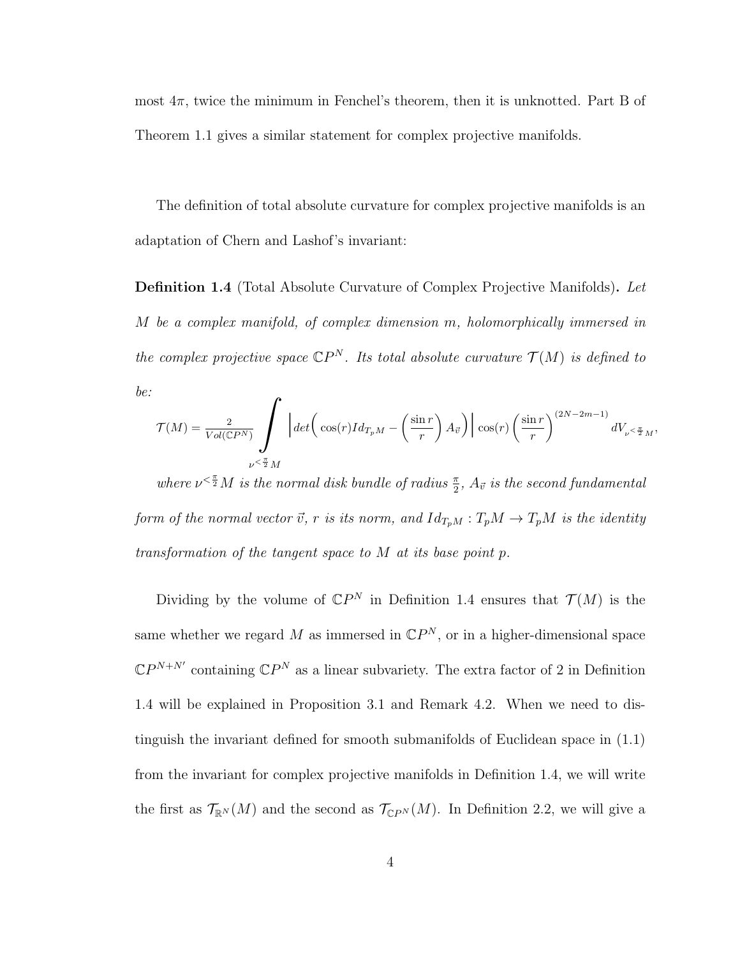most  $4\pi$ , twice the minimum in Fenchel's theorem, then it is unknotted. Part B of Theorem 1.1 gives a similar statement for complex projective manifolds.

The definition of total absolute curvature for complex projective manifolds is an adaptation of Chern and Lashof's invariant:

**Definition 1.4** (Total Absolute Curvature of Complex Projective Manifolds). Let M be a complex manifold, of complex dimension m, holomorphically immersed in the complex projective space  $\mathbb{C}P^N$ . Its total absolute curvature  $\mathcal{T}(M)$  is defined to be: r

$$
\mathcal{T}(M) = \frac{2}{Vol(\mathbb{C}P^N)} \int \left| \det \left( \cos(r)Id_{T_pM} - \left( \frac{\sin r}{r} \right) A_{\vec{v}} \right) \right| \cos(r) \left( \frac{\sin r}{r} \right)^{(2N-2m-1)} dV_{\nu} < \frac{\pi}{2} M,
$$

where  $\nu^{\leq \frac{\pi}{2}}M$  is the normal disk bundle of radius  $\frac{\pi}{2}$ ,  $A_{\vec{v}}$  is the second fundamental form of the normal vector  $\vec{v}$ , r is its norm, and  $Id_{T_pM} : T_pM \to T_pM$  is the identity transformation of the tangent space to M at its base point p.

Dividing by the volume of  $\mathbb{C}P^N$  in Definition 1.4 ensures that  $\mathcal{T}(M)$  is the same whether we regard M as immersed in  $\mathbb{C}P^N$ , or in a higher-dimensional space  $\mathbb{C}P^{N+N'}$  containing  $\mathbb{C}P^N$  as a linear subvariety. The extra factor of 2 in Definition 1.4 will be explained in Proposition 3.1 and Remark 4.2. When we need to distinguish the invariant defined for smooth submanifolds of Euclidean space in (1.1) from the invariant for complex projective manifolds in Definition 1.4, we will write the first as  $\mathcal{T}_{\mathbb{R}^N}(M)$  and the second as  $\mathcal{T}_{\mathbb{C}P^N}(M)$ . In Definition 2.2, we will give a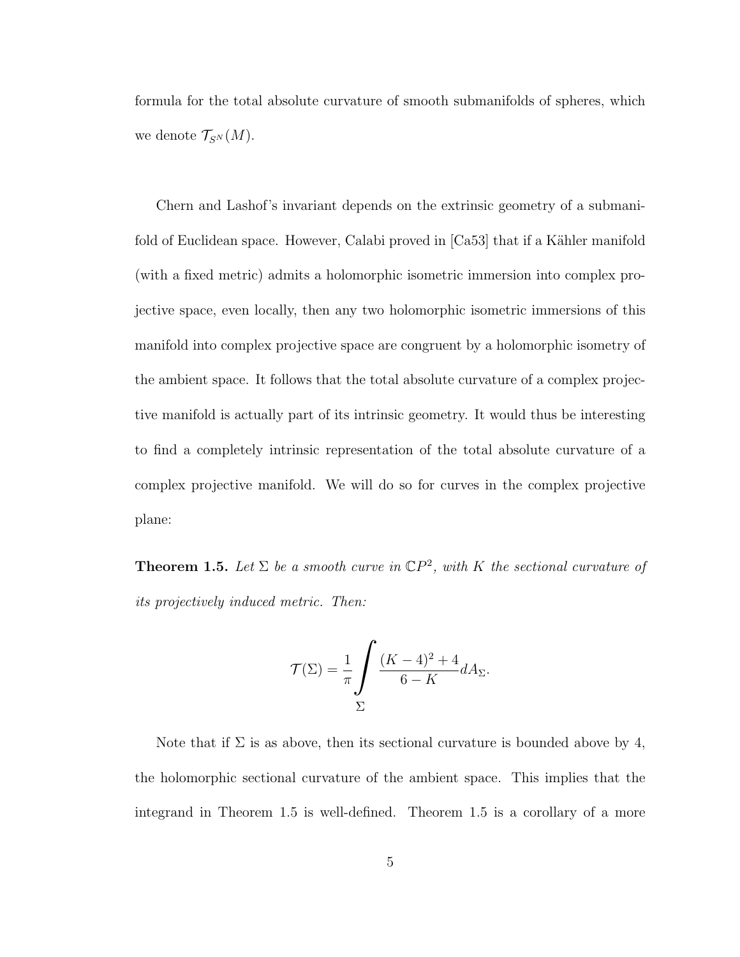formula for the total absolute curvature of smooth submanifolds of spheres, which we denote  $\mathcal{T}_{S^{N}}(M)$ .

Chern and Lashof's invariant depends on the extrinsic geometry of a submanifold of Euclidean space. However, Calabi proved in  $[Ca53]$  that if a Kähler manifold (with a fixed metric) admits a holomorphic isometric immersion into complex projective space, even locally, then any two holomorphic isometric immersions of this manifold into complex projective space are congruent by a holomorphic isometry of the ambient space. It follows that the total absolute curvature of a complex projective manifold is actually part of its intrinsic geometry. It would thus be interesting to find a completely intrinsic representation of the total absolute curvature of a complex projective manifold. We will do so for curves in the complex projective plane:

**Theorem 1.5.** Let  $\Sigma$  be a smooth curve in  $\mathbb{C}P^2$ , with K the sectional curvature of its projectively induced metric. Then:

$$
\mathcal{T}(\Sigma) = \frac{1}{\pi} \int \frac{(K-4)^2 + 4}{6 - K} dA_{\Sigma}.
$$

Note that if  $\Sigma$  is as above, then its sectional curvature is bounded above by 4, the holomorphic sectional curvature of the ambient space. This implies that the integrand in Theorem 1.5 is well-defined. Theorem 1.5 is a corollary of a more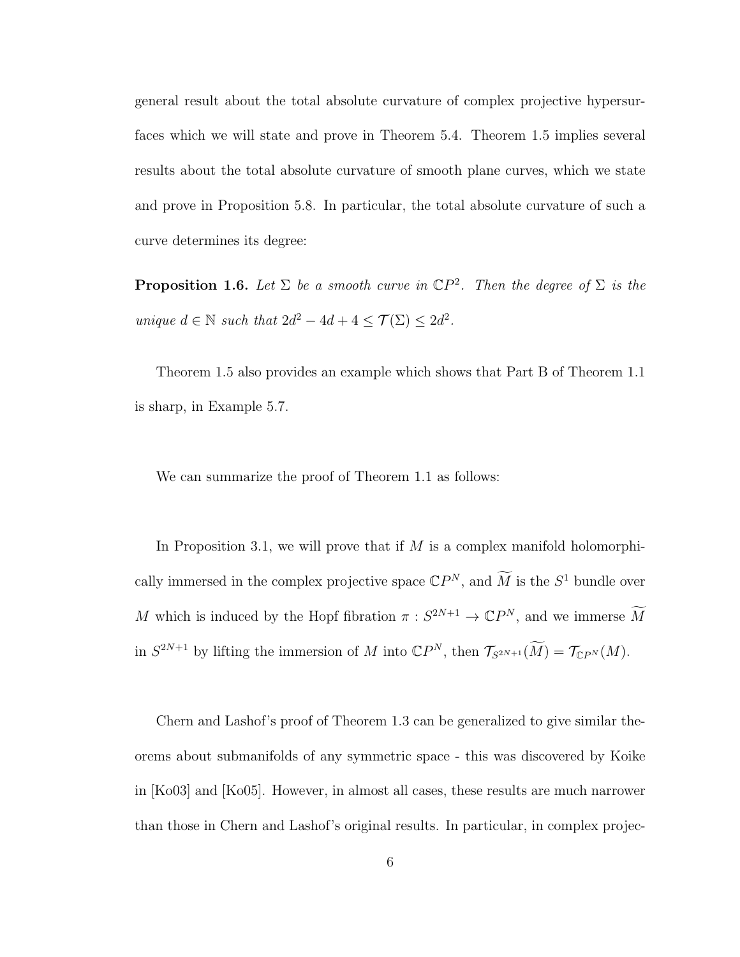general result about the total absolute curvature of complex projective hypersurfaces which we will state and prove in Theorem 5.4. Theorem 1.5 implies several results about the total absolute curvature of smooth plane curves, which we state and prove in Proposition 5.8. In particular, the total absolute curvature of such a curve determines its degree:

**Proposition 1.6.** Let  $\Sigma$  be a smooth curve in  $\mathbb{C}P^2$ . Then the degree of  $\Sigma$  is the unique  $d \in \mathbb{N}$  such that  $2d^2 - 4d + 4 \leq \mathcal{T}(\Sigma) \leq 2d^2$ .

Theorem 1.5 also provides an example which shows that Part B of Theorem 1.1 is sharp, in Example 5.7.

We can summarize the proof of Theorem 1.1 as follows:

In Proposition 3.1, we will prove that if  $M$  is a complex manifold holomorphically immersed in the complex projective space  $\mathbb{C}P^N$ , and  $\widetilde{M}$  is the  $S^1$  bundle over M which is induced by the Hopf fibration  $\pi : S^{2N+1} \to \mathbb{C}P^N$ , and we immerse  $\widetilde{M}$ in  $S^{2N+1}$  by lifting the immersion of M into  $\mathbb{C}P^N$ , then  $\mathcal{T}_{S^{2N+1}}(\widetilde{M}) = \mathcal{T}_{\mathbb{C}P^N}(M)$ .

Chern and Lashof's proof of Theorem 1.3 can be generalized to give similar theorems about submanifolds of any symmetric space - this was discovered by Koike in [Ko03] and [Ko05]. However, in almost all cases, these results are much narrower than those in Chern and Lashof's original results. In particular, in complex projec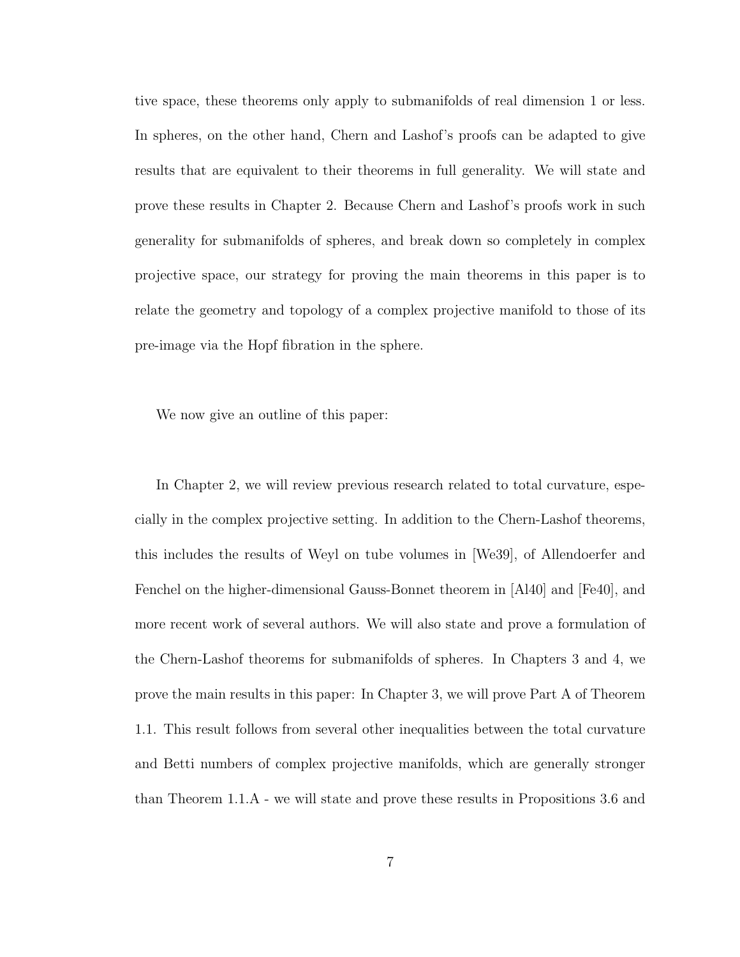tive space, these theorems only apply to submanifolds of real dimension 1 or less. In spheres, on the other hand, Chern and Lashof's proofs can be adapted to give results that are equivalent to their theorems in full generality. We will state and prove these results in Chapter 2. Because Chern and Lashof's proofs work in such generality for submanifolds of spheres, and break down so completely in complex projective space, our strategy for proving the main theorems in this paper is to relate the geometry and topology of a complex projective manifold to those of its pre-image via the Hopf fibration in the sphere.

We now give an outline of this paper:

In Chapter 2, we will review previous research related to total curvature, especially in the complex projective setting. In addition to the Chern-Lashof theorems, this includes the results of Weyl on tube volumes in [We39], of Allendoerfer and Fenchel on the higher-dimensional Gauss-Bonnet theorem in [Al40] and [Fe40], and more recent work of several authors. We will also state and prove a formulation of the Chern-Lashof theorems for submanifolds of spheres. In Chapters 3 and 4, we prove the main results in this paper: In Chapter 3, we will prove Part A of Theorem 1.1. This result follows from several other inequalities between the total curvature and Betti numbers of complex projective manifolds, which are generally stronger than Theorem 1.1.A - we will state and prove these results in Propositions 3.6 and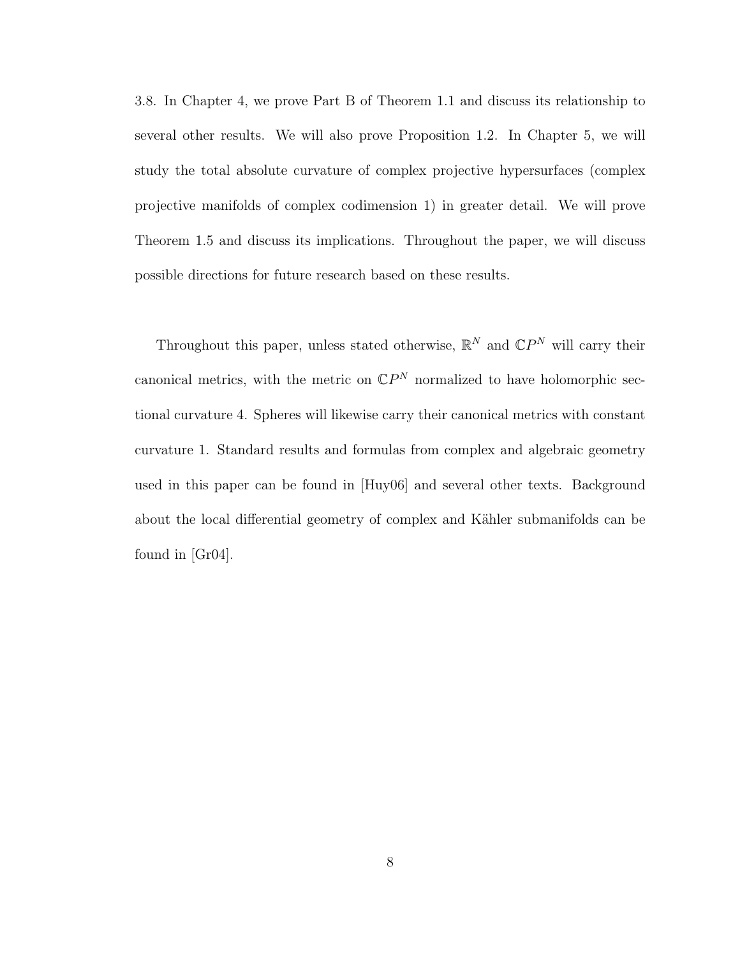3.8. In Chapter 4, we prove Part B of Theorem 1.1 and discuss its relationship to several other results. We will also prove Proposition 1.2. In Chapter 5, we will study the total absolute curvature of complex projective hypersurfaces (complex projective manifolds of complex codimension 1) in greater detail. We will prove Theorem 1.5 and discuss its implications. Throughout the paper, we will discuss possible directions for future research based on these results.

Throughout this paper, unless stated otherwise,  $\mathbb{R}^N$  and  $\mathbb{C}P^N$  will carry their canonical metrics, with the metric on  $\mathbb{C}P^N$  normalized to have holomorphic sectional curvature 4. Spheres will likewise carry their canonical metrics with constant curvature 1. Standard results and formulas from complex and algebraic geometry used in this paper can be found in [Huy06] and several other texts. Background about the local differential geometry of complex and Kähler submanifolds can be found in [Gr04].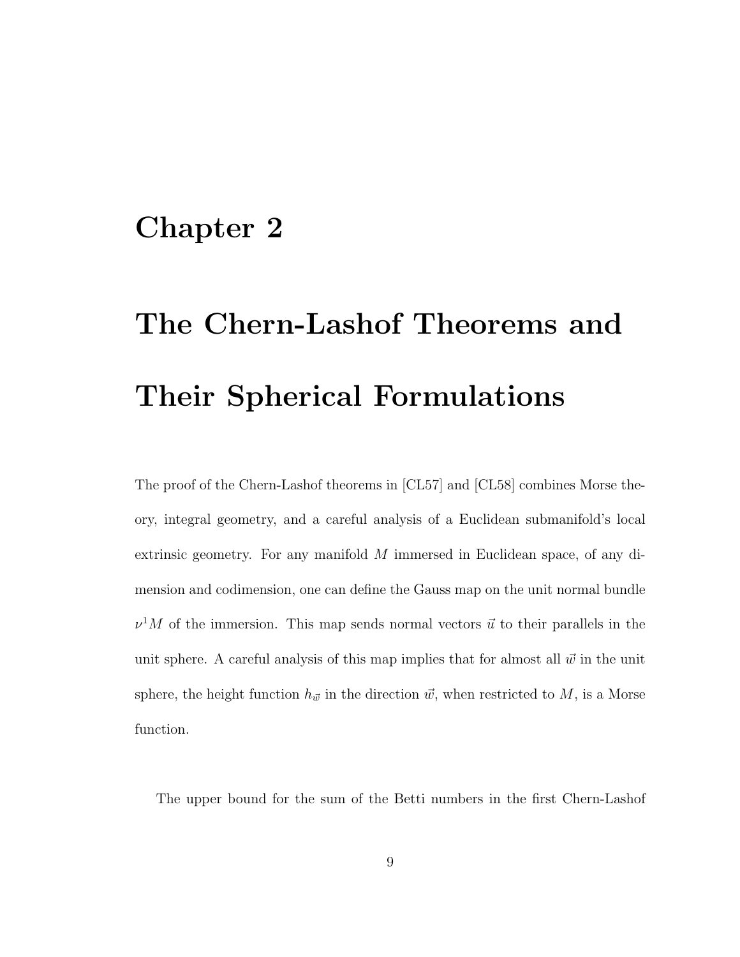## Chapter 2

# The Chern-Lashof Theorems and Their Spherical Formulations

The proof of the Chern-Lashof theorems in [CL57] and [CL58] combines Morse theory, integral geometry, and a careful analysis of a Euclidean submanifold's local extrinsic geometry. For any manifold  $M$  immersed in Euclidean space, of any dimension and codimension, one can define the Gauss map on the unit normal bundle  $\nu^1 M$  of the immersion. This map sends normal vectors  $\vec{u}$  to their parallels in the unit sphere. A careful analysis of this map implies that for almost all  $\vec{w}$  in the unit sphere, the height function  $h_{\vec{w}}$  in the direction  $\vec{w}$ , when restricted to M, is a Morse function.

The upper bound for the sum of the Betti numbers in the first Chern-Lashof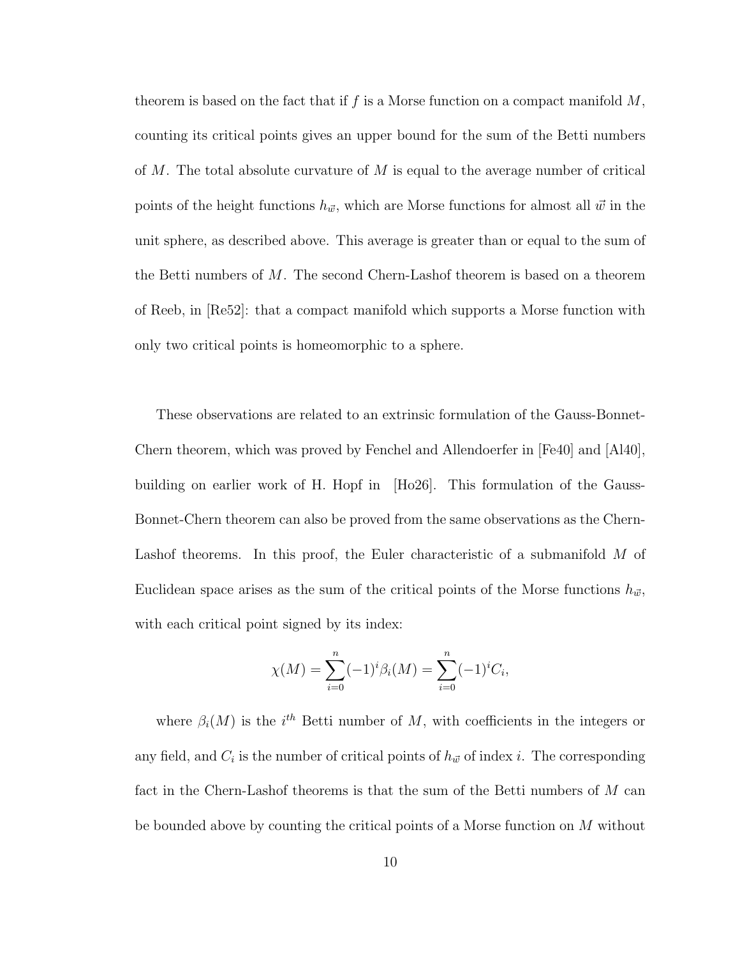theorem is based on the fact that if f is a Morse function on a compact manifold  $M$ , counting its critical points gives an upper bound for the sum of the Betti numbers of M. The total absolute curvature of M is equal to the average number of critical points of the height functions  $h_{\vec{w}}$ , which are Morse functions for almost all  $\vec{w}$  in the unit sphere, as described above. This average is greater than or equal to the sum of the Betti numbers of M. The second Chern-Lashof theorem is based on a theorem of Reeb, in [Re52]: that a compact manifold which supports a Morse function with only two critical points is homeomorphic to a sphere.

These observations are related to an extrinsic formulation of the Gauss-Bonnet-Chern theorem, which was proved by Fenchel and Allendoerfer in [Fe40] and [Al40], building on earlier work of H. Hopf in [Ho26]. This formulation of the Gauss-Bonnet-Chern theorem can also be proved from the same observations as the Chern-Lashof theorems. In this proof, the Euler characteristic of a submanifold M of Euclidean space arises as the sum of the critical points of the Morse functions  $h_{\vec{w}}$ , with each critical point signed by its index:

$$
\chi(M) = \sum_{i=0}^{n} (-1)^{i} \beta_{i}(M) = \sum_{i=0}^{n} (-1)^{i} C_{i},
$$

where  $\beta_i(M)$  is the i<sup>th</sup> Betti number of M, with coefficients in the integers or any field, and  $C_i$  is the number of critical points of  $h_{\vec{w}}$  of index i. The corresponding fact in the Chern-Lashof theorems is that the sum of the Betti numbers of  $M$  can be bounded above by counting the critical points of a Morse function on M without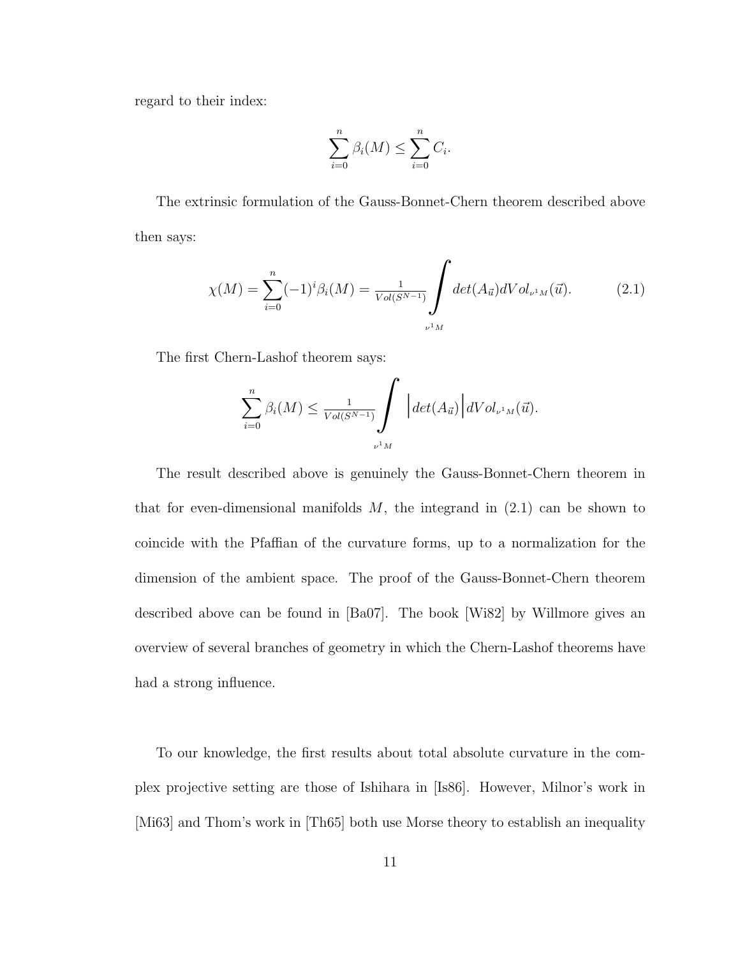regard to their index:

$$
\sum_{i=0}^{n} \beta_i(M) \le \sum_{i=0}^{n} C_i.
$$

The extrinsic formulation of the Gauss-Bonnet-Chern theorem described above then says:

$$
\chi(M) = \sum_{i=0}^{n} (-1)^{i} \beta_{i}(M) = \frac{1}{Vol(S^{N-1})} \int \det(A_{\vec{u}}) dVol_{\nu^{1}M}(\vec{u}). \tag{2.1}
$$

The first Chern-Lashof theorem says:

$$
\sum_{i=0}^n \beta_i(M) \leq \frac{1}{Vol(S^{N-1})} \int \left| \det(A_{\vec{u}}) \right| dVol_{\nu^1 M}(\vec{u}).
$$

The result described above is genuinely the Gauss-Bonnet-Chern theorem in that for even-dimensional manifolds  $M$ , the integrand in  $(2.1)$  can be shown to coincide with the Pfaffian of the curvature forms, up to a normalization for the dimension of the ambient space. The proof of the Gauss-Bonnet-Chern theorem described above can be found in [Ba07]. The book [Wi82] by Willmore gives an overview of several branches of geometry in which the Chern-Lashof theorems have had a strong influence.

To our knowledge, the first results about total absolute curvature in the complex projective setting are those of Ishihara in [Is86]. However, Milnor's work in [Mi63] and Thom's work in [Th65] both use Morse theory to establish an inequality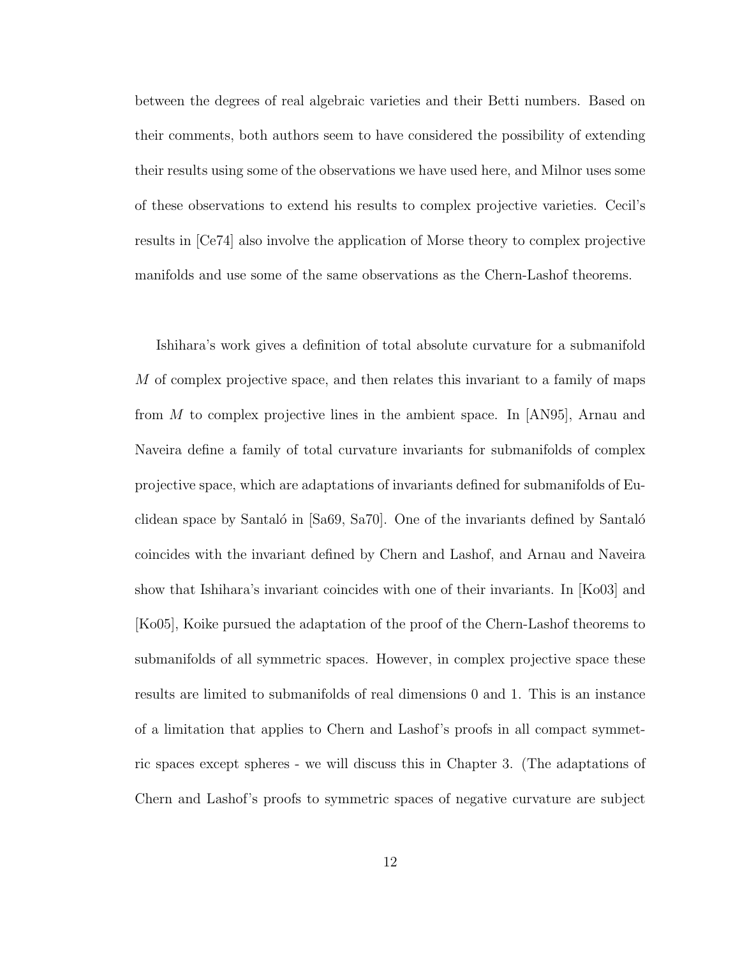between the degrees of real algebraic varieties and their Betti numbers. Based on their comments, both authors seem to have considered the possibility of extending their results using some of the observations we have used here, and Milnor uses some of these observations to extend his results to complex projective varieties. Cecil's results in [Ce74] also involve the application of Morse theory to complex projective manifolds and use some of the same observations as the Chern-Lashof theorems.

Ishihara's work gives a definition of total absolute curvature for a submanifold M of complex projective space, and then relates this invariant to a family of maps from M to complex projective lines in the ambient space. In [AN95], Arnau and Naveira define a family of total curvature invariants for submanifolds of complex projective space, which are adaptations of invariants defined for submanifolds of Euclidean space by Santaló in  $[Sa69, Sa70]$ . One of the invariants defined by Santaló coincides with the invariant defined by Chern and Lashof, and Arnau and Naveira show that Ishihara's invariant coincides with one of their invariants. In [Ko03] and [Ko05], Koike pursued the adaptation of the proof of the Chern-Lashof theorems to submanifolds of all symmetric spaces. However, in complex projective space these results are limited to submanifolds of real dimensions 0 and 1. This is an instance of a limitation that applies to Chern and Lashof's proofs in all compact symmetric spaces except spheres - we will discuss this in Chapter 3. (The adaptations of Chern and Lashof's proofs to symmetric spaces of negative curvature are subject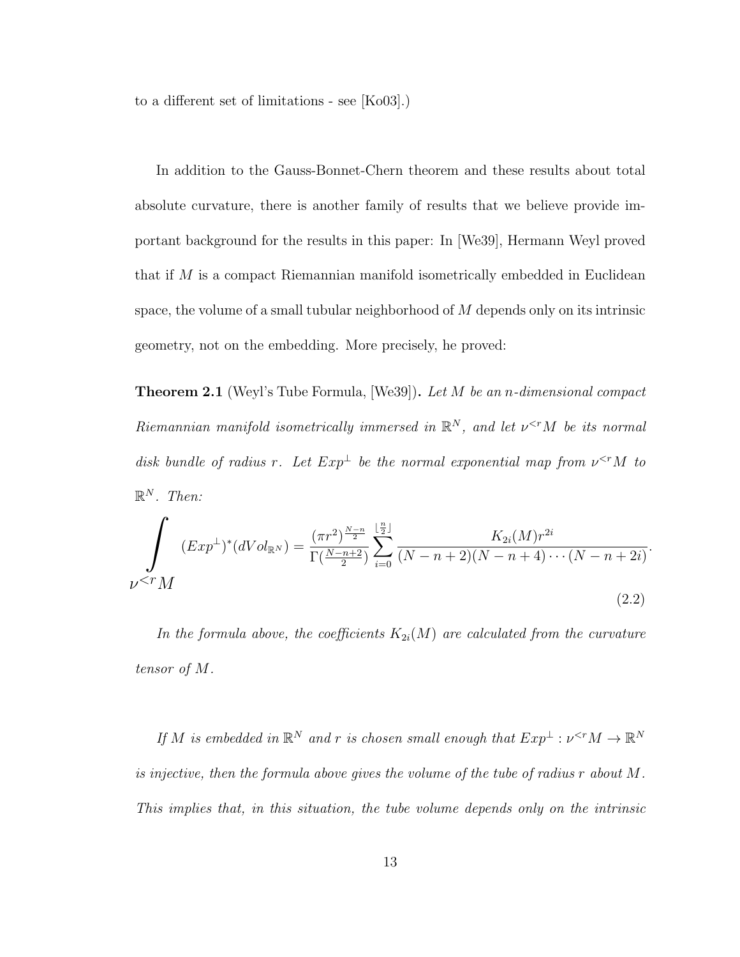to a different set of limitations - see [Ko03].)

In addition to the Gauss-Bonnet-Chern theorem and these results about total absolute curvature, there is another family of results that we believe provide important background for the results in this paper: In [We39], Hermann Weyl proved that if  $M$  is a compact Riemannian manifold isometrically embedded in Euclidean space, the volume of a small tubular neighborhood of M depends only on its intrinsic geometry, not on the embedding. More precisely, he proved:

**Theorem 2.1** (Weyl's Tube Formula, [We39]). Let M be an *n*-dimensional compact Riemannian manifold isometrically immersed in  $\mathbb{R}^N$ , and let  $\nu^{\le r}M$  be its normal disk bundle of radius r. Let  $Exp^{\perp}$  be the normal exponential map from  $v^{ to$  $\mathbb{R}^N$ . Then:

$$
\int_{\nu \le r} (Exp^{\perp})^* (dVol_{\mathbb{R}^N}) = \frac{(\pi r^2)^{\frac{N-n}{2}}}{\Gamma(\frac{N-n+2}{2})} \sum_{i=0}^{\lfloor \frac{n}{2} \rfloor} \frac{K_{2i}(M) r^{2i}}{(N-n+2)(N-n+4)\cdots(N-n+2i)}.
$$
\n(2.2)

In the formula above, the coefficients  $K_{2i}(M)$  are calculated from the curvature tensor of M.

If M is embedded in  $\mathbb{R}^N$  and r is chosen small enough that  $Exp^{\perp} : \nu^{$ is injective, then the formula above gives the volume of the tube of radius r about M. This implies that, in this situation, the tube volume depends only on the intrinsic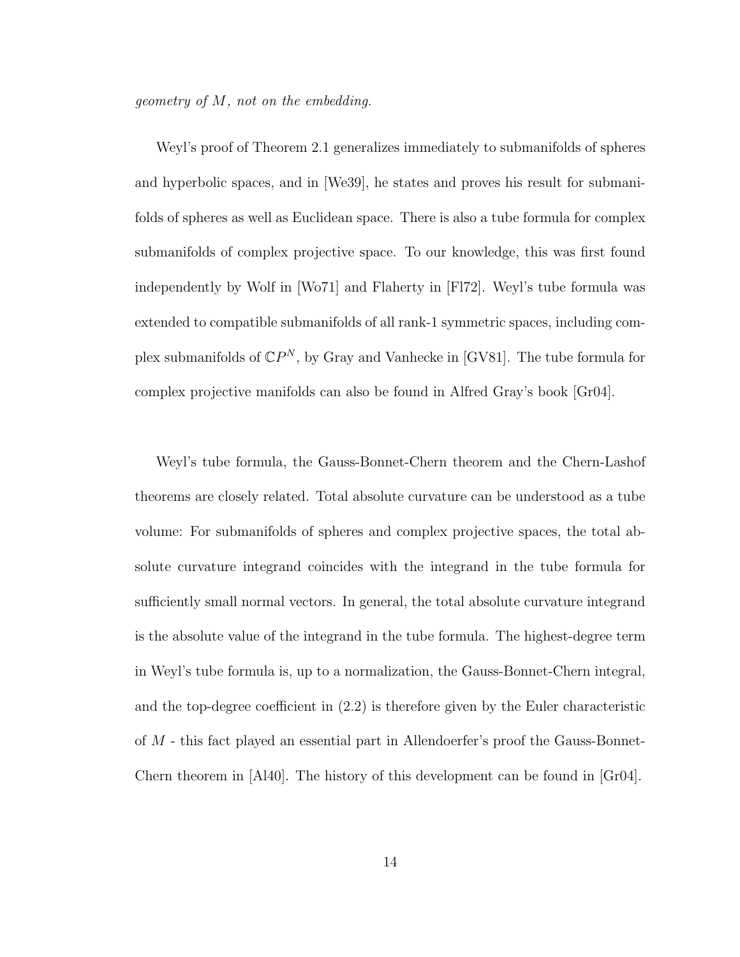geometry of M, not on the embedding.

Weyl's proof of Theorem 2.1 generalizes immediately to submanifolds of spheres and hyperbolic spaces, and in [We39], he states and proves his result for submanifolds of spheres as well as Euclidean space. There is also a tube formula for complex submanifolds of complex projective space. To our knowledge, this was first found independently by Wolf in [Wo71] and Flaherty in [Fl72]. Weyl's tube formula was extended to compatible submanifolds of all rank-1 symmetric spaces, including complex submanifolds of  $\mathbb{C}P^N$ , by Gray and Vanhecke in [GV81]. The tube formula for complex projective manifolds can also be found in Alfred Gray's book [Gr04].

Weyl's tube formula, the Gauss-Bonnet-Chern theorem and the Chern-Lashof theorems are closely related. Total absolute curvature can be understood as a tube volume: For submanifolds of spheres and complex projective spaces, the total absolute curvature integrand coincides with the integrand in the tube formula for sufficiently small normal vectors. In general, the total absolute curvature integrand is the absolute value of the integrand in the tube formula. The highest-degree term in Weyl's tube formula is, up to a normalization, the Gauss-Bonnet-Chern integral, and the top-degree coefficient in (2.2) is therefore given by the Euler characteristic of M - this fact played an essential part in Allendoerfer's proof the Gauss-Bonnet-Chern theorem in [Al40]. The history of this development can be found in [Gr04].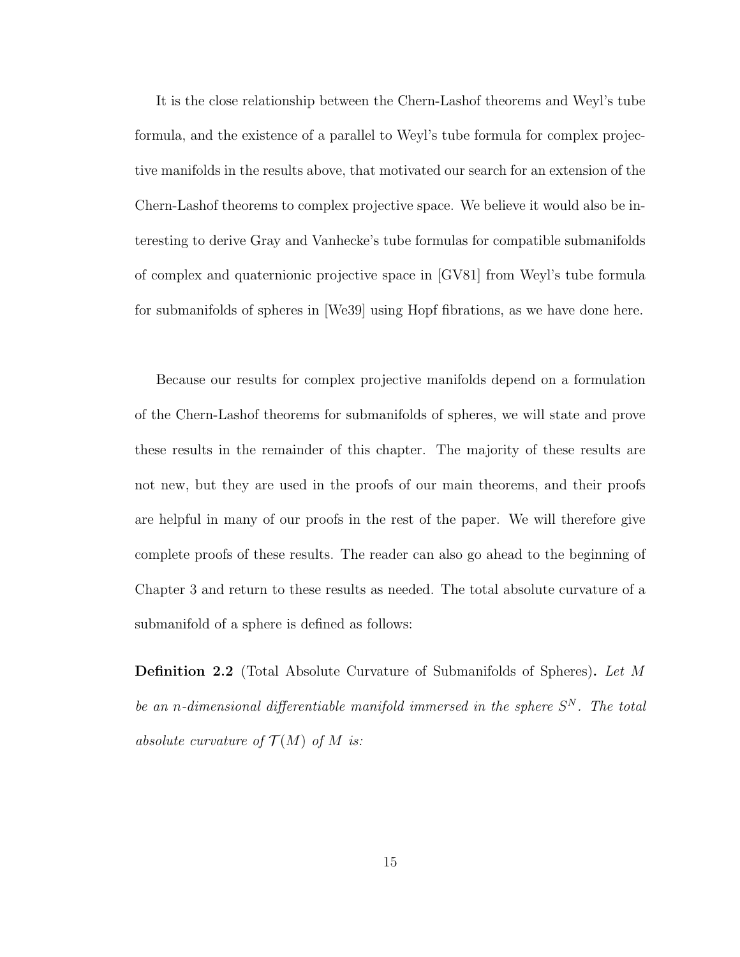It is the close relationship between the Chern-Lashof theorems and Weyl's tube formula, and the existence of a parallel to Weyl's tube formula for complex projective manifolds in the results above, that motivated our search for an extension of the Chern-Lashof theorems to complex projective space. We believe it would also be interesting to derive Gray and Vanhecke's tube formulas for compatible submanifolds of complex and quaternionic projective space in [GV81] from Weyl's tube formula for submanifolds of spheres in [We39] using Hopf fibrations, as we have done here.

Because our results for complex projective manifolds depend on a formulation of the Chern-Lashof theorems for submanifolds of spheres, we will state and prove these results in the remainder of this chapter. The majority of these results are not new, but they are used in the proofs of our main theorems, and their proofs are helpful in many of our proofs in the rest of the paper. We will therefore give complete proofs of these results. The reader can also go ahead to the beginning of Chapter 3 and return to these results as needed. The total absolute curvature of a submanifold of a sphere is defined as follows:

Definition 2.2 (Total Absolute Curvature of Submanifolds of Spheres). Let M be an n-dimensional differentiable manifold immersed in the sphere  $S<sup>N</sup>$ . The total absolute curvature of  $\mathcal{T}(M)$  of M is: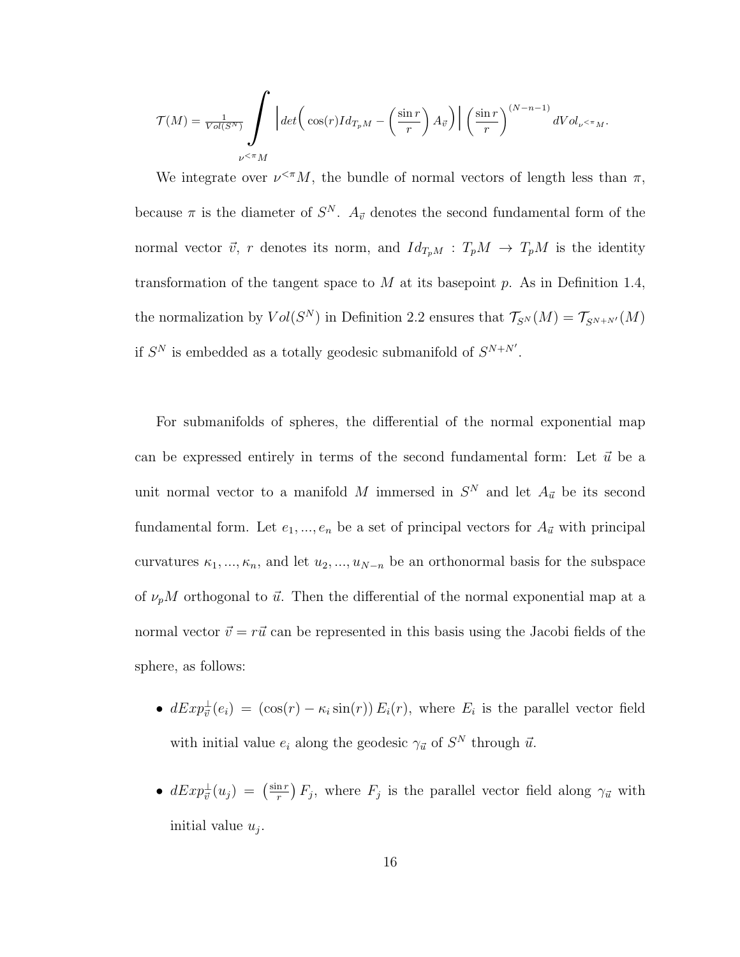$$
\mathcal{T}(M) = \frac{1}{Vol(S^N)} \int \limits_{\nu \leq \pi M} \left| \det \left( \cos(r)Id_{T_pM} - \left( \frac{\sin r}{r} \right) A_{\vec{v}} \right) \right| \left( \frac{\sin r}{r} \right)^{(N-n-1)} dVol_{\nu \leq \pi M}.
$$

We integrate over  $\nu^{\langle \pi} M$ , the bundle of normal vectors of length less than  $\pi$ , because  $\pi$  is the diameter of  $S^N$ .  $A_{\vec{v}}$  denotes the second fundamental form of the normal vector  $\vec{v}$ , r denotes its norm, and  $Id_{T_pM} : T_pM \to T_pM$  is the identity transformation of the tangent space to  $M$  at its basepoint  $p$ . As in Definition 1.4, the normalization by  $Vol(S^N)$  in Definition 2.2 ensures that  $\mathcal{T}_{S^N}(M) = \mathcal{T}_{S^{N+N'}}(M)$ if  $S^N$  is embedded as a totally geodesic submanifold of  $S^{N+N'}$ .

For submanifolds of spheres, the differential of the normal exponential map can be expressed entirely in terms of the second fundamental form: Let  $\vec{u}$  be a unit normal vector to a manifold M immersed in  $S<sup>N</sup>$  and let  $A_{\vec{u}}$  be its second fundamental form. Let  $e_1, ..., e_n$  be a set of principal vectors for  $A_{\vec{u}}$  with principal curvatures  $\kappa_1, ..., \kappa_n$ , and let  $u_2, ..., u_{N-n}$  be an orthonormal basis for the subspace of  $\nu_p M$  orthogonal to  $\vec{u}$ . Then the differential of the normal exponential map at a normal vector  $\vec{v} = r\vec{u}$  can be represented in this basis using the Jacobi fields of the sphere, as follows:

- $dExp^{\perp}_{\vec{v}}(e_i) = (\cos(r) \kappa_i \sin(r)) E_i(r)$ , where  $E_i$  is the parallel vector field with initial value  $e_i$  along the geodesic  $\gamma_{\vec{u}}$  of  $S^N$  through  $\vec{u}$ .
- $\bullet$   $dExp^{\perp}_{\vec{v}}(u_j) = \left(\frac{\sin r}{r}\right)$  $\frac{\ln r}{r}$   $F_j$ , where  $F_j$  is the parallel vector field along  $\gamma_{\vec{u}}$  with initial value  $u_j$ .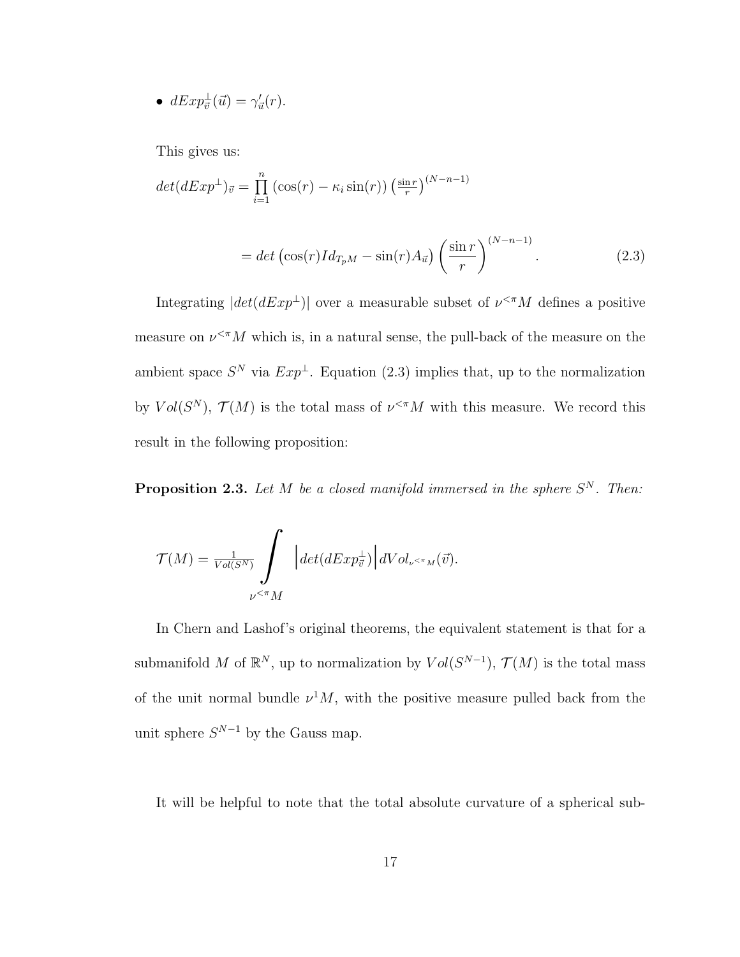• 
$$
dExp_{\vec{v}}^{\perp}(\vec{u}) = \gamma'_{\vec{u}}(r).
$$

This gives us:

$$
det(dExp^{\perp})_{\vec{v}} = \prod_{i=1}^{n} \left( \cos(r) - \kappa_i \sin(r) \right) \left( \frac{\sin r}{r} \right)^{(N-n-1)}
$$

$$
= det \left( \cos(r) Id_{T_pM} - \sin(r) A_{\vec{u}} \right) \left( \frac{\sin r}{r} \right)^{(N-n-1)}.
$$
(2.3)

Integrating  $|det(dExp^{\perp})|$  over a measurable subset of  $\nu^{\leq \pi}M$  defines a positive measure on  $\nu^{\leq n} M$  which is, in a natural sense, the pull-back of the measure on the ambient space  $S^N$  via  $Exp^{\perp}$ . Equation (2.3) implies that, up to the normalization by  $Vol(S^N)$ ,  $\mathcal{T}(M)$  is the total mass of  $\nu^{\leq \pi} M$  with this measure. We record this result in the following proposition:

**Proposition 2.3.** Let M be a closed manifold immersed in the sphere  $S<sup>N</sup>$ . Then:

$$
\mathcal{T}(M) = \frac{1}{Vol(S^N)} \int \limits_{\nu^{<\pi}M} \Big| det(dExp^{\perp}_{\vec{v}}) \Big| dVol_{\nu^{<\pi}M}(\vec{v}).
$$

In Chern and Lashof's original theorems, the equivalent statement is that for a submanifold M of  $\mathbb{R}^N$ , up to normalization by  $Vol(S^{N-1})$ ,  $\mathcal{T}(M)$  is the total mass of the unit normal bundle  $\nu^1 M$ , with the positive measure pulled back from the unit sphere  $S^{N-1}$  by the Gauss map.

It will be helpful to note that the total absolute curvature of a spherical sub-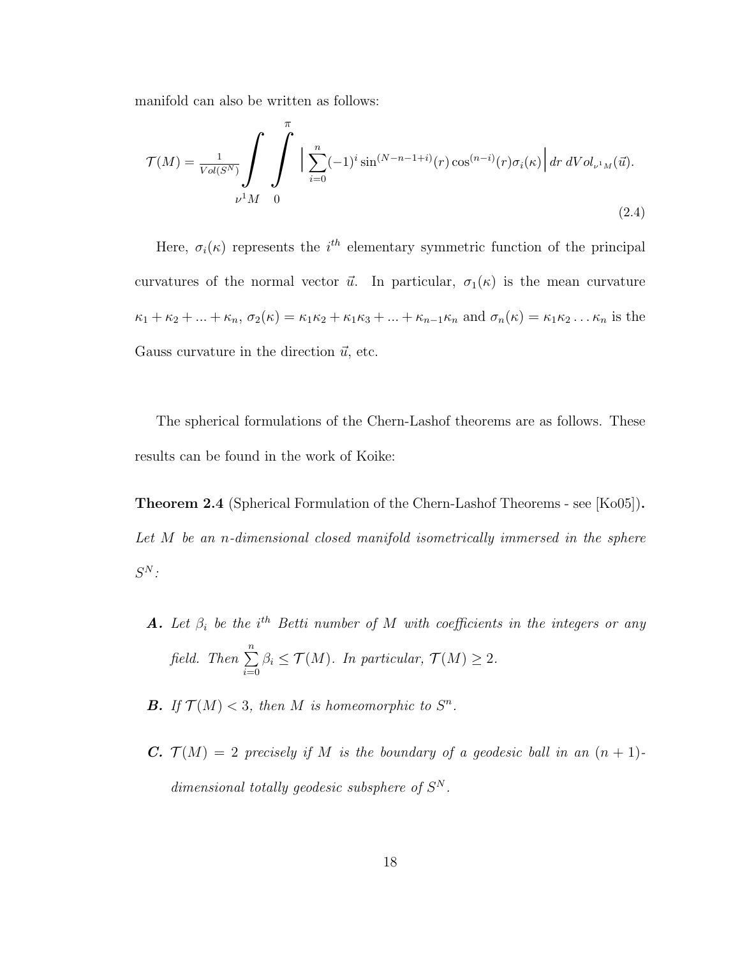manifold can also be written as follows:

$$
\mathcal{T}(M) = \frac{1}{Vol(S^N)} \int_{\nu^1 M} \int_0^{\pi} \Big| \sum_{i=0}^n (-1)^i \sin^{(N-n-1+i)}(r) \cos^{(n-i)}(r) \sigma_i(\kappa) \Big| dr \, dVol_{\nu^1 M}(\vec{u}).
$$
\n(2.4)

Here,  $\sigma_i(\kappa)$  represents the i<sup>th</sup> elementary symmetric function of the principal curvatures of the normal vector  $\vec{u}$ . In particular,  $\sigma_1(\kappa)$  is the mean curvature  $\kappa_1 + \kappa_2 + \ldots + \kappa_n$ ,  $\sigma_2(\kappa) = \kappa_1 \kappa_2 + \kappa_1 \kappa_3 + \ldots + \kappa_{n-1} \kappa_n$  and  $\sigma_n(\kappa) = \kappa_1 \kappa_2 \ldots \kappa_n$  is the Gauss curvature in the direction  $\vec{u}$ , etc.

The spherical formulations of the Chern-Lashof theorems are as follows. These results can be found in the work of Koike:

Theorem 2.4 (Spherical Formulation of the Chern-Lashof Theorems - see [Ko05]). Let M be an n-dimensional closed manifold isometrically immersed in the sphere  $S^N$  :

- **A.** Let  $\beta_i$  be the i<sup>th</sup> Betti number of M with coefficients in the integers or any field. Then  $\sum_{n=1}^n$  $i=0$  $\beta_i \leq \mathcal{T}(M)$ . In particular,  $\mathcal{T}(M) \geq 2$ .
- **B.** If  $\mathcal{T}(M) < 3$ , then M is homeomorphic to  $S^n$ .
- **C.**  $\mathcal{T}(M) = 2$  precisely if M is the boundary of a geodesic ball in an  $(n + 1)$ dimensional totally geodesic subsphere of  $S<sup>N</sup>$ .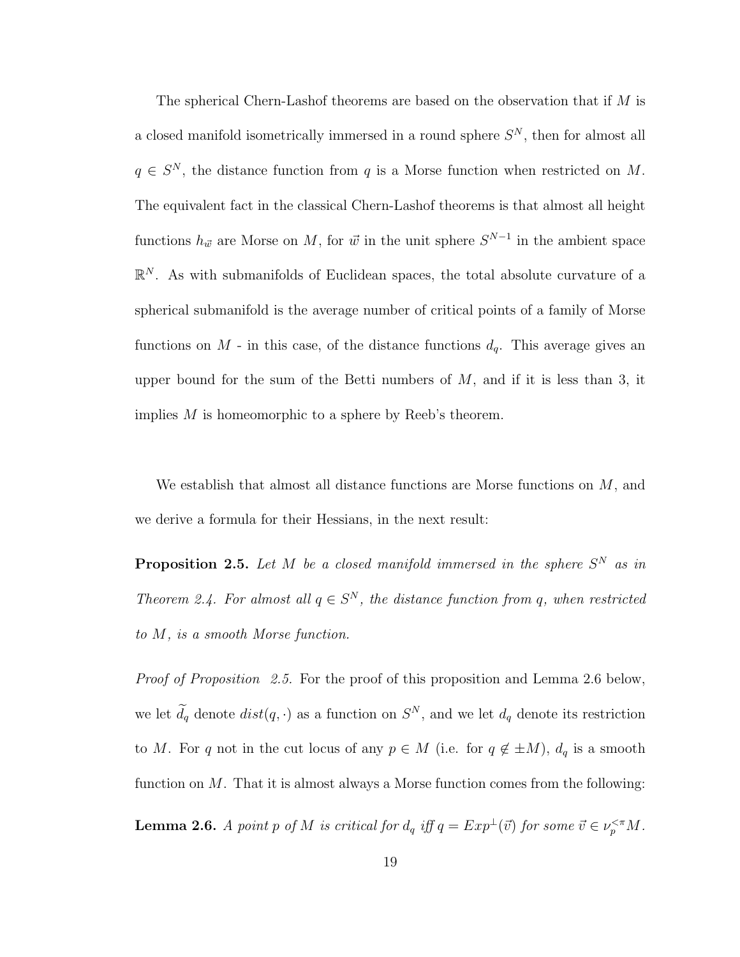The spherical Chern-Lashof theorems are based on the observation that if M is a closed manifold isometrically immersed in a round sphere  $S<sup>N</sup>$ , then for almost all  $q \in S^N$ , the distance function from q is a Morse function when restricted on M. The equivalent fact in the classical Chern-Lashof theorems is that almost all height functions  $h_{\vec{w}}$  are Morse on M, for  $\vec{w}$  in the unit sphere  $S^{N-1}$  in the ambient space  $\mathbb{R}^N$ . As with submanifolds of Euclidean spaces, the total absolute curvature of a spherical submanifold is the average number of critical points of a family of Morse functions on  $M$  - in this case, of the distance functions  $d_q$ . This average gives an upper bound for the sum of the Betti numbers of  $M$ , and if it is less than 3, it implies M is homeomorphic to a sphere by Reeb's theorem.

We establish that almost all distance functions are Morse functions on  $M$ , and we derive a formula for their Hessians, in the next result:

**Proposition 2.5.** Let M be a closed manifold immersed in the sphere  $S^N$  as in Theorem 2.4. For almost all  $q \in S^N$ , the distance function from q, when restricted to M, is a smooth Morse function.

Proof of Proposition 2.5. For the proof of this proposition and Lemma 2.6 below, we let  $d_q$  denote  $dist(q, \cdot)$  as a function on  $S^N$ , and we let  $d_q$  denote its restriction to M. For q not in the cut locus of any  $p \in M$  (i.e. for  $q \notin \pm M$ ),  $d_q$  is a smooth function on  $M$ . That it is almost always a Morse function comes from the following:

**Lemma 2.6.** A point p of M is critical for  $d_q$  iff  $q = Exp^{\perp}(\vec{v})$  for some  $\vec{v} \in \nu_p^{\ltq \pi}M$ .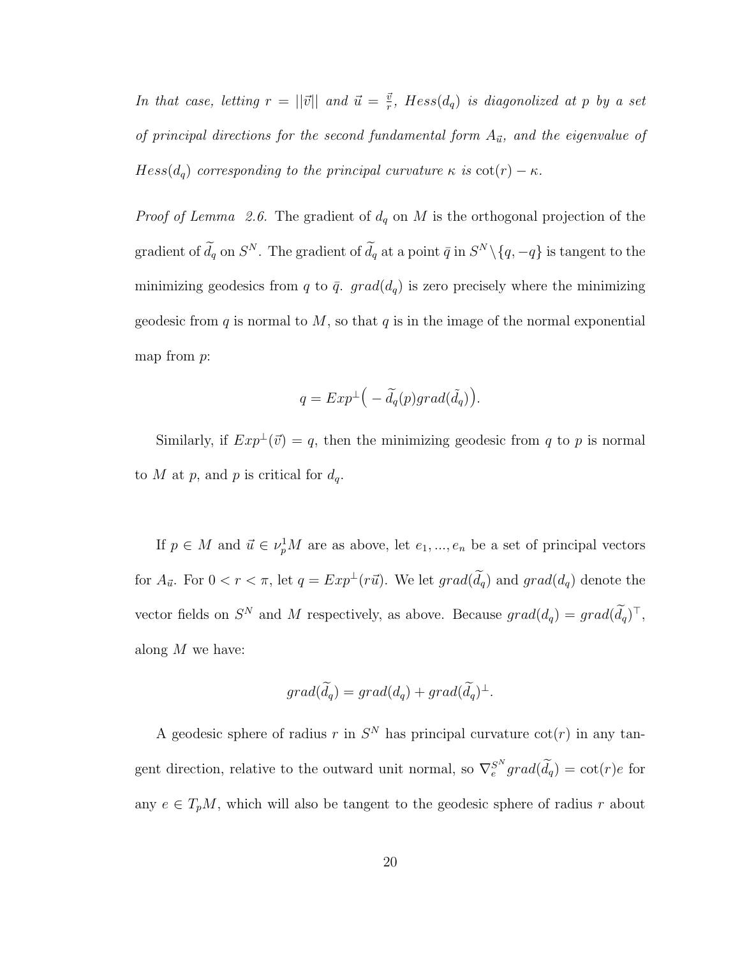In that case, letting  $r = ||\vec{v}||$  and  $\vec{u} = \frac{\vec{v}}{r}$  $\frac{\vec{v}}{r}$ , Hess $(d_q)$  is diagonolized at p by a set of principal directions for the second fundamental form  $A_{\vec{u}}$ , and the eigenvalue of  $Hess(d_q)$  corresponding to the principal curvature  $\kappa$  is  $\cot(r) - \kappa$ .

*Proof of Lemma 2.6.* The gradient of  $d_q$  on M is the orthogonal projection of the gradient of  $d_q$  on  $S^N$ . The gradient of  $d_q$  at a point  $\bar{q}$  in  $S^N \setminus \{q, -q\}$  is tangent to the minimizing geodesics from q to  $\bar{q}$ . grad( $d_q$ ) is zero precisely where the minimizing geodesic from q is normal to  $M$ , so that q is in the image of the normal exponential map from  $p$ :

$$
q = Exp^{\perp} \big(-\widetilde{d}_q(p) grad(\widetilde{d}_q)\big).
$$

Similarly, if  $Exp^{\perp}(\vec{v}) = q$ , then the minimizing geodesic from q to p is normal to M at p, and p is critical for  $d_q$ .

If  $p \in M$  and  $\vec{u} \in \nu_p^1 M$  are as above, let  $e_1, ..., e_n$  be a set of principal vectors for  $A_{\vec{u}}$ . For  $0 < r < \pi$ , let  $q = Exp^{\perp}(r\vec{u})$ . We let  $grad(\tilde{d}_q)$  and  $grad(d_q)$  denote the vector fields on  $S^N$  and M respectively, as above. Because  $grad(d_q) = grad(\tilde{d}_q)^T$ , along  $M$  we have:

$$
grad(\widetilde{d_q}) = grad(d_q) + grad(\widetilde{d_q})^{\perp}.
$$

A geodesic sphere of radius r in  $S<sup>N</sup>$  has principal curvature  $\cot(r)$  in any tangent direction, relative to the outward unit normal, so  $\nabla_e^{S^N} grad(\tilde{d}_q) = \cot(r)e$  for any  $e \in T_pM$ , which will also be tangent to the geodesic sphere of radius r about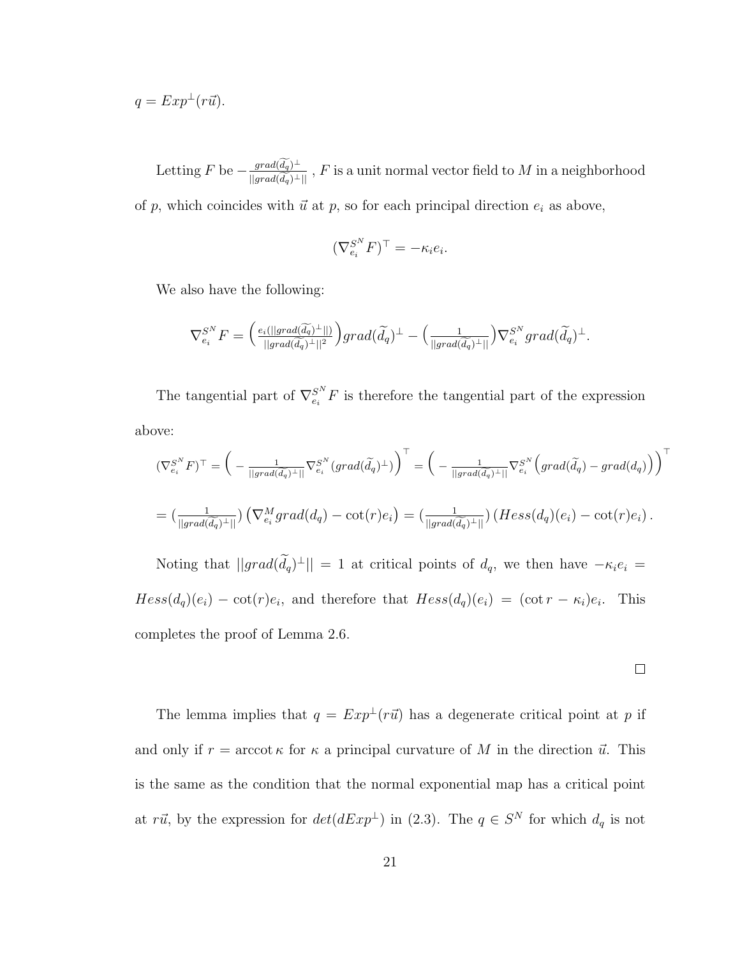$$
q = Exp^{\perp}(r\vec{u}).
$$

Letting  $F$  be  $-\frac{grad(\widetilde{d_q})^{\perp}}{||grad(\widetilde{d_q})^{\perp}||}$ ,  $F$  is a unit normal vector field to  $M$  in a neighborhood of p, which coincides with  $\vec{u}$  at p, so for each principal direction  $e_i$  as above,

$$
(\nabla_{e_i}^{S^N} F)^\top = -\kappa_i e_i.
$$

We also have the following:

$$
\nabla_{e_i}^{S^N} F = \left( \frac{e_i(||grad(\widetilde{d_q})^{\perp}||)}{||grad(\widetilde{d_q})^{\perp}||^2} \right) grad(\widetilde{d_q})^{\perp} - \left( \frac{1}{||grad(\widetilde{d_q})^{\perp}||} \right) \nabla_{e_i}^{S^N} grad(\widetilde{d_q})^{\perp}.
$$

The tangential part of  $\nabla_{e_i}^{S^N} F$  is therefore the tangential part of the expression above:

$$
(\nabla_{e_i}^{S^N} F)^{\top} = \left( -\frac{1}{\|grad(\widetilde{d_q})^{\top}\|} \nabla_{e_i}^{S^N}(grad(\widetilde{d_q})^{\top}) \right)^{\top} = \left( -\frac{1}{\|grad(\widetilde{d_q})^{\top}\|} \nabla_{e_i}^{S^N}\left( grad(\widetilde{d_q}) - grad(d_q) \right) \right)^{\top}
$$
  
= 
$$
\left( \frac{1}{\|grad(\widetilde{d_q})^{\top}\|} \right) \left( \nabla_{e_i}^M grad(d_q) - \cot(r)e_i \right) = \left( \frac{1}{\|grad(\widetilde{d_q})^{\top}\|} \right) \left( Hess(d_q)(e_i) - \cot(r)e_i \right).
$$

Noting that  $||grad(\tilde{d}_q)^{\perp}|| = 1$  at critical points of  $d_q$ , we then have  $-\kappa_i e_i =$  $Hess(d_q)(e_i) - \cot(r)e_i$ , and therefore that  $Hess(d_q)(e_i) = (\cot r - \kappa_i)e_i$ . This completes the proof of Lemma 2.6.

 $\Box$ 

The lemma implies that  $q = Exp^{\perp}(r\vec{u})$  has a degenerate critical point at p if and only if  $r = \operatorname{arccot} \kappa$  for  $\kappa$  a principal curvature of M in the direction  $\vec{u}$ . This is the same as the condition that the normal exponential map has a critical point at r $\vec{u}$ , by the expression for  $det(dExp^{\perp})$  in (2.3). The  $q \in S^N$  for which  $d_q$  is not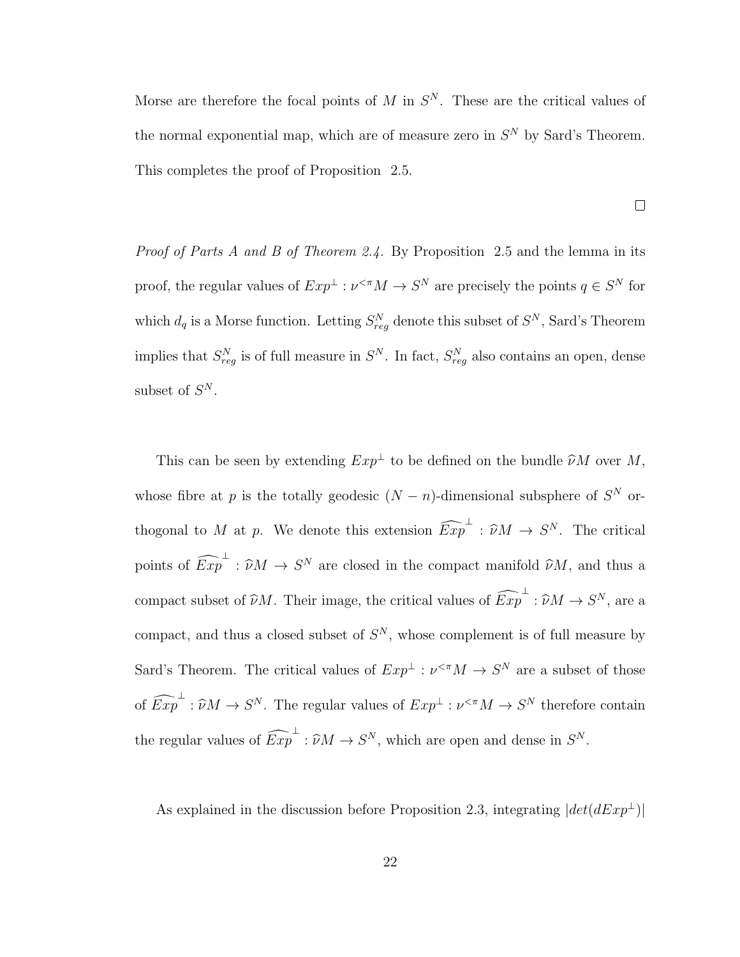Morse are therefore the focal points of M in  $S<sup>N</sup>$ . These are the critical values of the normal exponential map, which are of measure zero in  $S<sup>N</sup>$  by Sard's Theorem. This completes the proof of Proposition 2.5.

 $\Box$ 

Proof of Parts A and B of Theorem 2.4. By Proposition 2.5 and the lemma in its proof, the regular values of  $Exp^{\perp} : \nu^{<\pi} M \to S^N$  are precisely the points  $q \in S^N$  for which  $d_q$  is a Morse function. Letting  $S_{reg}^N$  denote this subset of  $S^N$ , Sard's Theorem implies that  $S_{reg}^N$  is of full measure in  $S^N$ . In fact,  $S_{reg}^N$  also contains an open, dense subset of  $S^N$ .

This can be seen by extending  $Exp^{\perp}$  to be defined on the bundle  $\hat{\nu}M$  over M, whose fibre at p is the totally geodesic  $(N - n)$ -dimensional subsphere of  $S<sup>N</sup>$  orthogonal to M at p. We denote this extension  $\widehat{Exp}^{\perp} : \widehat{\nu}M \to S^N$ . The critical points of  $\widehat{Exp}^{\perp} : \widehat{\nu}M \to S^N$  are closed in the compact manifold  $\widehat{\nu}M$ , and thus a compact subset of  $\widehat{\nu}M$ . Their image, the critical values of  $\widehat{Exp}^{\perp} : \widehat{\nu}M \to S^N$ , are a compact, and thus a closed subset of  $S<sup>N</sup>$ , whose complement is of full measure by Sard's Theorem. The critical values of  $Exp^{\perp} : \nu^{\leq \pi} M \to S^N$  are a subset of those of  $\widehat{Exp}^{\perp} : \widehat{\nu}M \to S^N$ . The regular values of  $Exp^{\perp} : \nu^{< \pi}M \to S^N$  therefore contain the regular values of  $\widehat{Exp}^{\perp} : \widehat{\nu}M \to S^N$ , which are open and dense in  $S^N$ .

As explained in the discussion before Proposition 2.3, integrating  $|det(dExp^{\perp})|$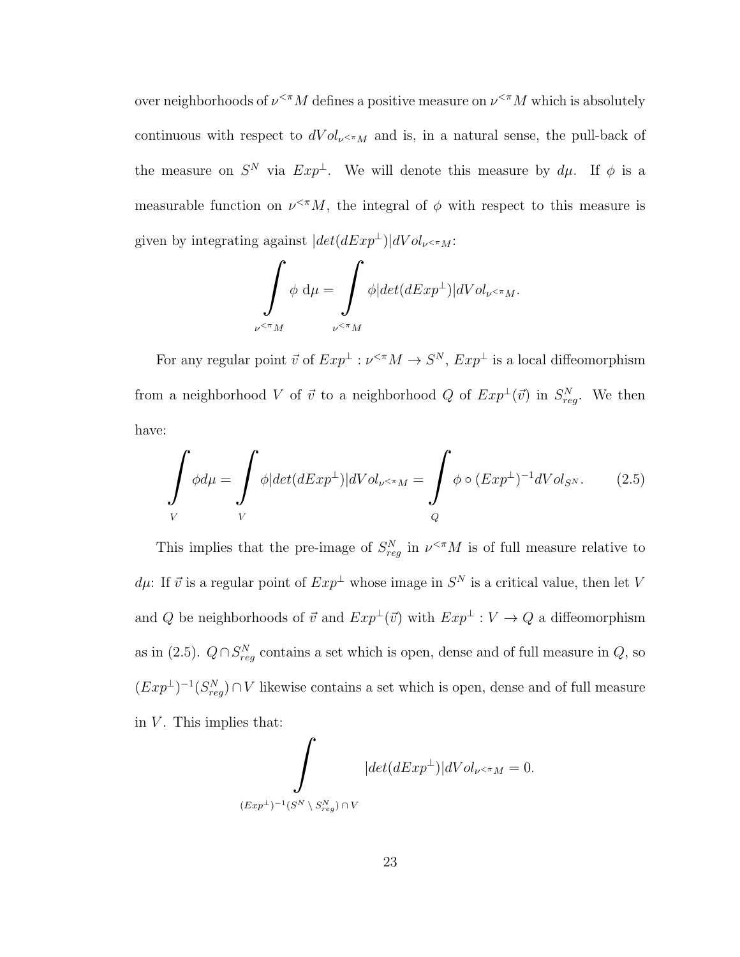over neighborhoods of  $\nu^{\leq \pi} M$  defines a positive measure on  $\nu^{\leq \pi} M$  which is absolutely continuous with respect to  $dVol_{\nu \le \pi M}$  and is, in a natural sense, the pull-back of the measure on  $S^N$  via  $Exp^{\perp}$ . We will denote this measure by  $d\mu$ . If  $\phi$  is a measurable function on  $\nu^{\leq \pi} M$ , the integral of  $\phi$  with respect to this measure is given by integrating against  $|det(dExp^{\perp})|dVol_{\nu}$   $\lt \pi_M$ :

$$
\int_{\nu^{<\pi}M} \phi \, d\mu = \int_{\nu^{<\pi}M} \phi |det(dExp^{\perp})| dVol_{\nu^{<\pi}M}.
$$

For any regular point  $\vec{v}$  of  $Exp^{\perp} : \nu^{\leq \pi} M \to S^N$ ,  $Exp^{\perp}$  is a local diffeomorphism from a neighborhood V of  $\vec{v}$  to a neighborhood Q of  $Exp^{\perp}(\vec{v})$  in  $S_{reg}^{N}$ . We then have:

$$
\int\limits_V \phi d\mu = \int\limits_V \phi |det(dExp^{\perp})| dVol_{\nu \le \pi M} = \int\limits_Q \phi \circ (Exp^{\perp})^{-1} dVol_{S^N}.
$$
 (2.5)

This implies that the pre-image of  $S_{reg}^N$  in  $\nu^{\ltq m}M$  is of full measure relative to  $d\mu$ : If  $\vec{v}$  is a regular point of  $Exp^{\perp}$  whose image in  $S^N$  is a critical value, then let V and  $Q$  be neighborhoods of  $\vec{v}$  and  $Exp^\perp(\vec{v})$  with  $Exp^\perp: V \to Q$  a diffeomorphism as in (2.5).  $Q \cap S_{reg}^N$  contains a set which is open, dense and of full measure in  $Q$ , so  $(Exp^{\perp})^{-1}(S_{reg}^{N}) \cap V$  likewise contains a set which is open, dense and of full measure in  $V$ . This implies that:

$$
\int_{(Exp^{\perp})^{-1}(S^{N}\setminus S_{reg}^{N})\cap V}|det(dExp^{\perp})|dVol_{\nu^{<\pi}M}=0.
$$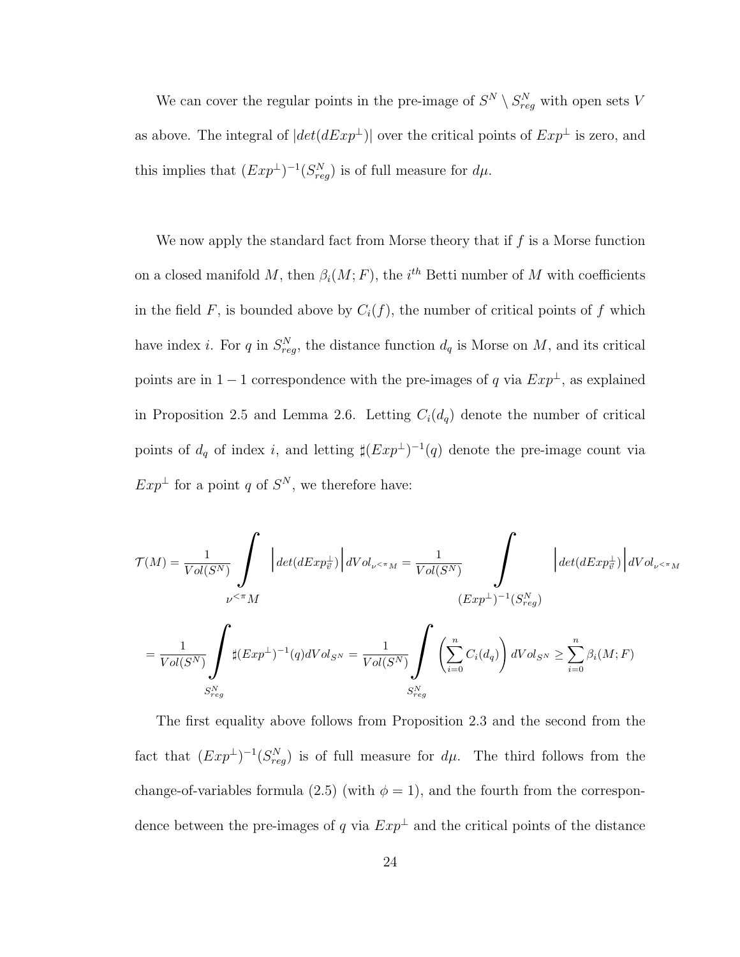We can cover the regular points in the pre-image of  $S^N \setminus S_{reg}^N$  with open sets V as above. The integral of  $|det(dExp^{\perp})|$  over the critical points of  $Exp^{\perp}$  is zero, and this implies that  $(Exp^{\perp})^{-1}(S_{reg}^N)$  is of full measure for  $d\mu$ .

We now apply the standard fact from Morse theory that if  $f$  is a Morse function on a closed manifold M, then  $\beta_i(M; F)$ , the  $i^{th}$  Betti number of M with coefficients in the field  $F$ , is bounded above by  $C_i(f)$ , the number of critical points of  $f$  which have index *i*. For q in  $S_{reg}^N$ , the distance function  $d_q$  is Morse on M, and its critical points are in  $1-1$  correspondence with the pre-images of q via  $Exp^{\perp}$ , as explained in Proposition 2.5 and Lemma 2.6. Letting  $C_i(d_q)$  denote the number of critical points of  $d_q$  of index i, and letting  $\sharp (Exp^{\perp})^{-1}(q)$  denote the pre-image count via  $Exp^{\perp}$  for a point q of  $S^N$ , we therefore have:

$$
\mathcal{T}(M) = \frac{1}{Vol(S^N)} \int_{\nu^{<\pi}M} \left| \det(dExp_{\vec{v}}^{\perp}) \right| dVol_{\nu^{<\pi}M} = \frac{1}{Vol(S^N)} \int_{(Exp^{\perp})^{-1}(S_{reg}^N)} \left| \det(dExp_{\vec{v}}^{\perp}) \right| dVol_{\nu^{<\pi}M}
$$
  
\n
$$
= \frac{1}{Vol(S^N)} \int_{S_{reg}^N} \sharp (Exp^{\perp})^{-1}(q) dVol_{S^N} = \frac{1}{Vol(S^N)} \int_{S_{reg}^N} \left( \sum_{i=0}^n C_i(d_q) \right) dVol_{S^N} \ge \sum_{i=0}^n \beta_i(M;F)
$$

The first equality above follows from Proposition 2.3 and the second from the fact that  $(Exp^{\perp})^{-1}(S_{reg}^{N})$  is of full measure for  $d\mu$ . The third follows from the change-of-variables formula (2.5) (with  $\phi = 1$ ), and the fourth from the correspondence between the pre-images of q via  $Exp^{\perp}$  and the critical points of the distance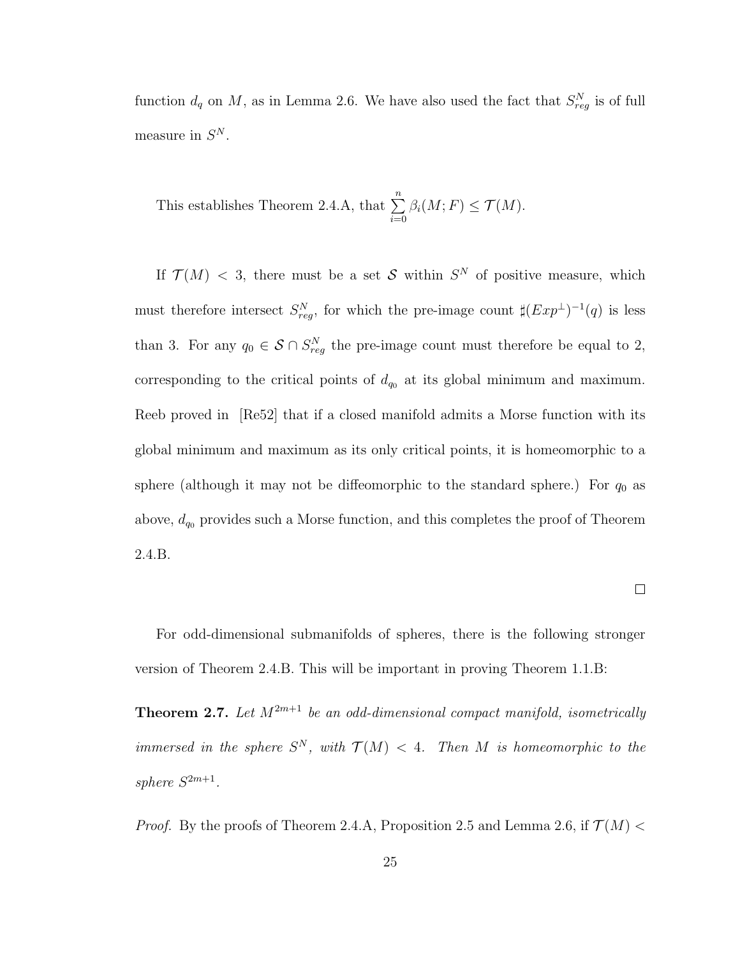function  $d_q$  on M, as in Lemma 2.6. We have also used the fact that  $S_{reg}^N$  is of full measure in  $S^N$ .

This establishes Theorem 2.4.A, that 
$$
\sum_{i=0}^{n} \beta_i(M; F) \le \mathcal{T}(M)
$$
.

If  $\mathcal{T}(M)$  < 3, there must be a set S within  $S^N$  of positive measure, which must therefore intersect  $S_{reg}^N$ , for which the pre-image count  $\sharp (Exp^{\perp})^{-1}(q)$  is less than 3. For any  $q_0 \in S \cap S_{reg}^N$  the pre-image count must therefore be equal to 2, corresponding to the critical points of  $d_{q0}$  at its global minimum and maximum. Reeb proved in [Re52] that if a closed manifold admits a Morse function with its global minimum and maximum as its only critical points, it is homeomorphic to a sphere (although it may not be diffeomorphic to the standard sphere.) For  $q_0$  as above,  $d_{q_0}$  provides such a Morse function, and this completes the proof of Theorem 2.4.B.

 $\Box$ 

For odd-dimensional submanifolds of spheres, there is the following stronger version of Theorem 2.4.B. This will be important in proving Theorem 1.1.B:

**Theorem 2.7.** Let  $M^{2m+1}$  be an odd-dimensional compact manifold, isometrically immersed in the sphere  $S^N$ , with  $\mathcal{T}(M) < 4$ . Then M is homeomorphic to the sphere  $S^{2m+1}$ .

*Proof.* By the proofs of Theorem 2.4.A, Proposition 2.5 and Lemma 2.6, if  $\mathcal{T}(M)$  <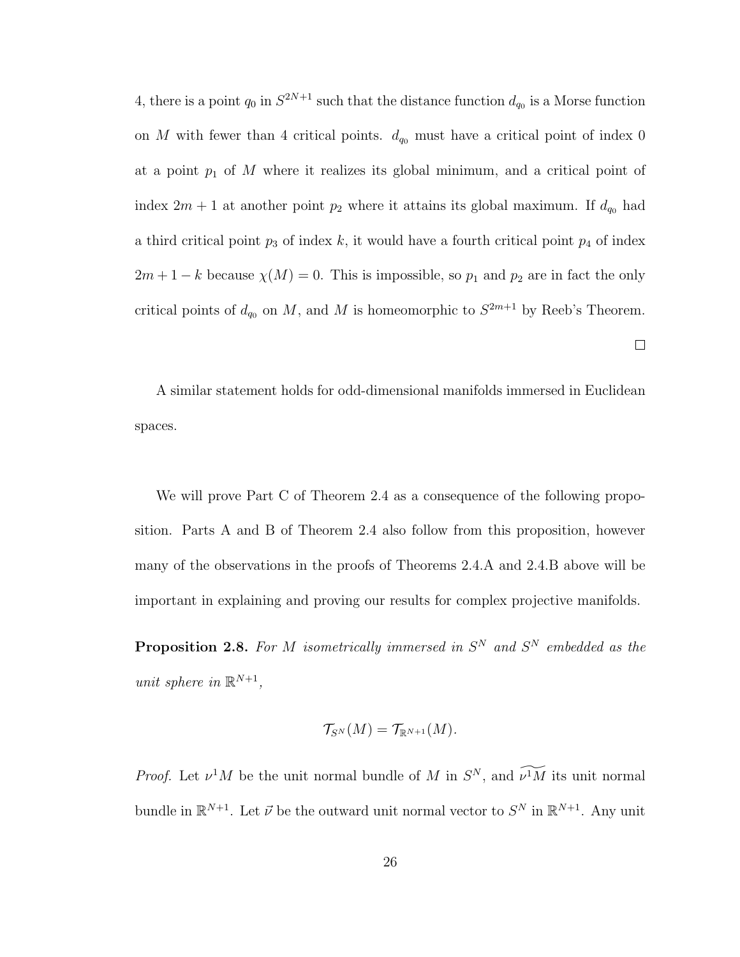4, there is a point  $q_0$  in  $S^{2N+1}$  such that the distance function  $d_{q_0}$  is a Morse function on M with fewer than 4 critical points.  $d_{q_0}$  must have a critical point of index 0 at a point  $p_1$  of M where it realizes its global minimum, and a critical point of index  $2m + 1$  at another point  $p_2$  where it attains its global maximum. If  $d_{q_0}$  had a third critical point  $p_3$  of index k, it would have a fourth critical point  $p_4$  of index  $2m + 1 - k$  because  $\chi(M) = 0$ . This is impossible, so  $p_1$  and  $p_2$  are in fact the only critical points of  $d_{q_0}$  on M, and M is homeomorphic to  $S^{2m+1}$  by Reeb's Theorem.

A similar statement holds for odd-dimensional manifolds immersed in Euclidean spaces.

 $\Box$ 

We will prove Part C of Theorem 2.4 as a consequence of the following proposition. Parts A and B of Theorem 2.4 also follow from this proposition, however many of the observations in the proofs of Theorems 2.4.A and 2.4.B above will be important in explaining and proving our results for complex projective manifolds.

**Proposition 2.8.** For M isometrically immersed in  $S<sup>N</sup>$  and  $S<sup>N</sup>$  embedded as the unit sphere in  $\mathbb{R}^{N+1}$ ,

$$
\mathcal{T}_{S^N}(M)=\mathcal{T}_{\mathbb{R}^{N+1}}(M).
$$

*Proof.* Let  $\nu^1 M$  be the unit normal bundle of M in  $S^N$ , and  $\widetilde{\nu^1 M}$  its unit normal bundle in  $\mathbb{R}^{N+1}$ . Let  $\vec{\nu}$  be the outward unit normal vector to  $S^N$  in  $\mathbb{R}^{N+1}$ . Any unit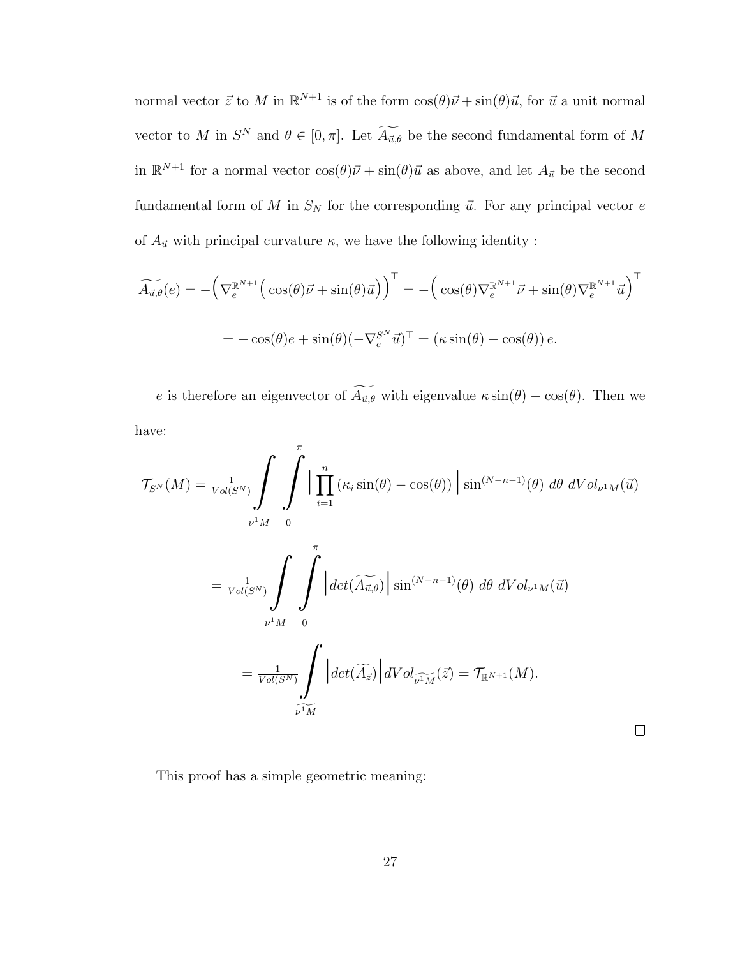normal vector  $\vec{z}$  to M in  $\mathbb{R}^{N+1}$  is of the form  $\cos(\theta)\vec{\nu} + \sin(\theta)\vec{u}$ , for  $\vec{u}$  a unit normal vector to M in  $S^N$  and  $\theta \in [0, \pi]$ . Let  $\widetilde{A}_{\vec{u},\theta}$  be the second fundamental form of M in  $\mathbb{R}^{N+1}$  for a normal vector  $\cos(\theta)\vec{\nu} + \sin(\theta)\vec{u}$  as above, and let  $A_{\vec{u}}$  be the second fundamental form of M in  $S_N$  for the corresponding  $\vec{u}$ . For any principal vector e of  $A_{\vec{u}}$  with principal curvature  $\kappa$ , we have the following identity :

$$
\widetilde{A_{\vec{u},\theta}}(e) = -\left(\nabla_e^{\mathbb{R}^{N+1}}\left(\cos(\theta)\vec{\nu} + \sin(\theta)\vec{u}\right)\right)^{\top} = -\left(\cos(\theta)\nabla_e^{\mathbb{R}^{N+1}}\vec{\nu} + \sin(\theta)\nabla_e^{\mathbb{R}^{N+1}}\vec{u}\right)^{\top}
$$

$$
= -\cos(\theta)e + \sin(\theta)(-\nabla_e^{S^N}\vec{u})^{\top} = (\kappa\sin(\theta) - \cos(\theta))e.
$$

e is therefore an eigenvector of  $\widetilde{A_{\vec{u},\theta}}$  with eigenvalue  $\kappa \sin(\theta) - \cos(\theta)$ . Then we have:

$$
\mathcal{T}_{S^{N}}(M) = \frac{1}{Vol(S^{N})} \int_{\nu^{1}M} \int_{0}^{\pi} \Big| \prod_{i=1}^{n} (\kappa_{i} \sin(\theta) - \cos(\theta)) \Big| \sin^{(N-n-1)}(\theta) d\theta dVol_{\nu^{1}M}(\vec{u})
$$

$$
= \frac{1}{Vol(S^{N})} \int_{\nu^{1}M} \int_{0}^{\pi} \Big| det(\widetilde{A}_{\vec{u},\theta}) \Big| \sin^{(N-n-1)}(\theta) d\theta dVol_{\nu^{1}M}(\vec{u})
$$

$$
= \frac{1}{Vol(S^{N})} \int_{\nu^{1}M} \Big| det(\widetilde{A}_{\vec{z}}) \Big| dVol_{\nu^{1}M}(\vec{z}) = \mathcal{T}_{\mathbb{R}^{N+1}}(M).
$$

 $\Box$ 

This proof has a simple geometric meaning: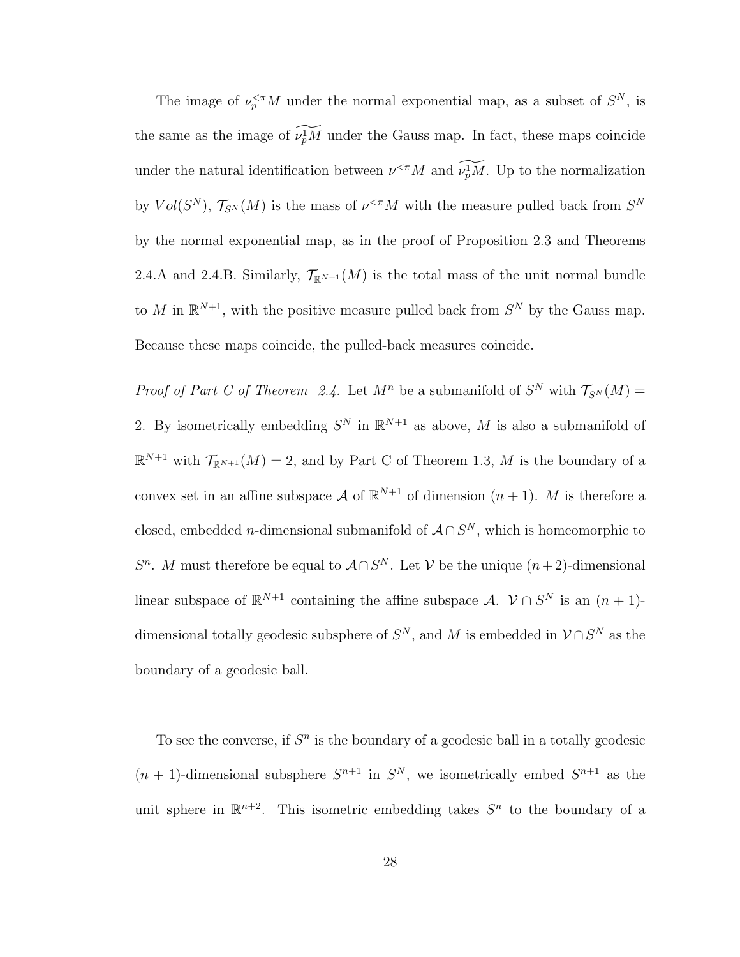The image of  $\nu_p^{<\pi}M$  under the normal exponential map, as a subset of  $S^N$ , is the same as the image of  $\widetilde{\nu_p M}$  under the Gauss map. In fact, these maps coincide under the natural identification between  $\nu^{\ltq \pi} M$  and  $\widetilde{\nu_p^M} M$ . Up to the normalization by  $Vol(S^N)$ ,  $\mathcal{T}_{S^N}(M)$  is the mass of  $\nu^{<\pi}M$  with the measure pulled back from  $S^N$ by the normal exponential map, as in the proof of Proposition 2.3 and Theorems 2.4.A and 2.4.B. Similarly,  $\mathcal{T}_{\mathbb{R}^{N+1}}(M)$  is the total mass of the unit normal bundle to M in  $\mathbb{R}^{N+1}$ , with the positive measure pulled back from  $S^N$  by the Gauss map. Because these maps coincide, the pulled-back measures coincide.

*Proof of Part C of Theorem 2.4.* Let  $M^n$  be a submanifold of  $S^N$  with  $\mathcal{T}_{S^N}(M)$  = 2. By isometrically embedding  $S^N$  in  $\mathbb{R}^{N+1}$  as above, M is also a submanifold of  $\mathbb{R}^{N+1}$  with  $\mathcal{T}_{\mathbb{R}^{N+1}}(M) = 2$ , and by Part C of Theorem 1.3, M is the boundary of a convex set in an affine subspace A of  $\mathbb{R}^{N+1}$  of dimension  $(n+1)$ . M is therefore a closed, embedded *n*-dimensional submanifold of  $A \cap S^N$ , which is homeomorphic to  $S<sup>n</sup>$ . M must therefore be equal to  $A \cap S<sup>N</sup>$ . Let V be the unique  $(n+2)$ -dimensional linear subspace of  $\mathbb{R}^{N+1}$  containing the affine subspace A.  $\mathcal{V} \cap S^N$  is an  $(n+1)$ dimensional totally geodesic subsphere of  $S^N$ , and M is embedded in  $\mathcal{V} \cap S^N$  as the boundary of a geodesic ball.

To see the converse, if  $S<sup>n</sup>$  is the boundary of a geodesic ball in a totally geodesic  $(n + 1)$ -dimensional subsphere  $S^{n+1}$  in  $S^N$ , we isometrically embed  $S^{n+1}$  as the unit sphere in  $\mathbb{R}^{n+2}$ . This isometric embedding takes  $S^n$  to the boundary of a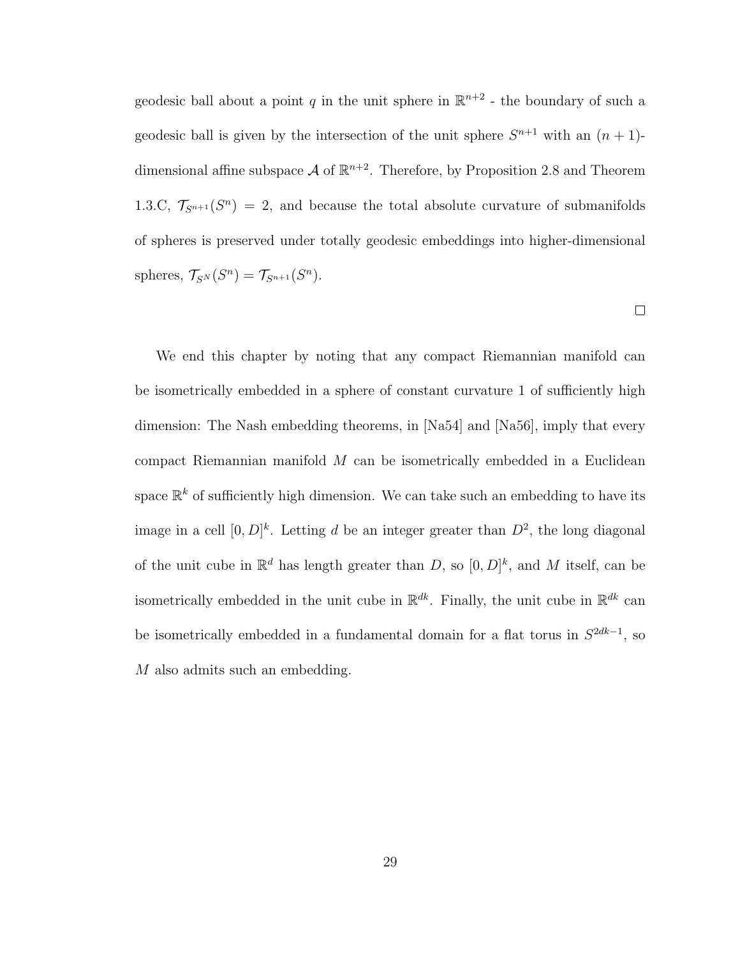geodesic ball about a point q in the unit sphere in  $\mathbb{R}^{n+2}$  - the boundary of such a geodesic ball is given by the intersection of the unit sphere  $S^{n+1}$  with an  $(n + 1)$ dimensional affine subspace  $\mathcal A$  of  $\mathbb R^{n+2}$ . Therefore, by Proposition 2.8 and Theorem 1.3.C,  $\mathcal{T}_{S^{n+1}}(S^n) = 2$ , and because the total absolute curvature of submanifolds of spheres is preserved under totally geodesic embeddings into higher-dimensional spheres,  $\mathcal{T}_{S^N}(S^n) = \mathcal{T}_{S^{n+1}}(S^n)$ .

 $\Box$ 

We end this chapter by noting that any compact Riemannian manifold can be isometrically embedded in a sphere of constant curvature 1 of sufficiently high dimension: The Nash embedding theorems, in [Na54] and [Na56], imply that every compact Riemannian manifold  $M$  can be isometrically embedded in a Euclidean space  $\mathbb{R}^k$  of sufficiently high dimension. We can take such an embedding to have its image in a cell  $[0, D]^k$ . Letting d be an integer greater than  $D^2$ , the long diagonal of the unit cube in  $\mathbb{R}^d$  has length greater than D, so  $[0, D]^k$ , and M itself, can be isometrically embedded in the unit cube in  $\mathbb{R}^{dk}$ . Finally, the unit cube in  $\mathbb{R}^{dk}$  can be isometrically embedded in a fundamental domain for a flat torus in  $S^{2dk-1}$ , so M also admits such an embedding.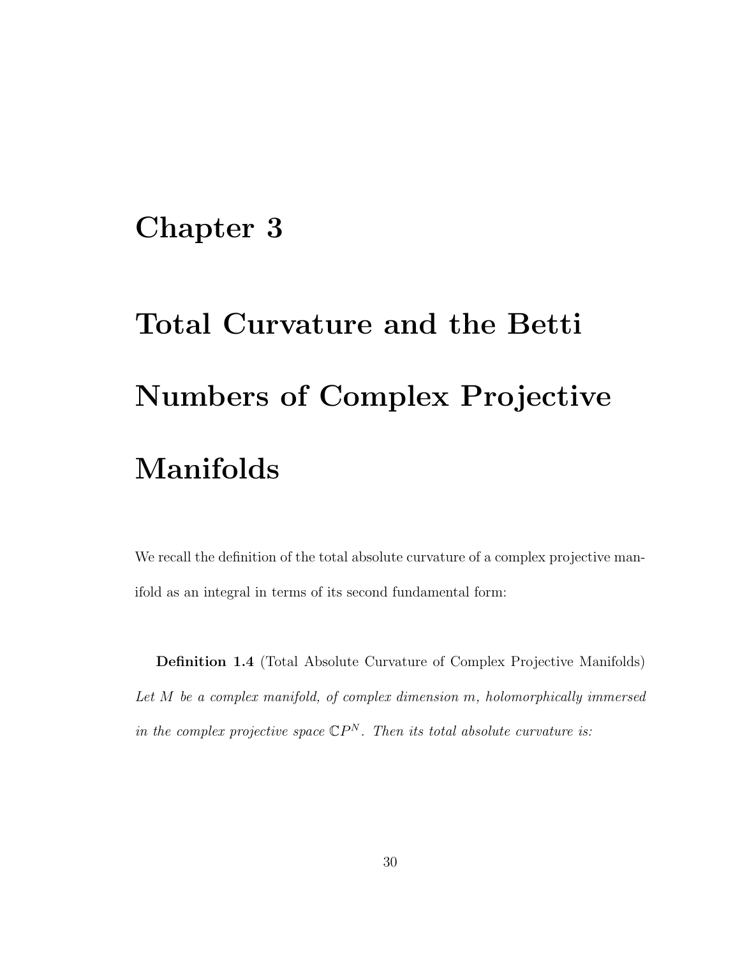## Chapter 3

# Total Curvature and the Betti Numbers of Complex Projective Manifolds

We recall the definition of the total absolute curvature of a complex projective manifold as an integral in terms of its second fundamental form:

Definition 1.4 (Total Absolute Curvature of Complex Projective Manifolds) Let M be a complex manifold, of complex dimension m, holomorphically immersed in the complex projective space  $\mathbb{C}P^N$ . Then its total absolute curvature is: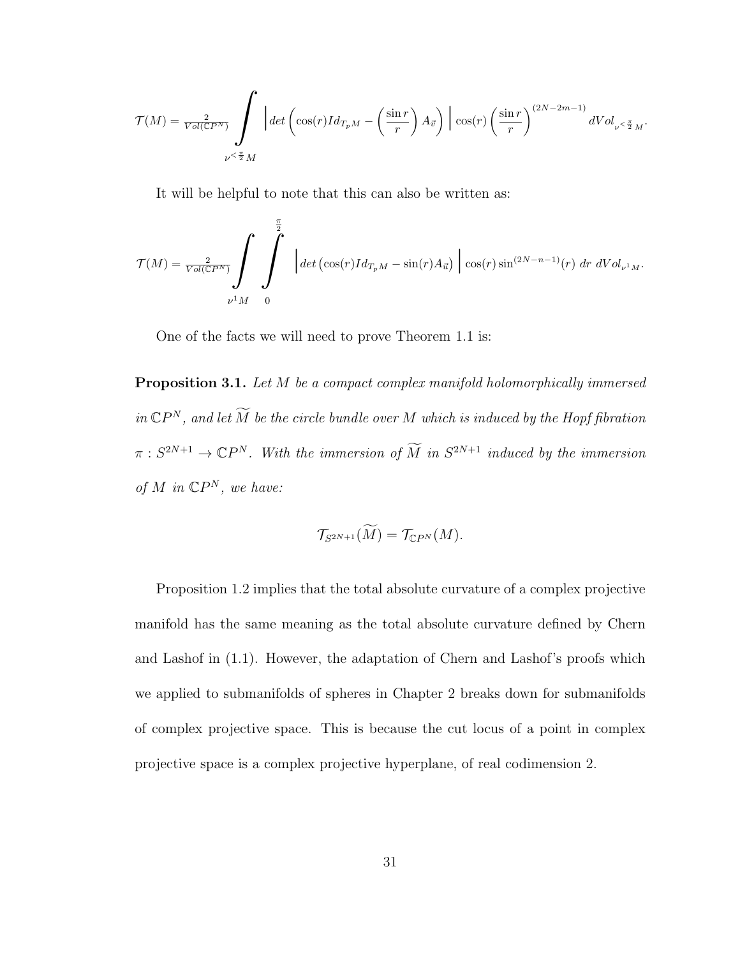$$
\mathcal{T}(M)=\frac{2}{Vol(\mathbb{C} P^N)}\int\limits_{\nu\leq\frac{\pi}{2}M}\bigg|det\left(\cos(r)Id_{T_pM}-\left(\frac{\sin r}{r}\right)A_{\vec{v}}\right)\bigg|\cos(r)\left(\frac{\sin r}{r}\right)^{(2N-2m-1)}dVol_{\nu\leq\frac{\pi}{2}M}.
$$

It will be helpful to note that this can also be written as:

$$
\mathcal{T}(M) = \frac{2}{Vol(\mathbb{C}P^N)} \int \int \int \limits_{\nu^1 M} \left| \det \left( \cos(r)Id_{T_pM} - \sin(r)A_{\vec{u}} \right) \right| \cos(r) \sin^{(2N-n-1)}(r) \, dr \, dVol_{\nu^1 M}.
$$

One of the facts we will need to prove Theorem 1.1 is:

Proposition 3.1. Let M be a compact complex manifold holomorphically immersed in  $\mathbb{C}P^{N}$ , and let  $\widetilde{M}$  be the circle bundle over  $M$  which is induced by the Hopf fibration  $\pi: S^{2N+1} \to \mathbb{C}P^N$ . With the immersion of  $\widetilde{M}$  in  $S^{2N+1}$  induced by the immersion of M in  $\mathbb{C}P^N$ , we have:

$$
\mathcal{T}_{S^{2N+1}}(\widetilde{M})=\mathcal{T}_{\mathbb{C}P^N}(M).
$$

Proposition 1.2 implies that the total absolute curvature of a complex projective manifold has the same meaning as the total absolute curvature defined by Chern and Lashof in (1.1). However, the adaptation of Chern and Lashof's proofs which we applied to submanifolds of spheres in Chapter 2 breaks down for submanifolds of complex projective space. This is because the cut locus of a point in complex projective space is a complex projective hyperplane, of real codimension 2.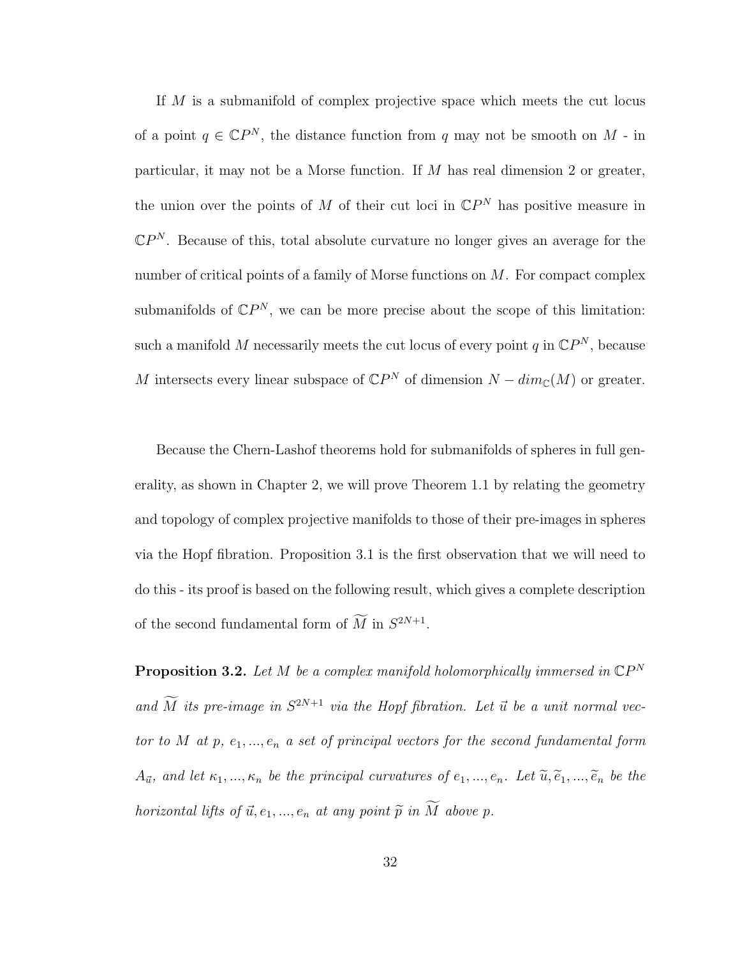If M is a submanifold of complex projective space which meets the cut locus of a point  $q \in \mathbb{C}P^N$ , the distance function from q may not be smooth on M - in particular, it may not be a Morse function. If  $M$  has real dimension 2 or greater, the union over the points of M of their cut loci in  $\mathbb{C}P^N$  has positive measure in  $\mathbb{C}P^N$ . Because of this, total absolute curvature no longer gives an average for the number of critical points of a family of Morse functions on  $M$ . For compact complex submanifolds of  $\mathbb{C}P^N$ , we can be more precise about the scope of this limitation: such a manifold M necessarily meets the cut locus of every point q in  $\mathbb{C}P^N$ , because M intersects every linear subspace of  $\mathbb{C}P^N$  of dimension  $N - dim_{\mathbb{C}}(M)$  or greater.

Because the Chern-Lashof theorems hold for submanifolds of spheres in full generality, as shown in Chapter 2, we will prove Theorem 1.1 by relating the geometry and topology of complex projective manifolds to those of their pre-images in spheres via the Hopf fibration. Proposition 3.1 is the first observation that we will need to do this - its proof is based on the following result, which gives a complete description of the second fundamental form of  $M$  in  $S^{2N+1}$ .

**Proposition 3.2.** Let M be a complex manifold holomorphically immersed in  $\mathbb{C}P^N$ and  $\overline{M}$  its pre-image in  $S^{2N+1}$  via the Hopf fibration. Let  $\overrightarrow{u}$  be a unit normal vector to M at  $p, e_1, ..., e_n$  a set of principal vectors for the second fundamental form  $A_{\vec{u}}$ , and let  $\kappa_1, ..., \kappa_n$  be the principal curvatures of  $e_1, ..., e_n$ . Let  $\widetilde{u}, \widetilde{e}_1, ..., \widetilde{e}_n$  be the horizontal lifts of  $\vec{u}, e_1, ..., e_n$  at any point  $\widetilde{p}$  in  $\widetilde{M}$  above p.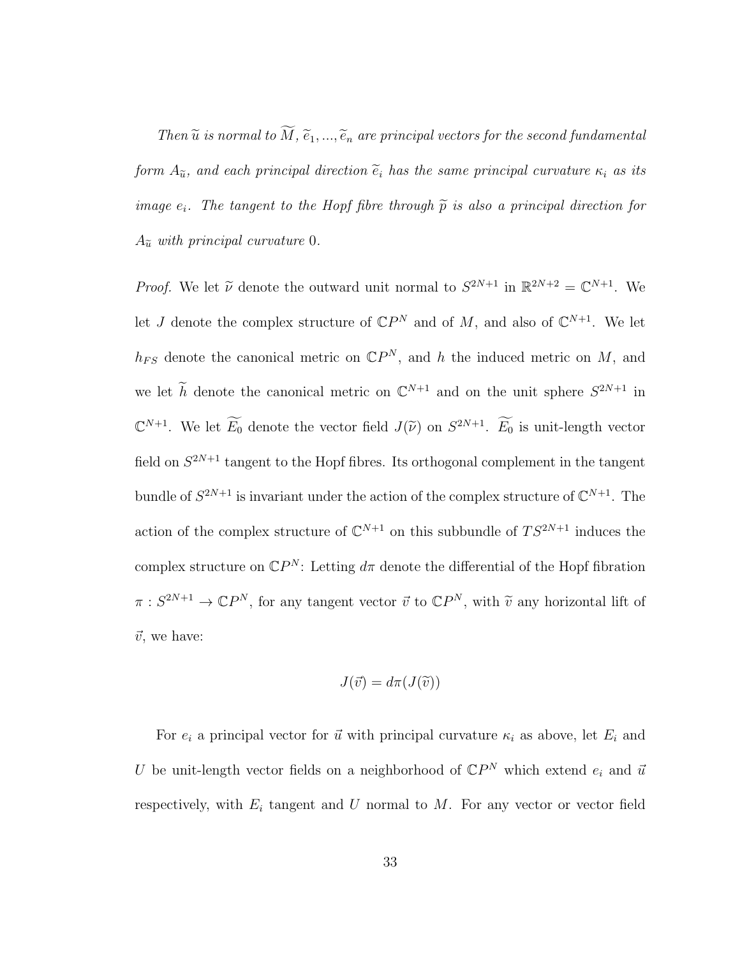Then  $\widetilde{u}$  is normal to  $\widetilde{M}$ ,  $\widetilde{e}_1, ..., \widetilde{e}_n$  are principal vectors for the second fundamental form  $A_{\tilde{u}}$ , and each principal direction  $\tilde{e}_i$  has the same principal curvature  $\kappa_i$  as its image  $e_i$ . The tangent to the Hopf fibre through  $\tilde{p}$  is also a principal direction for  $A_{\tilde{u}}$  with principal curvature 0.

*Proof.* We let  $\tilde{\nu}$  denote the outward unit normal to  $S^{2N+1}$  in  $\mathbb{R}^{2N+2} = \mathbb{C}^{N+1}$ . We let J denote the complex structure of  $\mathbb{C}P^N$  and of M, and also of  $\mathbb{C}^{N+1}$ . We let  $h_{FS}$  denote the canonical metric on  $\mathbb{C}P^N$ , and h the induced metric on M, and we let  $\tilde{h}$  denote the canonical metric on  $\mathbb{C}^{N+1}$  and on the unit sphere  $S^{2N+1}$  in  $\mathbb{C}^{N+1}$ . We let  $\widetilde{E_0}$  denote the vector field  $J(\widetilde{\nu})$  on  $S^{2N+1}$ .  $\widetilde{E_0}$  is unit-length vector field on  $S^{2N+1}$  tangent to the Hopf fibres. Its orthogonal complement in the tangent bundle of  $S^{2N+1}$  is invariant under the action of the complex structure of  $\mathbb{C}^{N+1}$ . The action of the complex structure of  $\mathbb{C}^{N+1}$  on this subbundle of  $TS^{2N+1}$  induces the complex structure on  $\mathbb{C}P^N$ : Letting  $d\pi$  denote the differential of the Hopf fibration  $\pi: S^{2N+1} \to \mathbb{C}P^N$ , for any tangent vector  $\vec{v}$  to  $\mathbb{C}P^N$ , with  $\widetilde{v}$  any horizontal lift of  $\vec{v}$ , we have:

$$
J(\vec{v}) = d\pi(J(\widetilde{v}))
$$

For  $e_i$  a principal vector for  $\vec{u}$  with principal curvature  $\kappa_i$  as above, let  $E_i$  and U be unit-length vector fields on a neighborhood of  $\mathbb{C}P^N$  which extend  $e_i$  and  $\vec{u}$ respectively, with  $E_i$  tangent and U normal to M. For any vector or vector field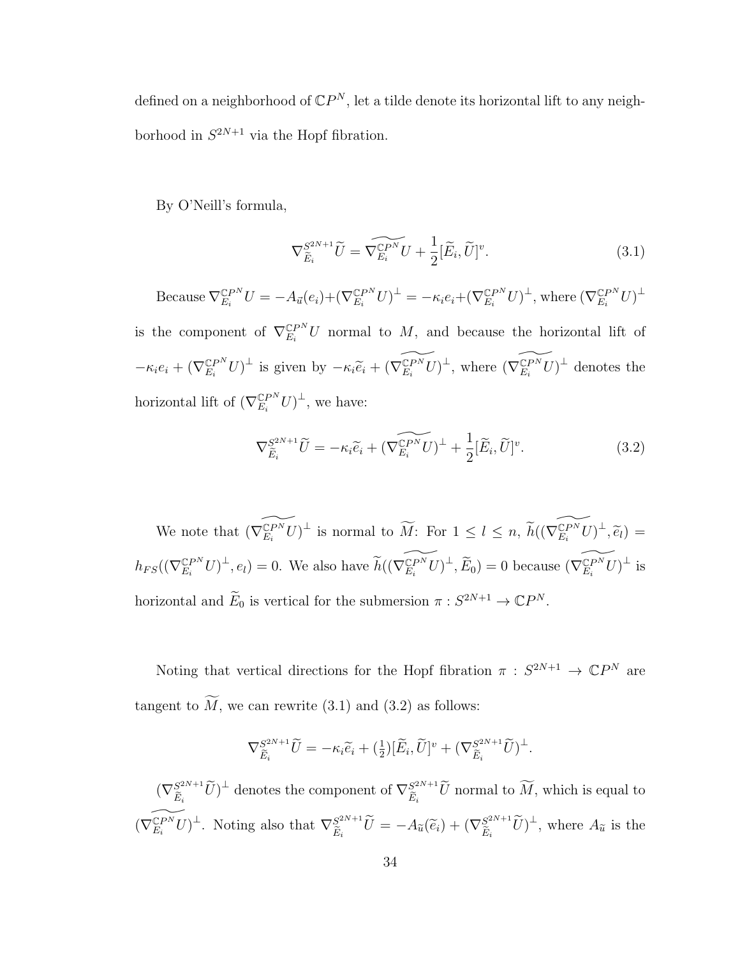defined on a neighborhood of  $\mathbb{C}P^N$ , let a tilde denote its horizontal lift to any neighborhood in  $S^{2N+1}$  via the Hopf fibration.

By O'Neill's formula,

$$
\nabla_{\widetilde{E}_i}^{S^{2N+1}} \widetilde{U} = \widetilde{\nabla_{E_i}^{CPN}} U + \frac{1}{2} [\widetilde{E}_i, \widetilde{U}]^v. \tag{3.1}
$$

Because  $\nabla_{E_i}^{\mathbb{C}P^N}U = -A_{\vec{u}}(e_i) + (\nabla_{E_i}^{\mathbb{C}P^N}U)^{\perp} = -\kappa_i e_i + (\nabla_{E_i}^{\mathbb{C}P^N}U)^{\perp}$ , where  $(\nabla_{E_i}^{\mathbb{C}P^N}U)^{\perp}$ 

is the component of  $\nabla_{E_i}^{\mathbb{C}P^N}U$  normal to M, and because the horizontal lift of  $-\kappa_i e_i + (\nabla_{E_i}^{\mathbb{C}P^N} U)^{\perp}$  is given by  $-\kappa_i \widetilde{e}_i + (\widetilde{\nabla_{E_i}^{\mathbb{C}P^N} U})^{\perp}$ , where  $(\widetilde{\nabla_{E_i}^{\mathbb{C}P^N} U})^{\perp}$  denotes the horizontal lift of  $(\nabla_{E_i}^{\mathbb{C}P^N}U)^{\perp}$ , we have:

$$
\nabla_{\widetilde{E}_i}^{S^{2N+1}} \widetilde{U} = -\kappa_i \widetilde{e}_i + (\widetilde{\nabla_{E_i}^{CPN}} \widetilde{U})^{\perp} + \frac{1}{2} [\widetilde{E}_i, \widetilde{U}]^v.
$$
\n(3.2)

We note that  $(\widetilde{\nabla_{E_i}^{\mathbb{C}PN} U})^{\perp}$  is normal to  $\widetilde{M}$ : For  $1 \leq l \leq n$ ,  $\widetilde{h}((\widetilde{\nabla_{E_i}^{\mathbb{C}PN} U})^{\perp}, \widetilde{e}_l)$  $h_{FS}((\nabla_{E_i}^{\mathbb{C}P^N}U)^{\perp}, e_i) = 0.$  We also have  $\widetilde{h}((\widetilde{\nabla_{E_i}^{\mathbb{C}P^N}U})^{\perp}, \widetilde{E}_0) = 0$  because  $(\widetilde{\nabla_{E_i}^{\mathbb{C}P^N}U})^{\perp}$  is horizontal and  $\widetilde{E}_0$  is vertical for the submersion  $\pi : S^{2N+1} \to \mathbb{C}P^N$ .

Noting that vertical directions for the Hopf fibration  $\pi : S^{2N+1} \to \mathbb{C}P^N$  are tangent to  $\widetilde{M}$ , we can rewrite (3.1) and (3.2) as follows:

$$
\nabla_{\widetilde{E}_i}^{S^{2N+1}} \widetilde{U} = -\kappa_i \widetilde{e}_i + \left(\frac{1}{2}\right) [\widetilde{E}_i, \widetilde{U}]^v + \left(\nabla_{\widetilde{E}_i}^{S^{2N+1}} \widetilde{U}\right)^{\perp}.
$$

 $(\nabla_{\widetilde{E}}^{S^{2N+1}})$  $(\widetilde{E}_i^{2N+1}\widetilde{U})^{\perp}$  denotes the component of  $\nabla_{\widetilde{E}_i}^{2^{2N+1}}$  $\mathbb{E}_{\tilde{E}_i}^{2N+1}$ *U* normal to *M*, which is equal to  $(\widetilde{\nabla}_{E_i}^{\widetilde{\mathbb{C}}P^N}U)^{\perp}$ . Noting also that  $\nabla_{\widetilde{E}_i}^{S^{2N+1}}$  $S^{2N+1}_{\widetilde{E}_i}\widetilde{U} = -A_{\widetilde{u}}(\widetilde{e}_i) + (\nabla_{\widetilde{E}_i}^{S^{2N+1}})$  $(S_{\widetilde{E}_i}^{2N+1}\widetilde{U})^{\perp}$ , where  $A_{\widetilde{u}}$  is the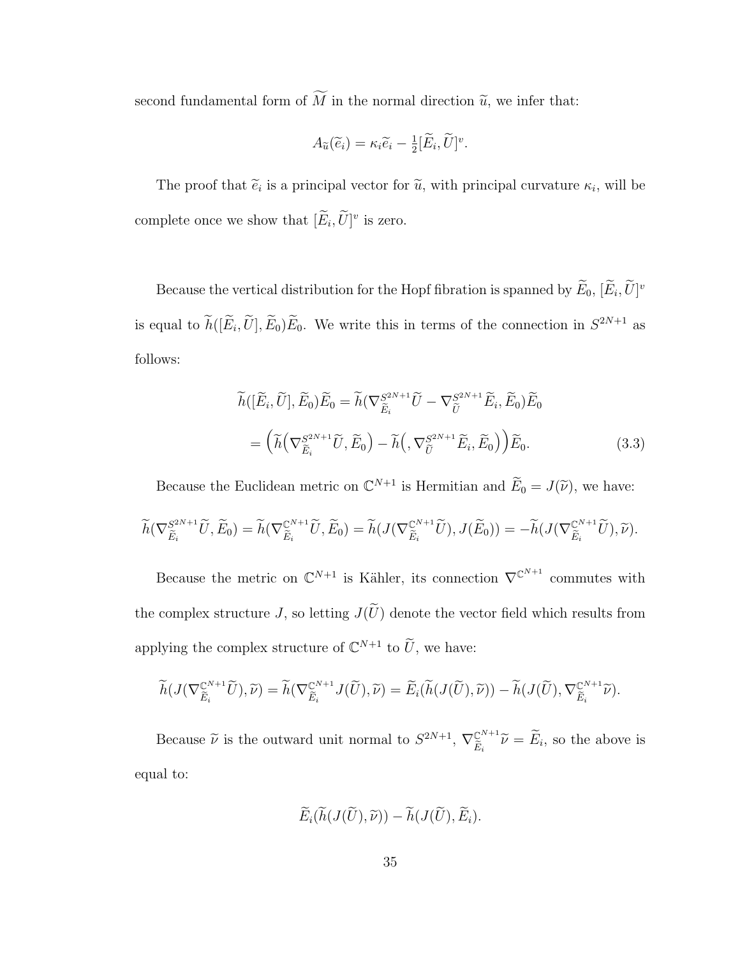second fundamental form of  $\widetilde{M}$  in the normal direction  $\widetilde{u}$ , we infer that:

$$
A_{\widetilde{u}}(\widetilde{e}_i)=\kappa_i\widetilde{e}_i-\tfrac{1}{2}[\widetilde{E}_i,\widetilde{U}]^v.
$$

The proof that  $\tilde{e}_i$  is a principal vector for  $\tilde{u}$ , with principal curvature  $\kappa_i$ , will be complete once we show that  $[\tilde{E}_i, \tilde{U}]^v$  is zero.

Because the vertical distribution for the Hopf fibration is spanned by  $\widetilde{E}_0$ ,  $[\widetilde{E}_i, \widetilde{U}]^v$ is equal to  $h([\tilde{E}_i, \tilde{U}], \tilde{E}_0) \tilde{E}_0$ . We write this in terms of the connection in  $S^{2N+1}$  as follows:

$$
\widetilde{h}([\widetilde{E}_i, \widetilde{U}], \widetilde{E}_0) \widetilde{E}_0 = \widetilde{h}(\nabla_{\widetilde{E}_i}^{S^{2N+1}} \widetilde{U} - \nabla_{\widetilde{U}}^{S^{2N+1}} \widetilde{E}_i, \widetilde{E}_0) \widetilde{E}_0
$$
\n
$$
= \left(\widetilde{h}\left(\nabla_{\widetilde{E}_i}^{S^{2N+1}} \widetilde{U}, \widetilde{E}_0\right) - \widetilde{h}\left(\nabla_{\widetilde{U}}^{S^{2N+1}} \widetilde{E}_i, \widetilde{E}_0\right)\right) \widetilde{E}_0.
$$
\n(3.3)

Because the Euclidean metric on  $\mathbb{C}^{N+1}$  is Hermitian and  $\widetilde{E}_0 = J(\widetilde{\nu})$ , we have:

$$
\widetilde{h}(\nabla_{\widetilde{E}_i}^{S^{2N+1}}\widetilde{U},\widetilde{E}_0)=\widetilde{h}(\nabla_{\widetilde{E}_i}^{C^{N+1}}\widetilde{U},\widetilde{E}_0)=\widetilde{h}(J(\nabla_{\widetilde{E}_i}^{C^{N+1}}\widetilde{U}),J(\widetilde{E}_0))=-\widetilde{h}(J(\nabla_{\widetilde{E}_i}^{C^{N+1}}\widetilde{U}),\widetilde{\nu}).
$$

Because the metric on  $\mathbb{C}^{N+1}$  is Kähler, its connection  $\nabla^{\mathbb{C}^{N+1}}$  commutes with the complex structure J, so letting  $J(\widetilde{U})$  denote the vector field which results from applying the complex structure of  $\mathbb{C}^{N+1}$  to  $\widetilde{U}$ , we have:

$$
\widetilde{h}(J(\nabla_{\widetilde{E}_i}^{\mathbb{C}^{N+1}}\widetilde{U}),\widetilde{\nu})=\widetilde{h}(\nabla_{\widetilde{E}_i}^{\mathbb{C}^{N+1}}J(\widetilde{U}),\widetilde{\nu})=\widetilde{E}_i(\widetilde{h}(J(\widetilde{U}),\widetilde{\nu}))-\widetilde{h}(J(\widetilde{U}),\nabla_{\widetilde{E}_i}^{\mathbb{C}^{N+1}}\widetilde{\nu}).
$$

Because  $\tilde{\nu}$  is the outward unit normal to  $S^{2N+1}$ ,  $\nabla_{\tilde{E}_i}^{\mathbb{C}^{N+1}}$  $\widetilde{E}_i^{N+1}$  $\widetilde{\nu} = E_i$ , so the above is equal to:

$$
\widetilde{E}_i(\widetilde{h}(J(\widetilde{U}),\widetilde{\nu})) - \widetilde{h}(J(\widetilde{U}),\widetilde{E}_i).
$$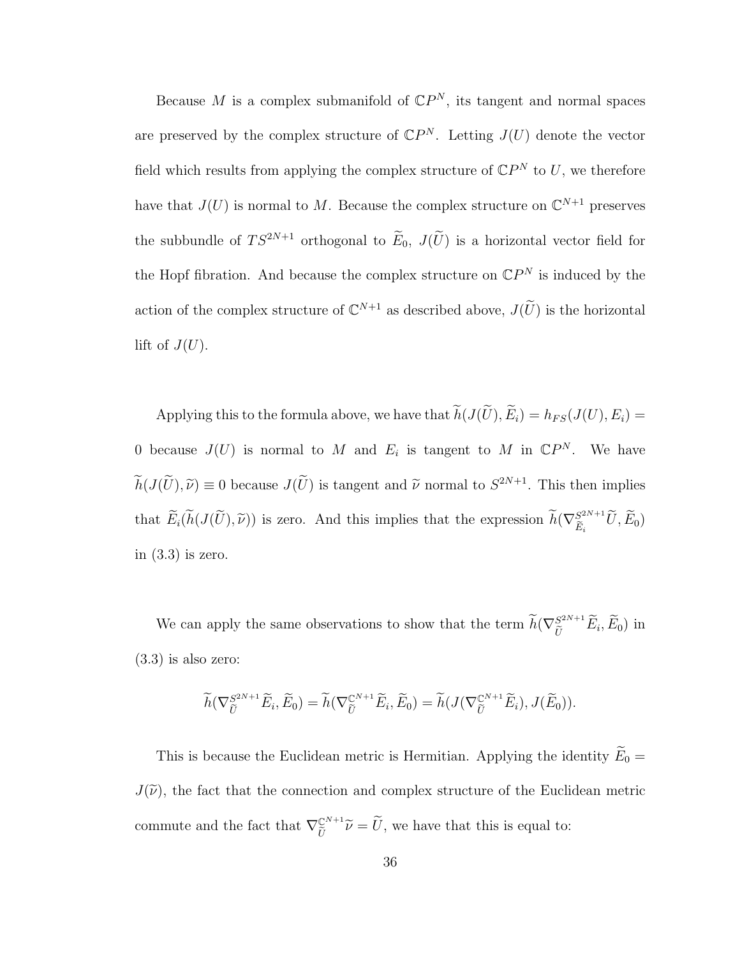Because M is a complex submanifold of  $\mathbb{C}P^N$ , its tangent and normal spaces are preserved by the complex structure of  $\mathbb{C}P^N$ . Letting  $J(U)$  denote the vector field which results from applying the complex structure of  $\mathbb{C}P^N$  to U, we therefore have that  $J(U)$  is normal to M. Because the complex structure on  $\mathbb{C}^{N+1}$  preserves the subbundle of  $TS^{2N+1}$  orthogonal to  $\widetilde{E}_0$ ,  $J(\widetilde{U})$  is a horizontal vector field for the Hopf fibration. And because the complex structure on  $\mathbb{C}P^N$  is induced by the action of the complex structure of  $\mathbb{C}^{N+1}$  as described above,  $J(\widetilde{U})$  is the horizontal lift of  $J(U)$ .

Applying this to the formula above, we have that  $\widetilde{h}(J(\widetilde{U}), \widetilde{E}_i) = h_{FS}(J(U), E_i) =$ 0 because  $J(U)$  is normal to M and  $E_i$  is tangent to M in  $\mathbb{C}P^N$ . We have  $h(J(\tilde{U}), \tilde{\nu}) \equiv 0$  because  $J(\tilde{U})$  is tangent and  $\tilde{\nu}$  normal to  $S^{2N+1}$ . This then implies that  $\widetilde{E}_i(\widetilde{h}(J(\widetilde{U}), \widetilde{\nu}))$  is zero. And this implies that the expression  $\widetilde{h}(\nabla_{\widetilde{E}_i}^{S^{2N+1}})$  $\widetilde{E}_i^{2N+1}U, E_0$ in  $(3.3)$  is zero.

We can apply the same observations to show that the term  $\widetilde{h}(\nabla_{\widetilde{U}}^{S^{2N+1}}\widetilde{E}_i,\widetilde{E}_0)$  in (3.3) is also zero:

$$
\widetilde{h}(\nabla_{\widetilde{U}}^{S^{2N+1}}\widetilde{E}_i,\widetilde{E}_0)=\widetilde{h}(\nabla_{\widetilde{U}}^{C^{N+1}}\widetilde{E}_i,\widetilde{E}_0)=\widetilde{h}(J(\nabla_{\widetilde{U}}^{C^{N+1}}\widetilde{E}_i),J(\widetilde{E}_0)).
$$

This is because the Euclidean metric is Hermitian. Applying the identity  $\widetilde{E}_0 =$  $J(\tilde{\nu})$ , the fact that the connection and complex structure of the Euclidean metric commute and the fact that  $\nabla_{\tilde{r}}^{\mathbb{C}^{N+1}}$  $\widetilde{U}^{\text{N+1}}\widetilde{\nu}=U$ , we have that this is equal to: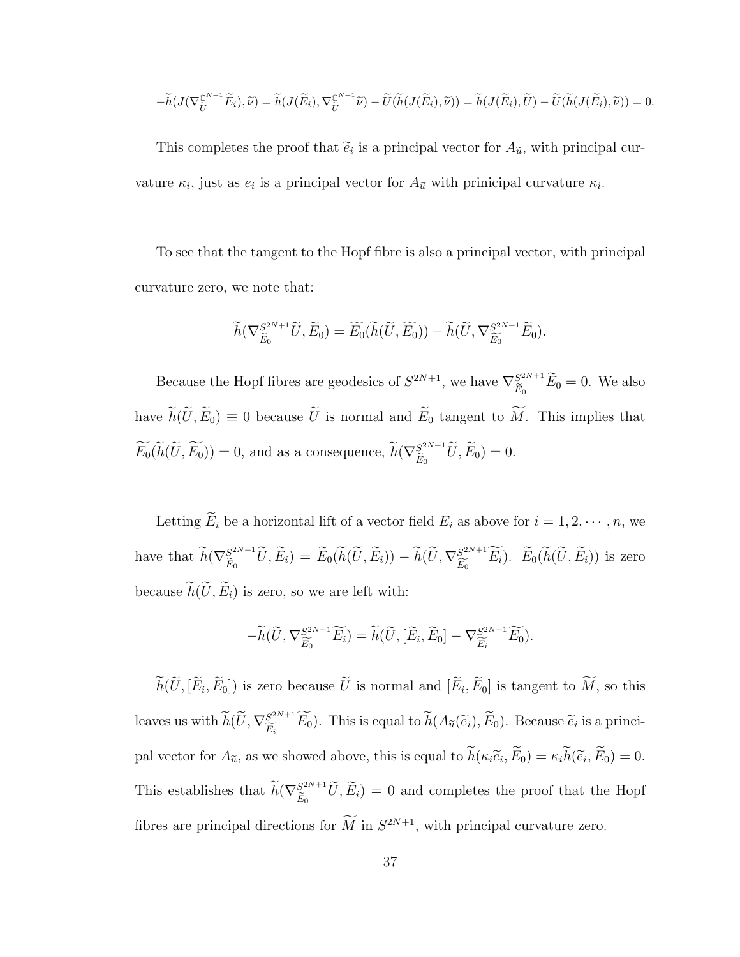$$
-\widetilde{h}(J(\nabla_{\widetilde{U}}^{\mathbb{C}^{N+1}}\widetilde{E}_i),\widetilde{\nu})=\widetilde{h}(J(\widetilde{E}_i),\nabla_{\widetilde{U}}^{\mathbb{C}^{N+1}}\widetilde{\nu})-\widetilde{U}(\widetilde{h}(J(\widetilde{E}_i),\widetilde{\nu}))=\widetilde{h}(J(\widetilde{E}_i),\widetilde{U})-\widetilde{U}(\widetilde{h}(J(\widetilde{E}_i),\widetilde{\nu}))=0.
$$

This completes the proof that  $\tilde{e}_i$  is a principal vector for  $A_{\tilde{u}}$ , with principal curvature  $\kappa_i$ , just as  $e_i$  is a principal vector for  $A_{\vec{u}}$  with prinicipal curvature  $\kappa_i$ .

To see that the tangent to the Hopf fibre is also a principal vector, with principal curvature zero, we note that:

$$
\widetilde{h}(\nabla_{\widetilde{E}_0}^{S^{2N+1}} \widetilde{U}, \widetilde{E}_0) = \widetilde{E}_0(\widetilde{h}(\widetilde{U}, \widetilde{E}_0)) - \widetilde{h}(\widetilde{U}, \nabla_{\widetilde{E}_0}^{S^{2N+1}} \widetilde{E}_0).
$$

Because the Hopf fibres are geodesics of  $S^{2N+1}$ , we have  $\nabla_{\tilde{r}}^{S^{2N+1}}$  $\tilde{E}_0^{2N+1} E_0 = 0$ . We also have  $\widetilde{h}(\widetilde{U}, \widetilde{E}_0) \equiv 0$  because  $\widetilde{U}$  is normal and  $\widetilde{E}_0$  tangent to  $\widetilde{M}$ . This implies that  $\widetilde{E}_0(\widetilde{h}(\widetilde{U}, \widetilde{E}_0)) = 0$ , and as a consequence,  $\widetilde{h}(\nabla_{\widetilde{E}_0}^{S^{2N+1}})$  $\tilde{E}_0^{2^{2N+1}}U, E_0)=0.$ 

Letting  $\widetilde{E}_i$  be a horizontal lift of a vector field  $E_i$  as above for  $i = 1, 2, \cdots, n$ , we have that  $\widetilde{h}(\nabla_{\widetilde{E}_0}^{S^{2N+1}})$  $\widetilde{E}_{\widetilde{E}_0}^{2N+1}\widetilde{U}, \widetilde{E}_i$ ) =  $\widetilde{E}_0(\widetilde{h}(\widetilde{U}, \widetilde{E}_i)) - \widetilde{h}(\widetilde{U}, \nabla_{\widetilde{E}_0}^{2^{2N+1}})$  $E_6^{S^{2N+1}}E_i$ ).  $E_0(h(U, E_i))$  is zero because  $\widetilde{h}(\widetilde{U}, \widetilde{E}_i)$  is zero, so we are left with:

$$
-\widetilde{h}(\widetilde{U}, \nabla_{\widetilde{E_0}}^{S^{2N+1}} \widetilde{E_i}) = \widetilde{h}(\widetilde{U}, [\widetilde{E}_i, \widetilde{E}_0] - \nabla_{\widetilde{E_i}}^{S^{2N+1}} \widetilde{E_0}).
$$

 $h(U, [E_i, E_0])$  is zero because U is normal and  $[E_i, E_0]$  is tangent to M, so this leaves us with  $\widetilde{h}(\widetilde{U}, \nabla_{\widetilde{E}_i}^{S^{2N+1}})$  $\widetilde{E}_i^{2N+1}E_0$ ). This is equal to  $h(A_{\widetilde{u}}(\widetilde{e}_i), E_0)$ . Because  $\widetilde{e}_i$  is a principal vector for  $A_{\tilde{u}}$ , as we showed above, this is equal to  $h(\kappa_i \tilde{e}_i, E_0) = \kappa_i h(\tilde{e}_i, E_0) = 0$ . This establishes that  $\widetilde{h}(\nabla_{\widetilde{E}_0}^{S^{2N+1}})$  $E_{\tilde{E}_0}^{2N+1}U, E_i$  = 0 and completes the proof that the Hopf fibres are principal directions for  $\overline{M}$  in  $S^{2N+1}$ , with principal curvature zero.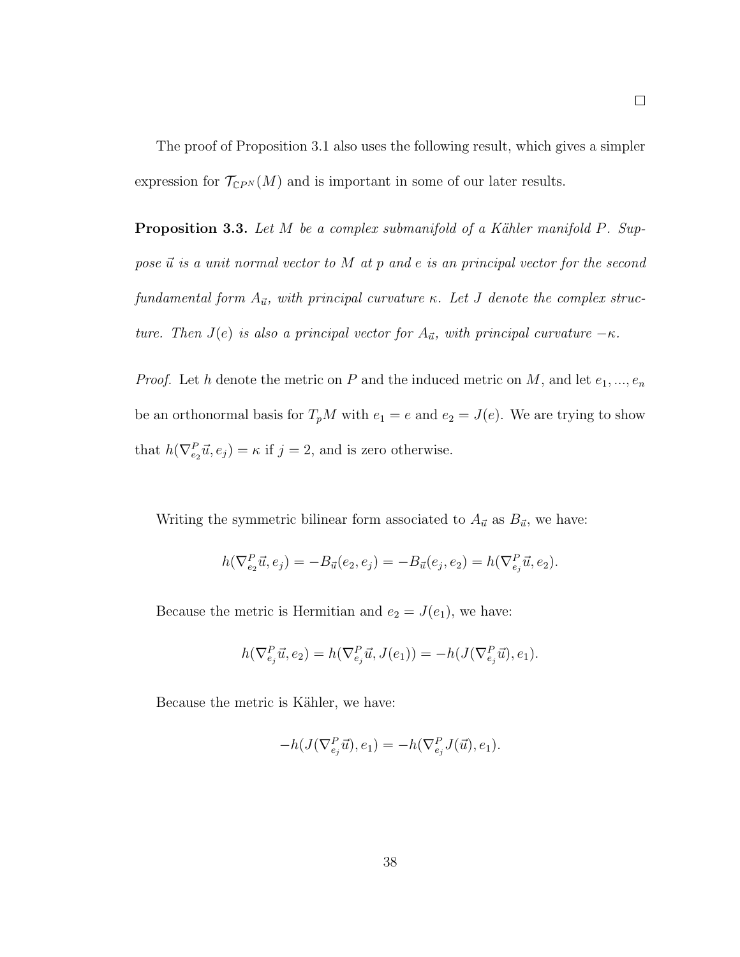The proof of Proposition 3.1 also uses the following result, which gives a simpler expression for  $\mathcal{T}_{\mathbb{C}P^N}(M)$  and is important in some of our later results.

**Proposition 3.3.** Let  $M$  be a complex submanifold of a Kähler manifold  $P$ . Suppose  $\vec{u}$  is a unit normal vector to M at p and e is an principal vector for the second fundamental form  $A_{\vec{u}}$ , with principal curvature κ. Let J denote the complex structure. Then  $J(e)$  is also a principal vector for  $A_{\vec{u}}$ , with principal curvature  $-\kappa$ .

*Proof.* Let h denote the metric on P and the induced metric on M, and let  $e_1, ..., e_n$ be an orthonormal basis for  $T_pM$  with  $e_1 = e$  and  $e_2 = J(e)$ . We are trying to show that  $h(\nabla_{e_2}^P \vec{u}, e_j) = \kappa$  if  $j = 2$ , and is zero otherwise.

Writing the symmetric bilinear form associated to  $A_{\vec{u}}$  as  $B_{\vec{u}}$ , we have:

$$
h(\nabla_{e_2}^P \vec{u}, e_j) = -B_{\vec{u}}(e_2, e_j) = -B_{\vec{u}}(e_j, e_2) = h(\nabla_{e_j}^P \vec{u}, e_2).
$$

Because the metric is Hermitian and  $e_2 = J(e_1)$ , we have:

$$
h(\nabla_{e_j}^P \vec{u}, e_2) = h(\nabla_{e_j}^P \vec{u}, J(e_1)) = -h(J(\nabla_{e_j}^P \vec{u}), e_1).
$$

Because the metric is Kähler, we have:

$$
-h(J(\nabla_{e_j}^P \vec{u}), e_1) = -h(\nabla_{e_j}^P J(\vec{u}), e_1).
$$

 $\Box$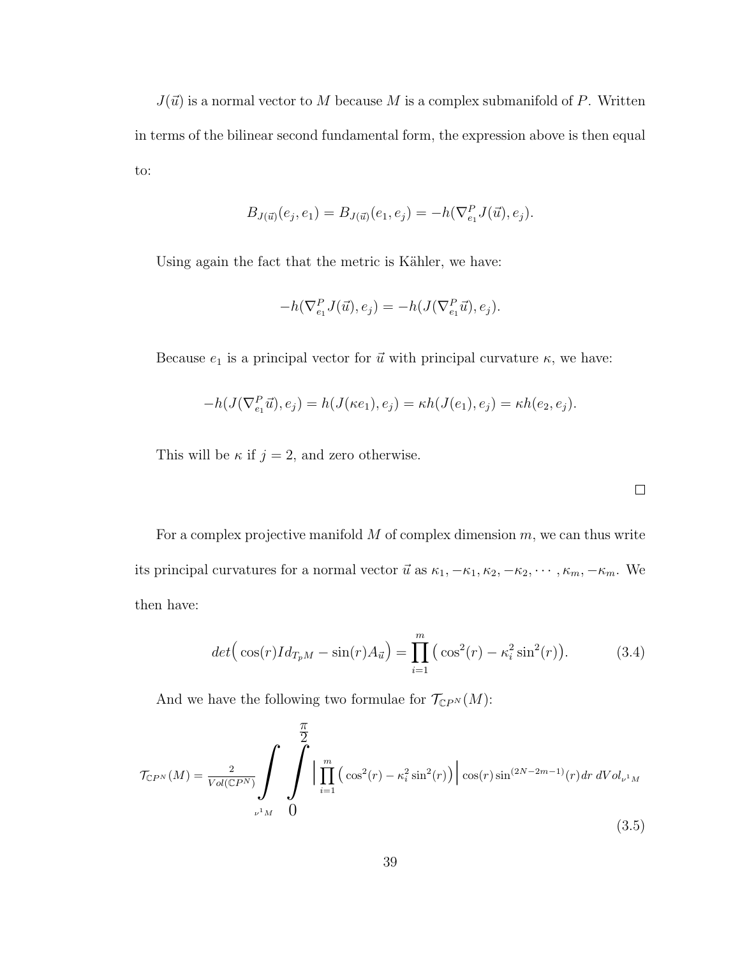$J(\vec{u})$  is a normal vector to M because M is a complex submanifold of P. Written in terms of the bilinear second fundamental form, the expression above is then equal to:

$$
B_{J(\vec{u})}(e_j, e_1) = B_{J(\vec{u})}(e_1, e_j) = -h(\nabla_{e_1}^P J(\vec{u}), e_j).
$$

Using again the fact that the metric is Kähler, we have:

$$
-h(\nabla_{e_1}^P J(\vec{u}), e_j) = -h(J(\nabla_{e_1}^P \vec{u}), e_j).
$$

Because  $e_1$  is a principal vector for  $\vec{u}$  with principal curvature  $\kappa$ , we have:

$$
-h(J(\nabla_{e_1}^P \vec{u}), e_j) = h(J(\kappa e_1), e_j) = \kappa h(J(e_1), e_j) = \kappa h(e_2, e_j).
$$

This will be  $\kappa$  if  $j = 2$ , and zero otherwise.

For a complex projective manifold  $M$  of complex dimension  $m$ , we can thus write its principal curvatures for a normal vector  $\vec{u}$  as  $\kappa_1, -\kappa_1, \kappa_2, -\kappa_2, \cdots, \kappa_m, -\kappa_m$ . We then have:

$$
det(\cos(r)Id_{T_pM} - \sin(r)A_{\vec{u}}) = \prod_{i=1}^{m} (\cos^2(r) - \kappa_i^2 \sin^2(r)).
$$
 (3.4)

And we have the following two formulae for  $\mathcal{T}_{\mathbb{C}P^N}(M)$ :

$$
\mathcal{T}_{\mathbb{C}P^N}(M) = \frac{2}{Vol(\mathbb{C}P^N)} \int \int \prod_{i=1}^m \left( \cos^2(r) - \kappa_i^2 \sin^2(r) \right) \cos(r) \sin^{(2N-2m-1)}(r) dr dVol_{\nu^1 M}
$$
\n
$$
U_{\nu^1 M} \quad (3.5)
$$

 $\Box$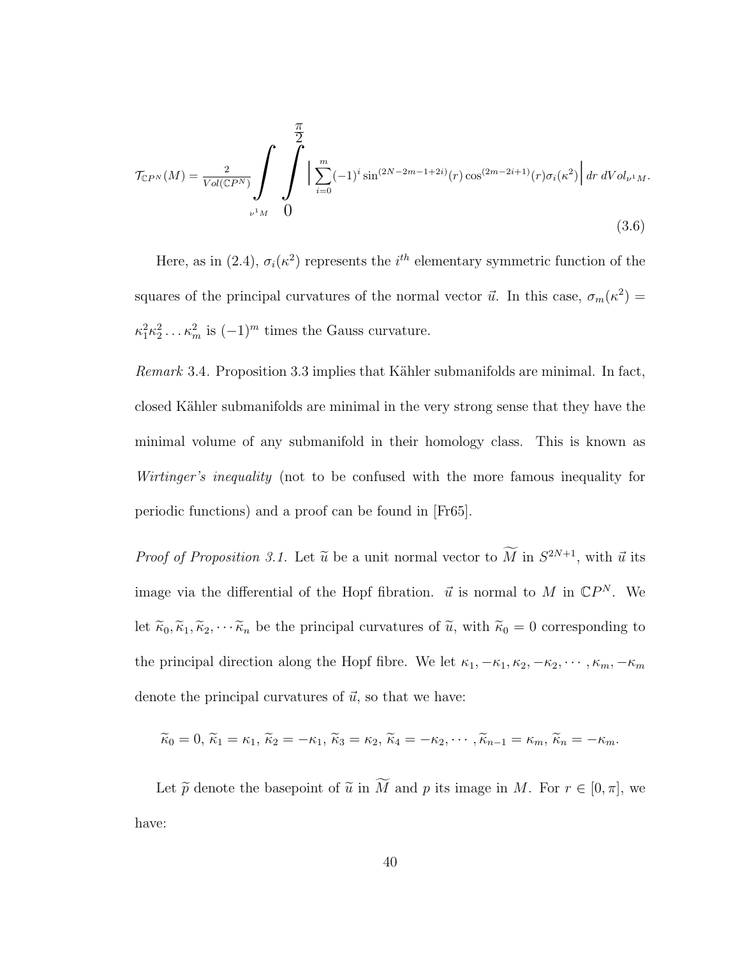$$
\mathcal{T}_{\mathbb{C}P^N}(M) = \frac{2}{Vol(\mathbb{C}P^N)} \int \int \int_{\nu^1 M}^{\frac{\pi}{2}} \left| \sum_{i=0}^m (-1)^i \sin^{(2N-2m-1+2i)}(r) \cos^{(2m-2i+1)}(r) \sigma_i(\kappa^2) \right| dr dVol_{\nu^1 M}.
$$
\n(3.6)

Here, as in (2.4),  $\sigma_i(\kappa^2)$  represents the  $i^{th}$  elementary symmetric function of the squares of the principal curvatures of the normal vector  $\vec{u}$ . In this case,  $\sigma_m(\kappa^2)$  =  $\kappa_1^2 \kappa_2^2 \dots \kappa_m^2$  is  $(-1)^m$  times the Gauss curvature.

Remark 3.4. Proposition 3.3 implies that Kähler submanifolds are minimal. In fact, closed Kähler submanifolds are minimal in the very strong sense that they have the minimal volume of any submanifold in their homology class. This is known as Wirtinger's inequality (not to be confused with the more famous inequality for periodic functions) and a proof can be found in [Fr65].

*Proof of Proposition 3.1.* Let  $\tilde{u}$  be a unit normal vector to  $\tilde{M}$  in  $S^{2N+1}$ , with  $\tilde{u}$  its image via the differential of the Hopf fibration.  $\vec{u}$  is normal to M in  $\mathbb{C}P^N$ . We let  $\tilde{\kappa}_0, \tilde{\kappa}_1, \tilde{\kappa}_2, \cdots, \tilde{\kappa}_n$  be the principal curvatures of  $\tilde{u}$ , with  $\tilde{\kappa}_0 = 0$  corresponding to the principal direction along the Hopf fibre. We let  $\kappa_1, -\kappa_1, \kappa_2, -\kappa_2, \cdots, \kappa_m, -\kappa_m$ denote the principal curvatures of  $\vec{u}$ , so that we have:

$$
\widetilde{\kappa}_0 = 0, \, \widetilde{\kappa}_1 = \kappa_1, \, \widetilde{\kappa}_2 = -\kappa_1, \, \widetilde{\kappa}_3 = \kappa_2, \, \widetilde{\kappa}_4 = -\kappa_2, \cdots, \widetilde{\kappa}_{n-1} = \kappa_m, \, \widetilde{\kappa}_n = -\kappa_m.
$$

Let  $\widetilde{p}$  denote the basepoint of  $\widetilde{u}$  in  $\widetilde{M}$  and p its image in M. For  $r \in [0, \pi]$ , we have: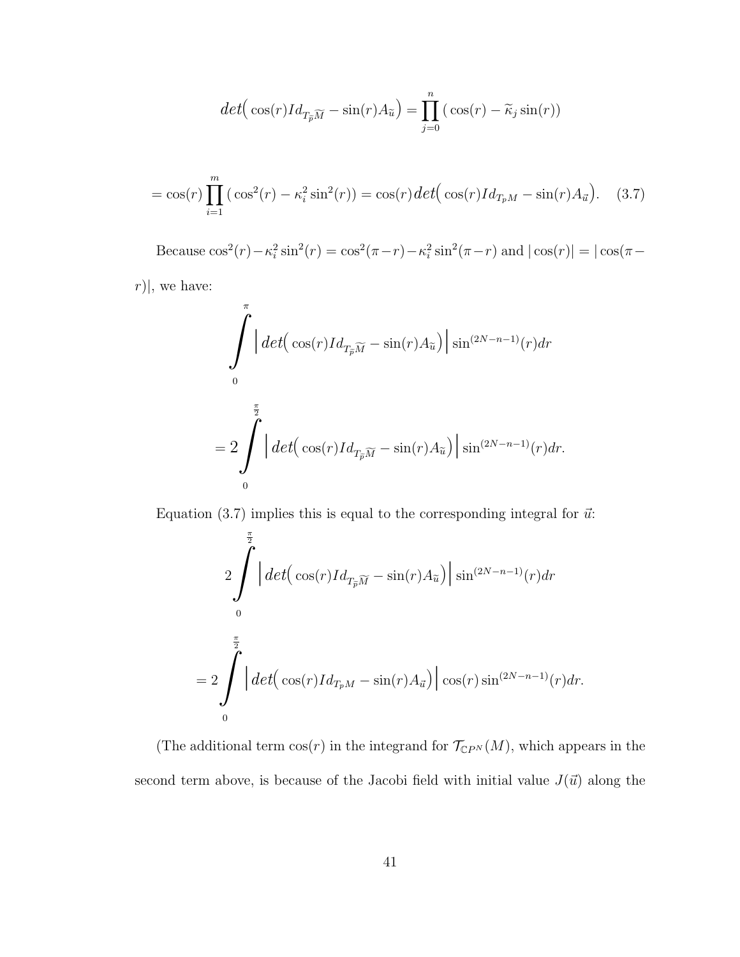$$
det(\cos(r)Id_{T_{\widetilde{p}}\widetilde{M}} - \sin(r)A_{\widetilde{u}}) = \prod_{j=0}^{n} (\cos(r) - \widetilde{\kappa}_j \sin(r))
$$

$$
= \cos(r) \prod_{i=1}^{m} (\cos^2(r) - \kappa_i^2 \sin^2(r)) = \cos(r) \det(\cos(r) I d_{T_p M} - \sin(r) A_{\vec{u}}). \quad (3.7)
$$

Because  $\cos^2(r) - \kappa_i^2 \sin^2(r) = \cos^2(\pi - r) - \kappa_i^2 \sin^2(\pi - r)$  and  $|\cos(r)| = |\cos(\pi - r)|$ 

 $r)|$ , we have:

$$
\int_{0}^{\pi} \left| \det\left(\cos(r)Id_{T_{\widetilde{p}}\widetilde{M}} - \sin(r)A_{\widetilde{u}}\right) \right| \sin^{(2N-n-1)}(r) dr
$$

$$
= 2 \int_{0}^{\frac{\pi}{2}} \left| \det\left(\cos(r)Id_{T_{\widetilde{p}}\widetilde{M}} - \sin(r)A_{\widetilde{u}}\right) \right| \sin^{(2N-n-1)}(r) dr.
$$

Equation (3.7) implies this is equal to the corresponding integral for  $\vec{u}$ :

$$
2\int_{0}^{\frac{\pi}{2}} \left| det\left(\cos(r)Id_{T_{\widetilde{p}}}\widetilde{M} - \sin(r)A_{\widetilde{u}}\right) \right| \sin^{(2N-n-1)}(r) dr
$$

$$
= 2\int_{0}^{\frac{\pi}{2}} \left| det\left(\cos(r)Id_{T_{p}M} - \sin(r)A_{\widetilde{u}}\right) \right| \cos(r) \sin^{(2N-n-1)}(r) dr.
$$

(The additional term  $\cos(r)$  in the integrand for  $\mathcal{T}_{\mathbb{C}P^N}(M)$ , which appears in the second term above, is because of the Jacobi field with initial value  $J(\vec{u})$  along the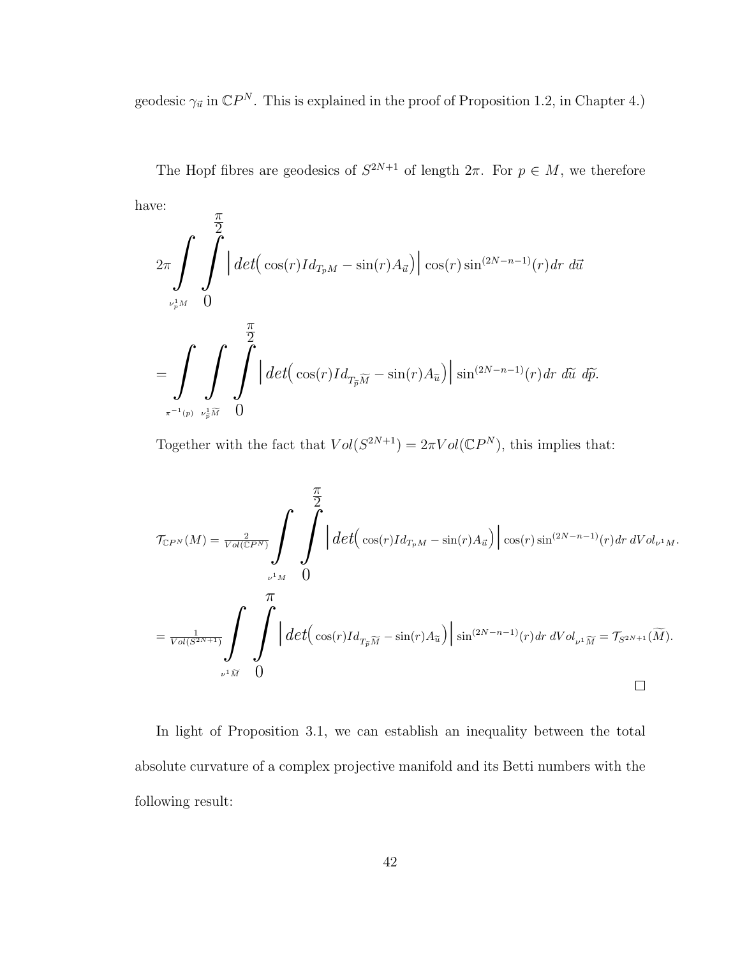geodesic  $\gamma_{\vec{u}}$  in  $\mathbb{C}P^N$ . This is explained in the proof of Proposition 1.2, in Chapter 4.)

The Hopf fibres are geodesics of  $S^{2N+1}$  of length  $2\pi$ . For  $p \in M$ , we therefore have:  $\pi$ 

$$
2\pi \int \int \int \int \left| \det \left( \cos(r)Id_{T_pM} - \sin(r)A_{\vec{u}} \right) \right| \cos(r) \sin^{(2N-n-1)}(r) dr d\vec{u}
$$
  

$$
= \int \int \int \int \int \left| \det \left( \cos(r)Id_{T_{\vec{p}}\widetilde{M}} - \sin(r)A_{\widetilde{u}} \right) \right| \sin^{(2N-n-1)}(r) dr d\widetilde{u} d\widetilde{p}.
$$

Together with the fact that  $Vol(S^{2N+1}) = 2\pi Vol(\mathbb{C}P^N)$ , this implies that:

$$
\mathcal{T}_{\mathbb{C}P^N}(M) = \frac{2}{\operatorname{Vol}(\mathbb{C}P^N)} \int \int \left| \det \left( \cos(r)Id_{T_pM} - \sin(r)A_{\vec{u}} \right) \right| \cos(r) \sin^{(2N-n-1)}(r) dr dVol_{\nu^1M}.
$$
  
\n
$$
= \frac{1}{\operatorname{Vol}(S^{2N+1})} \int \int \int \left| \det \left( \cos(r)Id_{T_{\widetilde{p}M}} - \sin(r)A_{\widetilde{u}} \right) \right| \sin^{(2N-n-1)}(r) dr dVol_{\nu^1M} = \mathcal{T}_{S^{2N+1}}(\widetilde{M}).
$$

In light of Proposition 3.1, we can establish an inequality between the total absolute curvature of a complex projective manifold and its Betti numbers with the following result: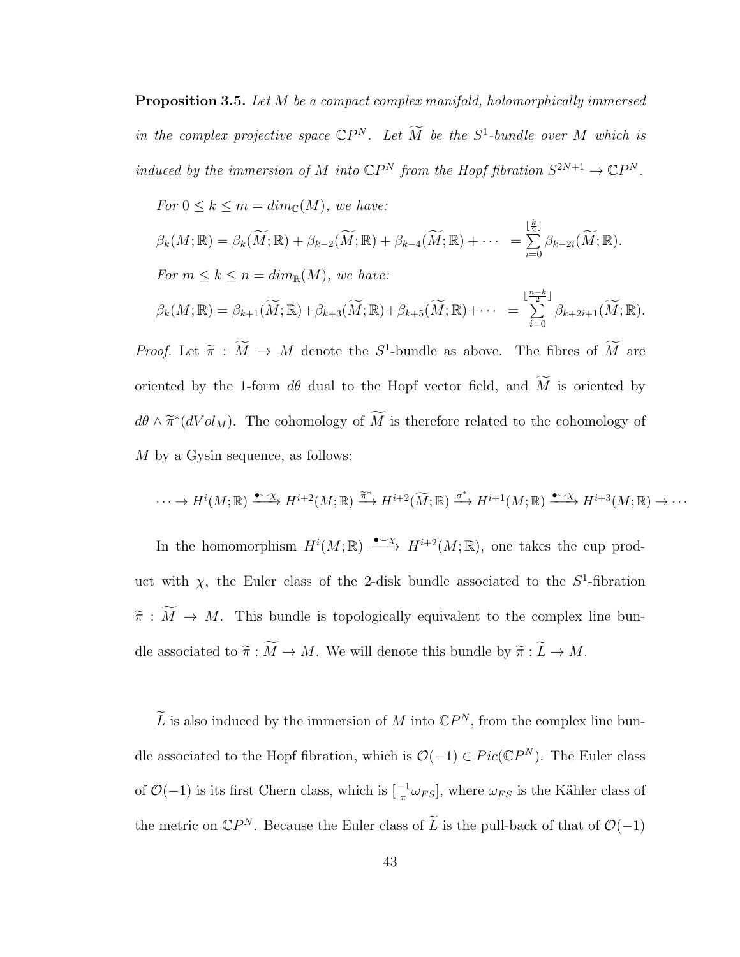Proposition 3.5. Let M be a compact complex manifold, holomorphically immersed in the complex projective space  $\mathbb{C}P^N$ . Let  $\widetilde{M}$  be the  $S^1$ -bundle over M which is induced by the immersion of M into  $\mathbb{C}P^N$  from the Hopf fibration  $S^{2N+1} \to \mathbb{C}P^N$ .

For 
$$
0 \le k \le m = dim_{\mathbb{C}}(M)
$$
, we have:  
\n
$$
\beta_k(M; \mathbb{R}) = \beta_k(\widetilde{M}; \mathbb{R}) + \beta_{k-2}(\widetilde{M}; \mathbb{R}) + \beta_{k-4}(\widetilde{M}; \mathbb{R}) + \cdots = \sum_{i=0}^{\lfloor \frac{k}{2} \rfloor} \beta_{k-2i}(\widetilde{M}; \mathbb{R}).
$$
\nFor  $m \le k \le n = dim_{\mathbb{R}}(M)$ , we have:  
\n
$$
\beta_k(M; \mathbb{R}) = \beta_{k+1}(\widetilde{M}; \mathbb{R}) + \beta_{k+3}(\widetilde{M}; \mathbb{R}) + \beta_{k+5}(\widetilde{M}; \mathbb{R}) + \cdots = \sum_{i=0}^{\lfloor \frac{n-k}{2} \rfloor} \beta_{k+2i+1}(\widetilde{M}; \mathbb{R}).
$$

*Proof.* Let  $\tilde{\pi}$  :  $\tilde{M} \to M$  denote the  $S^1$ -bundle as above. The fibres of  $\tilde{M}$  are oriented by the 1-form  $d\theta$  dual to the Hopf vector field, and  $\widetilde{M}$  is oriented by  $d\theta \wedge \tilde{\pi}^*(dVol_M)$ . The cohomology of  $\tilde{M}$  is therefore related to the cohomology of M by a Gysin sequence, as follows:

$$
\cdots \to H^{i}(M;\mathbb{R}) \xrightarrow{\bullet \sim \chi} H^{i+2}(M;\mathbb{R}) \xrightarrow{\tilde{\pi}^{*}} H^{i+2}(\widetilde{M};\mathbb{R}) \xrightarrow{\sigma^{*}} H^{i+1}(M;\mathbb{R}) \xrightarrow{\bullet \sim \chi} H^{i+3}(M;\mathbb{R}) \to \cdots
$$

In the homomorphism  $H^i(M;\mathbb{R}) \longrightarrow {\bullet} \infty$   $H^{i+2}(M;\mathbb{R})$ , one takes the cup product with  $\chi$ , the Euler class of the 2-disk bundle associated to the  $S^1$ -fibration  $\widetilde{\pi} : \widetilde{M} \to M$ . This bundle is topologically equivalent to the complex line bundle associated to  $\widetilde{\pi} : \widetilde{M} \to M$ . We will denote this bundle by  $\widetilde{\pi} : \widetilde{L} \to M$ .

 $\widetilde{L}$  is also induced by the immersion of M into  $\mathbb{C}P^N$ , from the complex line bundle associated to the Hopf fibration, which is  $\mathcal{O}(-1) \in Pic(\mathbb{C}P^N)$ . The Euler class of  $\mathcal{O}(-1)$  is its first Chern class, which is  $\left[\frac{-1}{\pi}\omega_{FS}\right]$ , where  $\omega_{FS}$  is the Kähler class of the metric on  $\mathbb{C}P^N$ . Because the Euler class of  $\widetilde{L}$  is the pull-back of that of  $\mathcal{O}(-1)$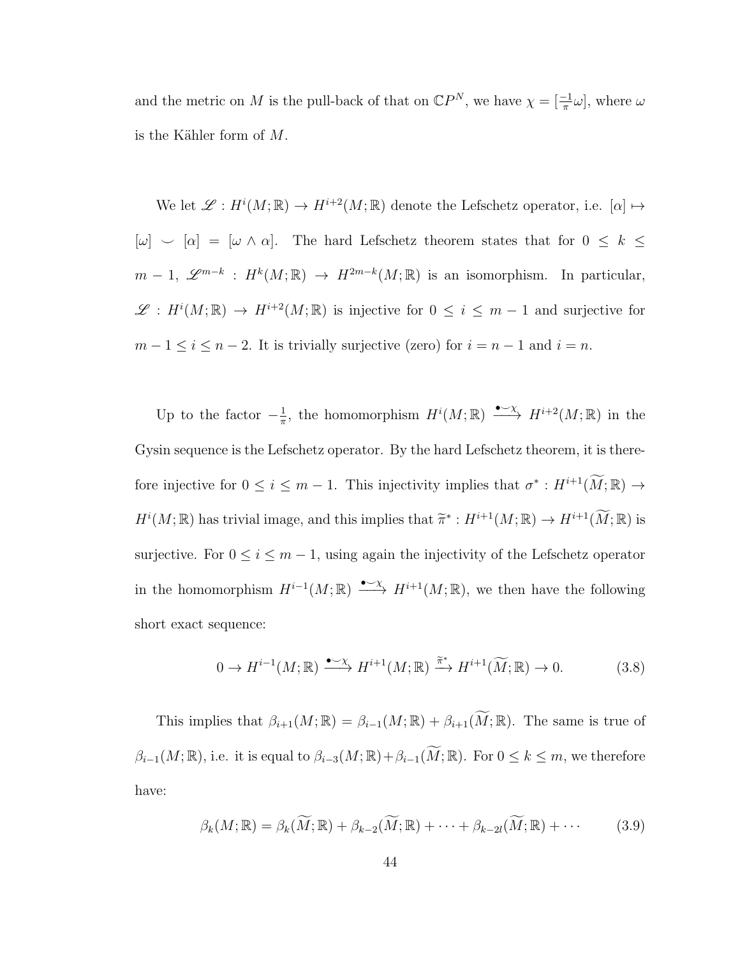and the metric on M is the pull-back of that on  $\mathbb{C}P^N$ , we have  $\chi = \left[\frac{-1}{\pi}\omega\right]$ , where  $\omega$ is the Kähler form of  $M$ .

We let  $\mathscr{L}: H^i(M;\mathbb{R}) \to H^{i+2}(M;\mathbb{R})$  denote the Lefschetz operator, i.e.  $[\alpha] \mapsto$  $[\omega] \sim [\alpha] = [\omega \wedge \alpha]$ . The hard Lefschetz theorem states that for  $0 \leq k \leq$  $m-1, \mathscr{L}^{m-k} : H^k(M;\mathbb{R}) \to H^{2m-k}(M;\mathbb{R})$  is an isomorphism. In particular,  $\mathscr{L}: H^{i}(M;\mathbb{R}) \to H^{i+2}(M;\mathbb{R})$  is injective for  $0 \leq i \leq m-1$  and surjective for  $m-1 \leq i \leq n-2$ . It is trivially surjective (zero) for  $i = n-1$  and  $i = n$ .

Up to the factor  $-\frac{1}{\pi}$  $\frac{1}{\pi}$ , the homomorphism  $H^{i}(M;\mathbb{R}) \longrightarrow {\longrightarrow} H^{i+2}(M;\mathbb{R})$  in the Gysin sequence is the Lefschetz operator. By the hard Lefschetz theorem, it is therefore injective for  $0 \leq i \leq m-1$ . This injectivity implies that  $\sigma^* : H^{i+1}(\widetilde{M}; \mathbb{R}) \to$  $H^i(M;\mathbb{R})$  has trivial image, and this implies that  $\widetilde{\pi}^*: H^{i+1}(M;\mathbb{R}) \to H^{i+1}(\widetilde{M};\mathbb{R})$  is surjective. For  $0 \le i \le m - 1$ , using again the injectivity of the Lefschetz operator in the homomorphism  $H^{i-1}(M;\mathbb{R}) \longrightarrow H^{i+1}(M;\mathbb{R})$ , we then have the following short exact sequence:

$$
0 \to H^{i-1}(M; \mathbb{R}) \xrightarrow{\bullet \sim \chi} H^{i+1}(M; \mathbb{R}) \xrightarrow{\tilde{\pi}^*} H^{i+1}(\widetilde{M}; \mathbb{R}) \to 0. \tag{3.8}
$$

This implies that  $\beta_{i+1}(M;\mathbb{R}) = \beta_{i-1}(M;\mathbb{R}) + \beta_{i+1}(\widetilde{M};\mathbb{R})$ . The same is true of  $\beta_{i-1}(M;\mathbb{R})$ , i.e. it is equal to  $\beta_{i-3}(M;\mathbb{R})+\beta_{i-1}(\widetilde{M};\mathbb{R})$ . For  $0\leq k\leq m$ , we therefore have:

$$
\beta_k(M; \mathbb{R}) = \beta_k(\widetilde{M}; \mathbb{R}) + \beta_{k-2}(\widetilde{M}; \mathbb{R}) + \dots + \beta_{k-2l}(\widetilde{M}; \mathbb{R}) + \dots \tag{3.9}
$$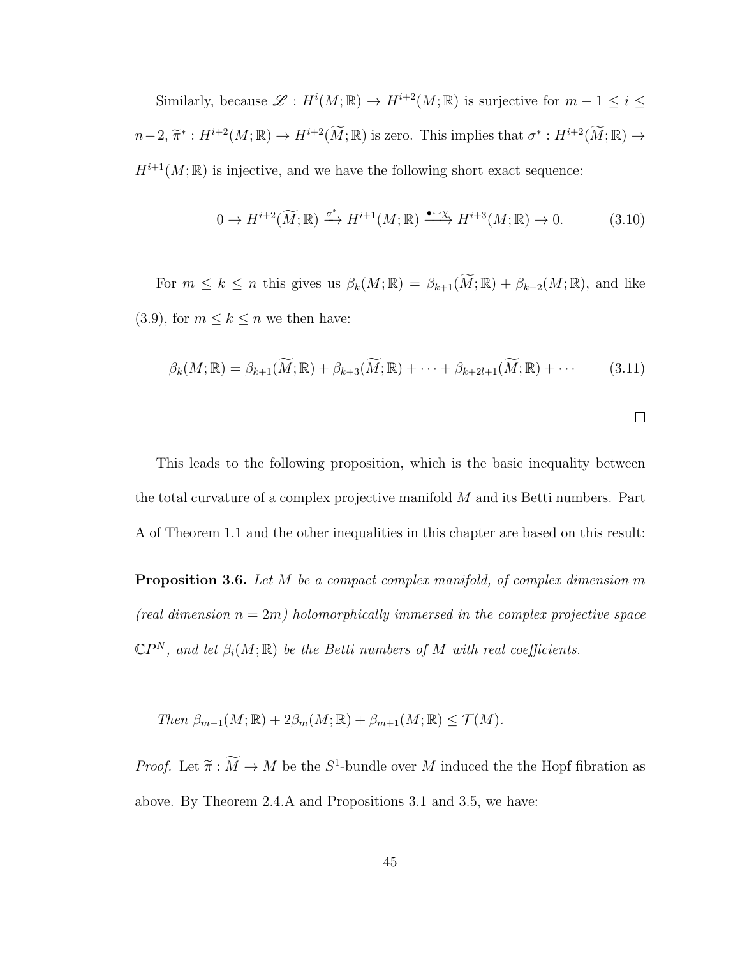Similarly, because  $\mathscr{L}: H^i(M; \mathbb{R}) \to H^{i+2}(M; \mathbb{R})$  is surjective for  $m-1 \leq i \leq k$  $n-2, \widetilde{\pi}^* : H^{i+2}(M;\mathbb{R}) \to H^{i+2}(\widetilde{M};\mathbb{R})$  is zero. This implies that  $\sigma^* : H^{i+2}(\widetilde{M};\mathbb{R}) \to$  $H^{i+1}(M;\mathbb{R})$  is injective, and we have the following short exact sequence:

$$
0 \to H^{i+2}(\widetilde{M}; \mathbb{R}) \xrightarrow{\sigma^*} H^{i+1}(M; \mathbb{R}) \xrightarrow{\bullet \to \chi} H^{i+3}(M; \mathbb{R}) \to 0. \tag{3.10}
$$

For  $m \leq k \leq n$  this gives us  $\beta_k(M;\mathbb{R}) = \beta_{k+1}(\widetilde{M};\mathbb{R}) + \beta_{k+2}(M;\mathbb{R})$ , and like (3.9), for  $m \leq k \leq n$  we then have:

$$
\beta_k(M; \mathbb{R}) = \beta_{k+1}(\widetilde{M}; \mathbb{R}) + \beta_{k+3}(\widetilde{M}; \mathbb{R}) + \dots + \beta_{k+2l+1}(\widetilde{M}; \mathbb{R}) + \dots \tag{3.11}
$$

This leads to the following proposition, which is the basic inequality between the total curvature of a complex projective manifold  $M$  and its Betti numbers. Part A of Theorem 1.1 and the other inequalities in this chapter are based on this result:

**Proposition 3.6.** Let M be a compact complex manifold, of complex dimension m (real dimension  $n = 2m$ ) holomorphically immersed in the complex projective space  $\mathbb{C}P^N$ , and let  $\beta_i(M;\mathbb{R})$  be the Betti numbers of M with real coefficients.

Then  $\beta_{m-1}(M;\mathbb{R})+2\beta_m(M;\mathbb{R})+\beta_{m+1}(M;\mathbb{R})\leq \mathcal{T}(M).$ 

*Proof.* Let  $\widetilde{\pi} : \widetilde{M} \to M$  be the  $S^1$ -bundle over M induced the the Hopf fibration as above. By Theorem 2.4.A and Propositions 3.1 and 3.5, we have: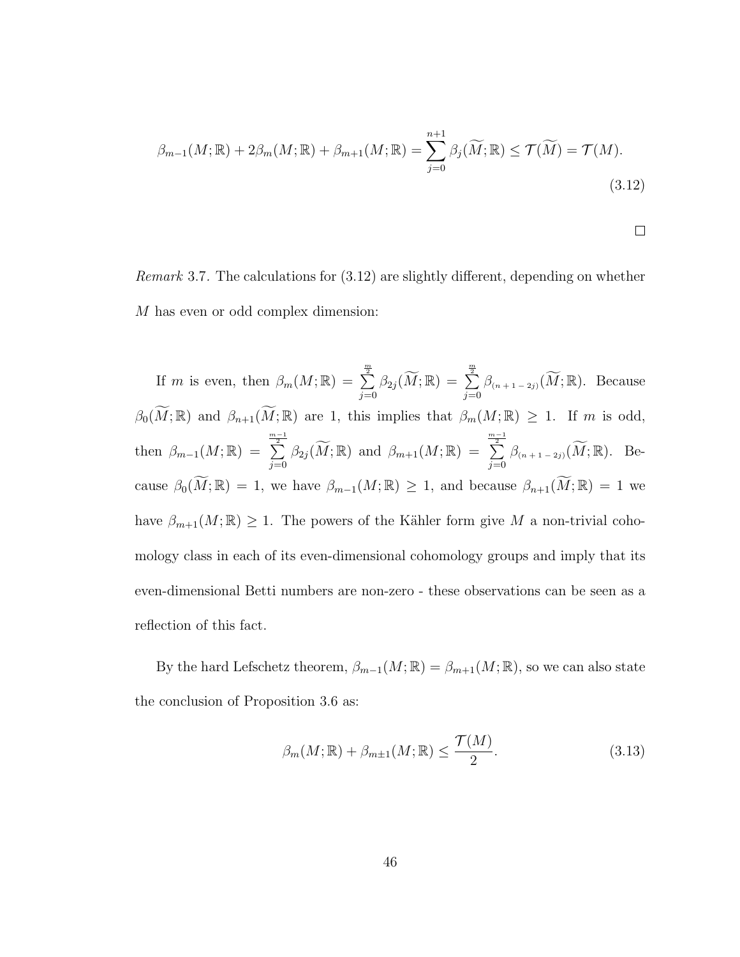$$
\beta_{m-1}(M;\mathbb{R}) + 2\beta_m(M;\mathbb{R}) + \beta_{m+1}(M;\mathbb{R}) = \sum_{j=0}^{n+1} \beta_j(\widetilde{M};\mathbb{R}) \le \mathcal{T}(\widetilde{M}) = \mathcal{T}(M).
$$
\n(3.12)

$$
\qquad \qquad \Box
$$

Remark 3.7. The calculations for (3.12) are slightly different, depending on whether M has even or odd complex dimension:

If m is even, then  $\beta_m(M; \mathbb{R}) = \sum_{n=1}^{\infty}$  $\sum\limits_{j=0}^{\frac{m}{2}}\beta_{2j}(\widetilde{M};\mathbb{R})\,=\,\sum\limits_{j=0}^{\frac{m}{2}}% \sum\limits_{j=0}^{\frac{m}{2}}\mathcal{R}(M;\mathbb{R})\, . \label{eq:4.14}$  $\sum_{j=0}^{\infty} \beta_{(n+1-2j)}(\widetilde{M};\mathbb{R})$ . Because  $\beta_0(\widetilde{M}; \mathbb{R})$  and  $\beta_{n+1}(\widetilde{M}; \mathbb{R})$  are 1, this implies that  $\beta_m(M; \mathbb{R}) \geq 1$ . If m is odd, then  $\beta_{m-1}(M;\mathbb{R}) = \sum_{n=1}^{\infty}$  $\sum_{j=0}^{\frac{m-1}{2}}\beta_{2j}(\widetilde{M};\mathbb{R}) \ \ \text{and} \ \ \beta_{m+1}(M;\mathbb{R}) \ = \ \sum_{j=0}^{\frac{m-1}{2}}$  $\sum_{j=0}^{\infty} \beta_{(n+1-2j)}(\widetilde{M};\mathbb{R})$ . Because  $\beta_0(\widetilde{M};\mathbb{R}) = 1$ , we have  $\beta_{m-1}(M;\mathbb{R}) \geq 1$ , and because  $\beta_{n+1}(\widetilde{M};\mathbb{R}) = 1$  we have  $\beta_{m+1}(M;\mathbb{R}) \geq 1$ . The powers of the Kähler form give M a non-trivial cohomology class in each of its even-dimensional cohomology groups and imply that its even-dimensional Betti numbers are non-zero - these observations can be seen as a reflection of this fact.

By the hard Lefschetz theorem,  $\beta_{m-1}(M;\mathbb{R}) = \beta_{m+1}(M;\mathbb{R})$ , so we can also state the conclusion of Proposition 3.6 as:

$$
\beta_m(M; \mathbb{R}) + \beta_{m \pm 1}(M; \mathbb{R}) \le \frac{\mathcal{T}(M)}{2}.
$$
\n(3.13)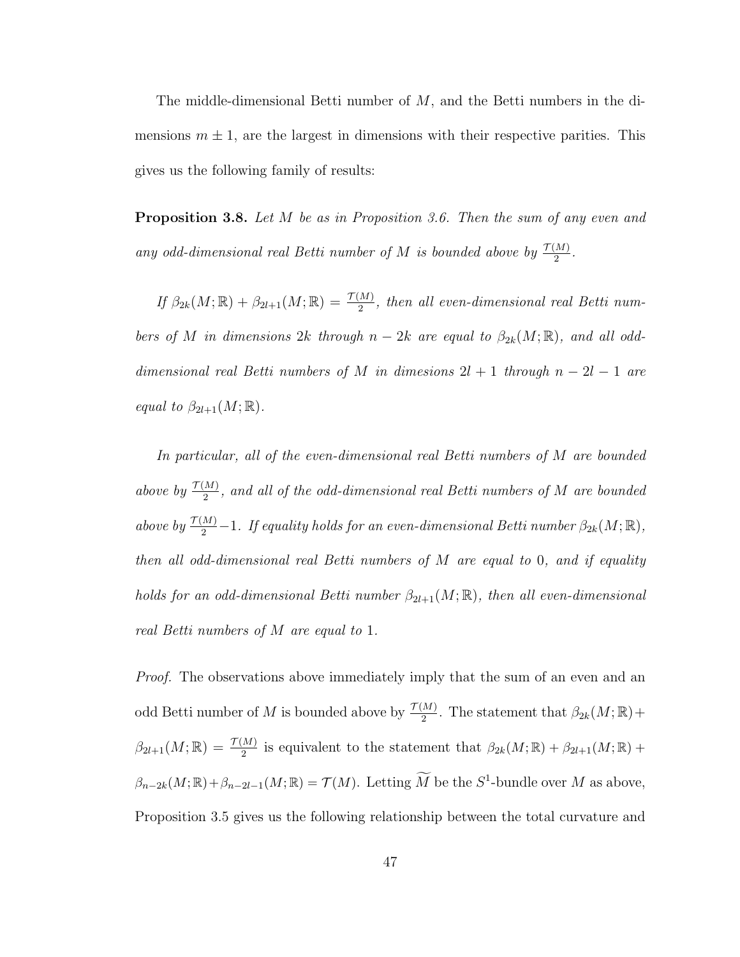The middle-dimensional Betti number of  $M$ , and the Betti numbers in the dimensions  $m \pm 1$ , are the largest in dimensions with their respective parities. This gives us the following family of results:

**Proposition 3.8.** Let M be as in Proposition 3.6. Then the sum of any even and any odd-dimensional real Betti number of M is bounded above by  $\frac{\mathcal{T}(M)}{2}$ .

If  $\beta_{2k}(M;\mathbb{R}) + \beta_{2l+1}(M;\mathbb{R}) = \frac{\mathcal{T}(M)}{2}$ , then all even-dimensional real Betti numbers of M in dimensions 2k through  $n-2k$  are equal to  $\beta_{2k}(M;\mathbb{R})$ , and all odddimensional real Betti numbers of M in dimesions  $2l + 1$  through  $n - 2l - 1$  are equal to  $\beta_{2l+1}(M;\mathbb{R})$ .

In particular, all of the even-dimensional real Betti numbers of M are bounded above by  $\frac{\mathcal{T}(M)}{2}$ , and all of the odd-dimensional real Betti numbers of M are bounded above by  $\frac{\mathcal{T}(M)}{2} - 1$ . If equality holds for an even-dimensional Betti number  $\beta_{2k}(M;\mathbb{R}),$ then all odd-dimensional real Betti numbers of M are equal to 0, and if equality holds for an odd-dimensional Betti number  $\beta_{2l+1}(M;\mathbb{R})$ , then all even-dimensional real Betti numbers of M are equal to 1.

*Proof.* The observations above immediately imply that the sum of an even and an odd Betti number of M is bounded above by  $\frac{\mathcal{T}(M)}{2}$ . The statement that  $\beta_{2k}(M;\mathbb{R})$  +  $\beta_{2l+1}(M;\mathbb{R}) = \frac{\mathcal{T}(M)}{2}$  is equivalent to the statement that  $\beta_{2k}(M;\mathbb{R}) + \beta_{2l+1}(M;\mathbb{R}) +$  $\beta_{n-2k}(M;\mathbb{R})+\beta_{n-2l-1}(M;\mathbb{R})=\mathcal{T}(M)$ . Letting  $\overline{M}$  be the  $S^1$ -bundle over  $M$  as above, Proposition 3.5 gives us the following relationship between the total curvature and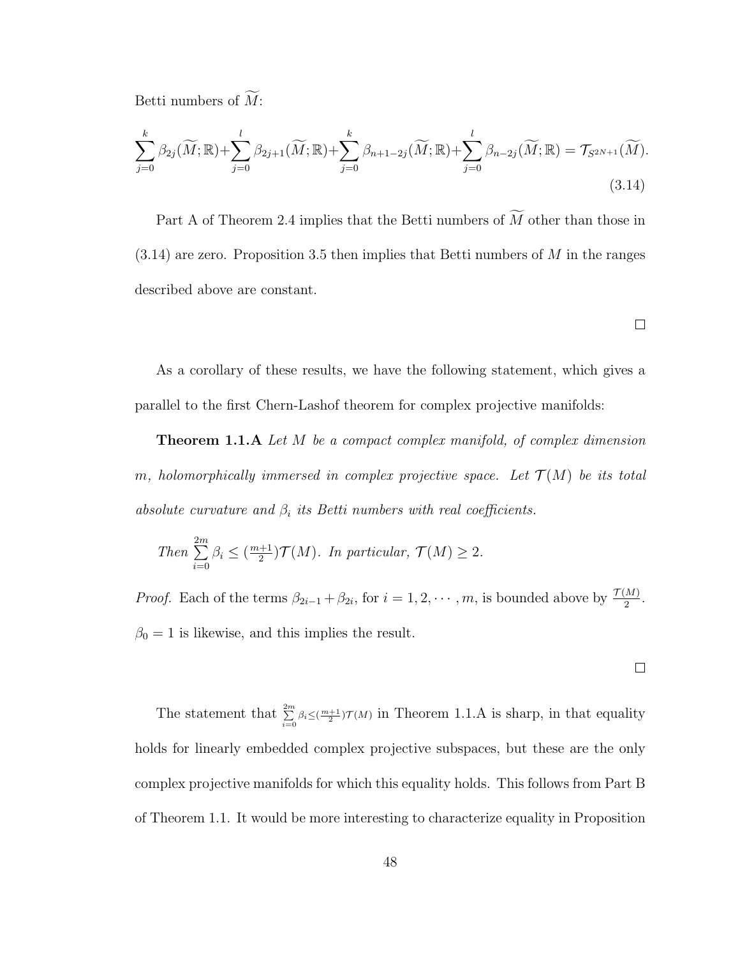Betti numbers of  $\widetilde{M}$ :

$$
\sum_{j=0}^{k} \beta_{2j}(\widetilde{M}; \mathbb{R}) + \sum_{j=0}^{l} \beta_{2j+1}(\widetilde{M}; \mathbb{R}) + \sum_{j=0}^{k} \beta_{n+1-2j}(\widetilde{M}; \mathbb{R}) + \sum_{j=0}^{l} \beta_{n-2j}(\widetilde{M}; \mathbb{R}) = \mathcal{T}_{S^{2N+1}}(\widetilde{M}).
$$
\n(3.14)

Part A of Theorem 2.4 implies that the Betti numbers of  $\widetilde{M}$  other than those in  $(3.14)$  are zero. Proposition 3.5 then implies that Betti numbers of M in the ranges described above are constant.

 $\Box$ 

As a corollary of these results, we have the following statement, which gives a parallel to the first Chern-Lashof theorem for complex projective manifolds:

**Theorem 1.1.A** Let M be a compact complex manifold, of complex dimension m, holomorphically immersed in complex projective space. Let  $\mathcal{T}(M)$  be its total absolute curvature and  $\beta_i$  its Betti numbers with real coefficients.

Then 
$$
\sum_{i=0}^{2m} \beta_i \leq (\frac{m+1}{2})\mathcal{T}(M).
$$
 In particular,  $\mathcal{T}(M) \geq 2$ .

*Proof.* Each of the terms  $\beta_{2i-1} + \beta_{2i}$ , for  $i = 1, 2, \dots, m$ , is bounded above by  $\frac{\mathcal{T}(M)}{2}$ .  $\beta_0 = 1$  is likewise, and this implies the result.

 $\Box$ 

The statement that  $\sum_{i=0}^{2m} \beta_i \leq (\frac{m+1}{2})\mathcal{T}(M)$  in Theorem 1.1.A is sharp, in that equality holds for linearly embedded complex projective subspaces, but these are the only complex projective manifolds for which this equality holds. This follows from Part B of Theorem 1.1. It would be more interesting to characterize equality in Proposition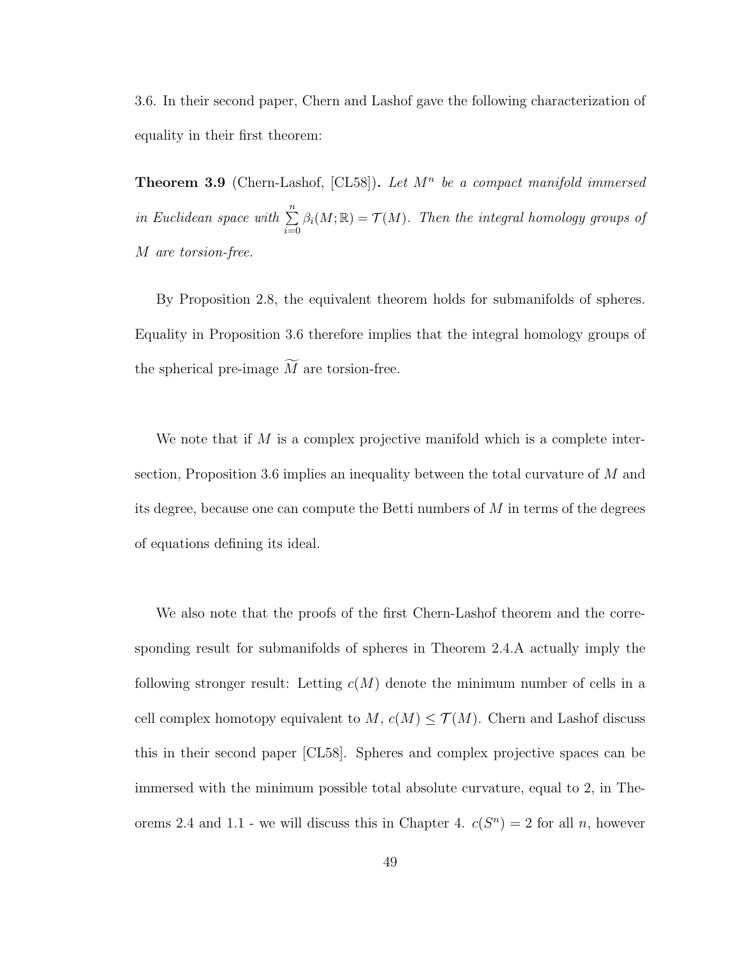3.6. In their second paper, Chern and Lashof gave the following characterization of equality in their first theorem:

**Theorem 3.9** (Chern-Lashof, [CL58]). Let  $M^n$  be a compact manifold immersed in Euclidean space with  $\sum_{n=1}^{\infty}$  $i=0$  $\beta_i(M;\mathbb{R}) = \mathcal{T}(M)$ . Then the integral homology groups of M are torsion-free.

By Proposition 2.8, the equivalent theorem holds for submanifolds of spheres. Equality in Proposition 3.6 therefore implies that the integral homology groups of the spherical pre-image  $\widetilde{M}$  are torsion-free.

We note that if  $M$  is a complex projective manifold which is a complete intersection, Proposition 3.6 implies an inequality between the total curvature of M and its degree, because one can compute the Betti numbers of M in terms of the degrees of equations defining its ideal.

We also note that the proofs of the first Chern-Lashof theorem and the corresponding result for submanifolds of spheres in Theorem 2.4.A actually imply the following stronger result: Letting  $c(M)$  denote the minimum number of cells in a cell complex homotopy equivalent to  $M$ ,  $c(M) \leq \mathcal{T}(M)$ . Chern and Lashof discuss this in their second paper [CL58]. Spheres and complex projective spaces can be immersed with the minimum possible total absolute curvature, equal to 2, in Theorems 2.4 and 1.1 - we will discuss this in Chapter 4.  $c(S^n) = 2$  for all n, however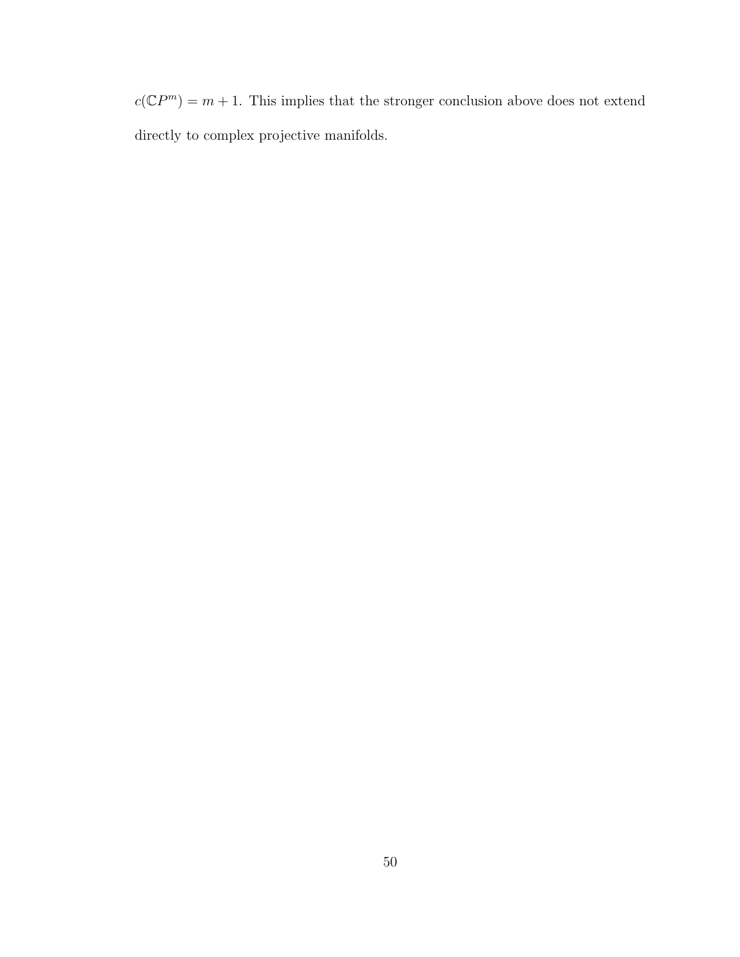$c(\mathbb{C}P^m) = m + 1$ . This implies that the stronger conclusion above does not extend directly to complex projective manifolds.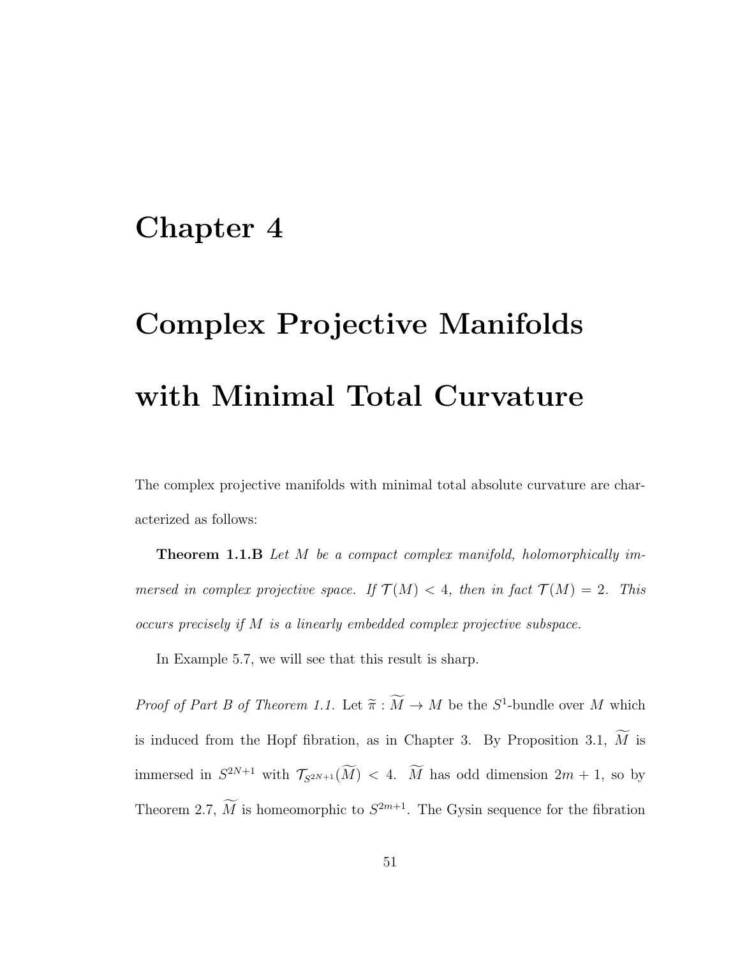## Chapter 4

## Complex Projective Manifolds with Minimal Total Curvature

The complex projective manifolds with minimal total absolute curvature are characterized as follows:

Theorem 1.1.B Let M be a compact complex manifold, holomorphically immersed in complex projective space. If  $\mathcal{T}(M) < 4$ , then in fact  $\mathcal{T}(M) = 2$ . This occurs precisely if M is a linearly embedded complex projective subspace.

In Example 5.7, we will see that this result is sharp.

*Proof of Part B of Theorem 1.1.* Let  $\tilde{\pi}: M \to M$  be the  $S^1$ -bundle over M which is induced from the Hopf fibration, as in Chapter 3. By Proposition 3.1,  $\widetilde{M}$  is immersed in  $S^{2N+1}$  with  $\mathcal{T}_{S^{2N+1}}(M) < 4$ . M has odd dimension  $2m + 1$ , so by Theorem 2.7, M is homeomorphic to  $S^{2m+1}$ . The Gysin sequence for the fibration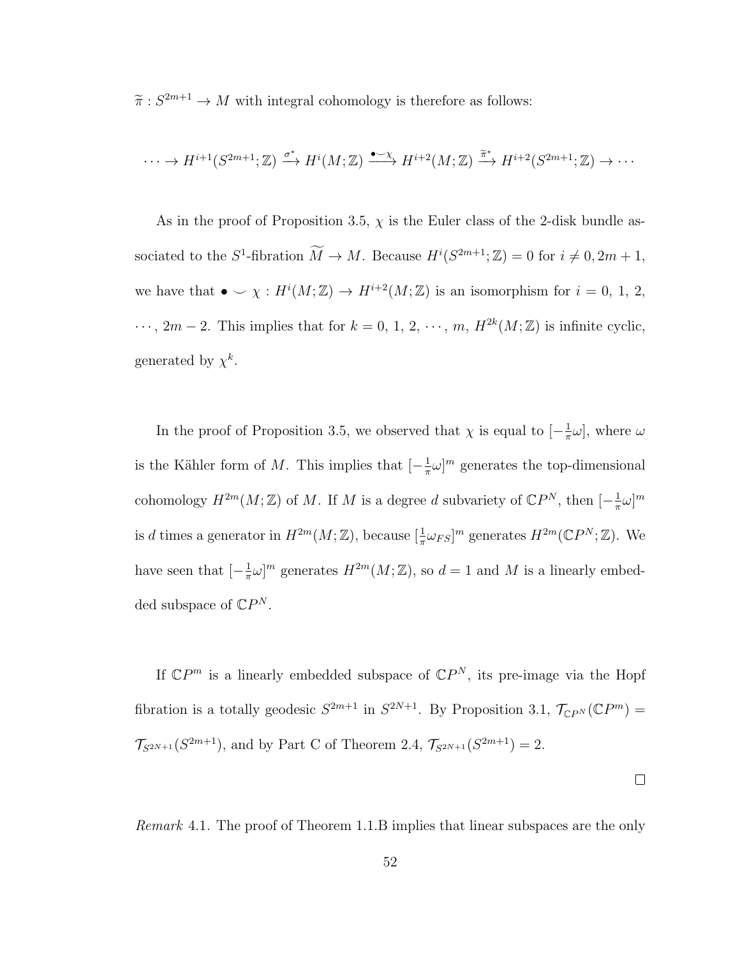$\widetilde{\pi}: S^{2m+1} \to M$  with integral cohomology is therefore as follows:

$$
\cdots \to H^{i+1}(S^{2m+1};\mathbb{Z}) \xrightarrow{\sigma^*} H^i(M;\mathbb{Z}) \xrightarrow{\bullet \sim \chi} H^{i+2}(M;\mathbb{Z}) \xrightarrow{\widetilde{\pi}^*} H^{i+2}(S^{2m+1};\mathbb{Z}) \to \cdots
$$

As in the proof of Proposition 3.5,  $\chi$  is the Euler class of the 2-disk bundle associated to the  $S^1$ -fibration  $\widetilde{M} \to M$ . Because  $H^i(S^{2m+1}; \mathbb{Z}) = 0$  for  $i \neq 0, 2m + 1$ , we have that  $\bullet \smile \chi : H^i(M; \mathbb{Z}) \to H^{i+2}(M; \mathbb{Z})$  is an isomorphism for  $i = 0, 1, 2$ ,  $\cdots$ ,  $2m-2$ . This implies that for  $k=0, 1, 2, \cdots, m$ ,  $H^{2k}(M;\mathbb{Z})$  is infinite cyclic, generated by  $\chi^k$ .

In the proof of Proposition 3.5, we observed that  $\chi$  is equal to  $\left[-\frac{1}{\pi}\right]$  $\frac{1}{\pi}\omega$ , where  $\omega$ is the Kähler form of M. This implies that  $\left[-\frac{1}{\pi}\right]$  $\frac{1}{\pi}\omega$ <sup>m</sup> generates the top-dimensional cohomology  $H^{2m}(M;\mathbb{Z})$  of M. If M is a degree d subvariety of  $\mathbb{C}P^N$ , then  $[-\frac{1}{\pi}]$  $\frac{1}{\pi}\omega]^m$ is d times a generator in  $H^{2m}(M;\mathbb{Z})$ , because  $[\frac{1}{\pi}\omega_{FS}]^m$  generates  $H^{2m}(\mathbb{C}P^N;\mathbb{Z})$ . We have seen that  $\left[-\frac{1}{\pi}\right]$  $\frac{1}{\pi}\omega\right]^m$  generates  $H^{2m}(M;\mathbb{Z})$ , so  $d=1$  and M is a linearly embedded subspace of  $\mathbb{C}P^N$ .

If  $\mathbb{C}P^m$  is a linearly embedded subspace of  $\mathbb{C}P^N$ , its pre-image via the Hopf fibration is a totally geodesic  $S^{2m+1}$  in  $S^{2N+1}$ . By Proposition 3.1,  $\mathcal{T}_{\mathbb{C}P^N}(\mathbb{C}P^m)$  =  $\mathcal{T}_{S^{2N+1}}(S^{2m+1}),$  and by Part C of Theorem 2.4,  $\mathcal{T}_{S^{2N+1}}(S^{2m+1})=2$ .

 $\Box$ 

Remark 4.1. The proof of Theorem 1.1.B implies that linear subspaces are the only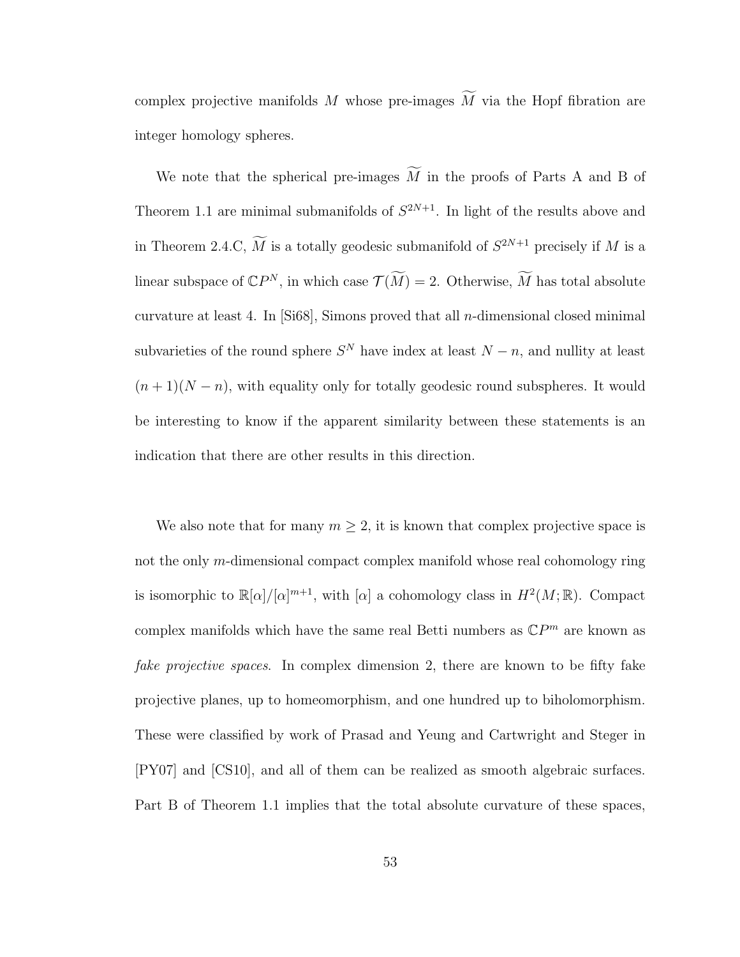complex projective manifolds M whose pre-images  $\widetilde{M}$  via the Hopf fibration are integer homology spheres.

We note that the spherical pre-images  $\widetilde{M}$  in the proofs of Parts A and B of Theorem 1.1 are minimal submanifolds of  $S^{2N+1}$ . In light of the results above and in Theorem 2.4.C,  $\overline{M}$  is a totally geodesic submanifold of  $S^{2N+1}$  precisely if M is a linear subspace of  $\mathbb{C}P^N$ , in which case  $\mathcal{T}(\widetilde{M}) = 2$ . Otherwise,  $\widetilde{M}$  has total absolute curvature at least 4. In  $[Si68]$ , Simons proved that all *n*-dimensional closed minimal subvarieties of the round sphere  $S<sup>N</sup>$  have index at least  $N-n$ , and nullity at least  $(n+1)(N-n)$ , with equality only for totally geodesic round subspheres. It would be interesting to know if the apparent similarity between these statements is an indication that there are other results in this direction.

We also note that for many  $m \geq 2$ , it is known that complex projective space is not the only m-dimensional compact complex manifold whose real cohomology ring is isomorphic to  $\mathbb{R}[\alpha]/[\alpha]^{m+1}$ , with  $[\alpha]$  a cohomology class in  $H^2(M;\mathbb{R})$ . Compact complex manifolds which have the same real Betti numbers as  $\mathbb{C}P^m$  are known as fake projective spaces. In complex dimension 2, there are known to be fifty fake projective planes, up to homeomorphism, and one hundred up to biholomorphism. These were classified by work of Prasad and Yeung and Cartwright and Steger in [PY07] and [CS10], and all of them can be realized as smooth algebraic surfaces. Part B of Theorem 1.1 implies that the total absolute curvature of these spaces,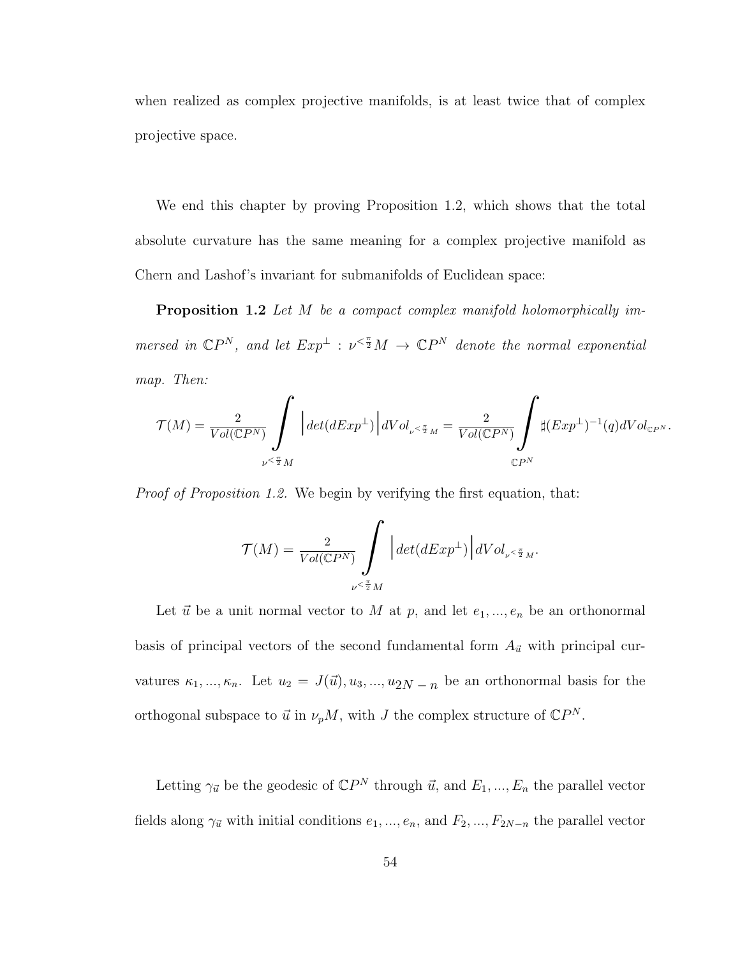when realized as complex projective manifolds, is at least twice that of complex projective space.

We end this chapter by proving Proposition 1.2, which shows that the total absolute curvature has the same meaning for a complex projective manifold as Chern and Lashof's invariant for submanifolds of Euclidean space:

Proposition 1.2 Let M be a compact complex manifold holomorphically immersed in  $\mathbb{C}P^N$ , and let  $Exp^{\perp} : \nu^{\leq \frac{\pi}{2}}M \to \mathbb{C}P^N$  denote the normal exponential map. Then:

$$
\mathcal{T}(M)=\frac{2}{Vol(\mathbb{C} P^N)}\mathop{\int}_{\nu^{\leq \frac{\pi}{2}M}}\left|\det(dExp^\perp)\right|dVol_{\nu^{\leq \frac{\pi}{2}M}}=\frac{2}{Vol(\mathbb{C} P^N)}\mathop{\int}_{\mathbb{C} P^N}\sharp (Exp^\perp)^{-1}(q)dVol_{\mathbb{C} P^N}.
$$

Proof of Proposition 1.2. We begin by verifying the first equation, that:

$$
\mathcal{T}(M)=\frac{2}{Vol(\mathbb{C} P^N)}\int\limits_{\nu^{\leq \frac{\pi}{2}}M}\Big|det(dExp^{\perp})\Big|dVol_{\nu^{\leq \frac{\pi}{2}}M}.
$$

Let  $\vec{u}$  be a unit normal vector to M at p, and let  $e_1, ..., e_n$  be an orthonormal basis of principal vectors of the second fundamental form  $A_{\vec{u}}$  with principal curvatures  $\kappa_1, ..., \kappa_n$ . Let  $u_2 = J(\vec{u}), u_3, ..., u_{2N-n}$  be an orthonormal basis for the orthogonal subspace to  $\vec{u}$  in  $\nu_p M$ , with J the complex structure of  $\mathbb{C}P^N$ .

Letting  $\gamma_{\vec{u}}$  be the geodesic of  $\mathbb{C}P^N$  through  $\vec{u}$ , and  $E_1, ..., E_n$  the parallel vector fields along  $\gamma_{\vec{u}}$  with initial conditions  $e_1, ..., e_n$ , and  $F_2, ..., F_{2N-n}$  the parallel vector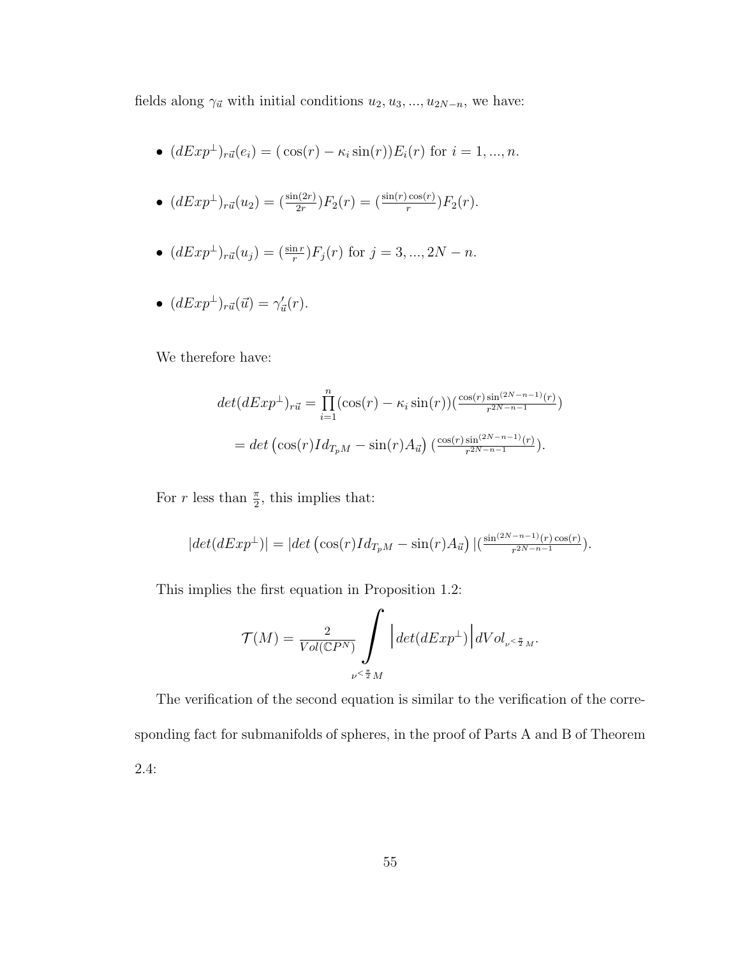fields along  $\gamma_{\vec{u}}$  with initial conditions  $u_2, u_3, ..., u_{2N-n}$ , we have:

- $(dExp^{\perp})_{r\vec{u}}(e_i) = (\cos(r) \kappa_i \sin(r))E_i(r)$  for  $i = 1, ..., n$ .
- $(dExp^{\perp})_{r\vec{u}}(u_2) = \frac{\sin(2r)}{2r}F_2(r) = \frac{\sin(r)\cos(r)}{r}F_2(r).$
- $(dExp^{\perp})_{r\vec{u}}(u_j) = \frac{\sin r}{r} F_j(r)$  for  $j = 3, ..., 2N n$ .
- $(dExp^{\perp})_{r\vec{u}}(\vec{u}) = \gamma'_{\vec{u}}(r)$ .

We therefore have:

$$
det(dExp^{\perp})_{r\vec{u}} = \prod_{i=1}^{n} (\cos(r) - \kappa_i \sin(r))(\frac{\cos(r)\sin^{(2N-n-1)}(r)}{r^{2N-n-1}})
$$
  
= det  $(\cos(r)Id_{T_pM} - \sin(r)A_{\vec{u}})(\frac{\cos(r)\sin^{(2N-n-1)}(r)}{r^{2N-n-1}}).$ 

For r less than  $\frac{\pi}{2}$ , this implies that:

$$
|det(dExp^{\perp})| = |det\left(\cos(r)Id_{T_pM} - \sin(r)A_{\vec{u}}\right)|\left(\frac{\sin^{(2N-n-1)}(r)\cos(r)}{r^{2N-n-1}}\right).
$$

This implies the first equation in Proposition 1.2:

$$
\mathcal{T}(M) = \frac{2}{Vol(\mathbb{C}P^N)} \int \limits_{\nu \leq \frac{\pi}{2}M} \Big| det(dExp^{\perp}) \Big| dVol_{\nu \leq \frac{\pi}{2}M}.
$$

The verification of the second equation is similar to the verification of the corresponding fact for submanifolds of spheres, in the proof of Parts A and B of Theorem 2.4: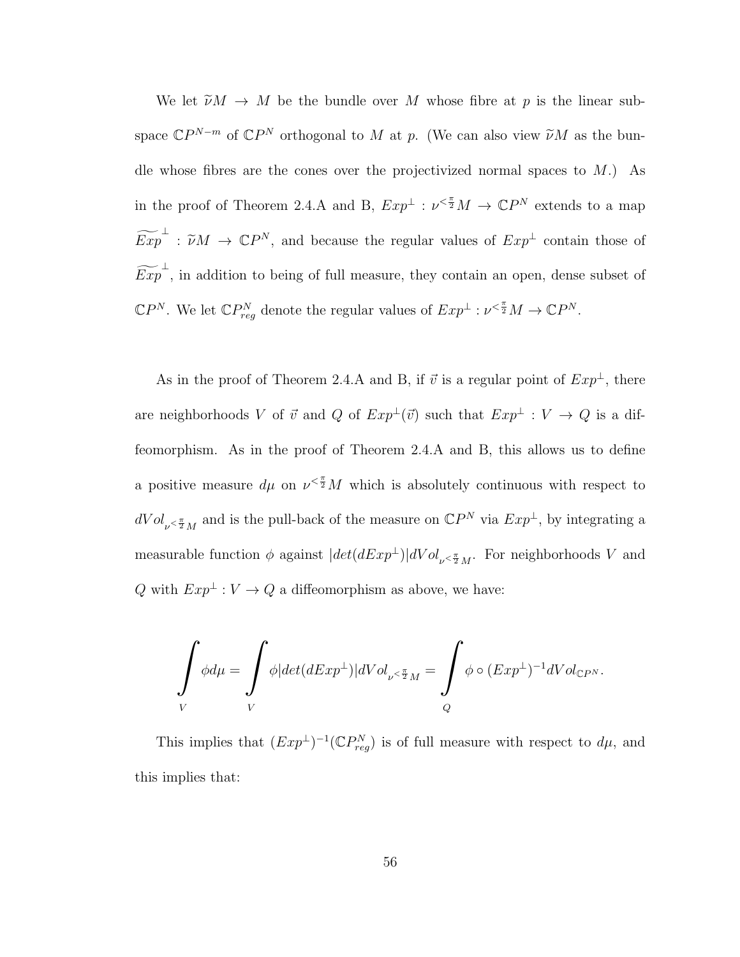We let  $\widetilde{\nu}M \to M$  be the bundle over M whose fibre at p is the linear subspace  $\mathbb{C}P^{N-m}$  of  $\mathbb{C}P^N$  orthogonal to M at p. (We can also view  $\widetilde{\nu}M$  as the bundle whose fibres are the cones over the projectivized normal spaces to  $M$ .) As in the proof of Theorem 2.4.A and B,  $Exp^{\perp} : \nu^{\leq \frac{\pi}{2}}M \to \mathbb{C}P^N$  extends to a map  $\widetilde{Exp}^{\perp}$ :  $\widetilde{\nu}M \to \mathbb{C}P^N$ , and because the regular values of  $Exp^{\perp}$  contain those of  $\widetilde{Exp}^{\perp}$ , in addition to being of full measure, they contain an open, dense subset of  $\mathbb{C}P^N$ . We let  $\mathbb{C}P_{reg}^N$  denote the regular values of  $Exp^{\perp} : \nu^{\leq \frac{\pi}{2}}M \to \mathbb{C}P^N$ .

As in the proof of Theorem 2.4.A and B, if  $\vec{v}$  is a regular point of  $Exp^{\perp}$ , there are neighborhoods V of  $\vec{v}$  and Q of  $Exp^{\perp}(\vec{v})$  such that  $Exp^{\perp} : V \to Q$  is a diffeomorphism. As in the proof of Theorem 2.4.A and B, this allows us to define a positive measure  $d\mu$  on  $\nu^{\leq \frac{\pi}{2}}M$  which is absolutely continuous with respect to  $dVol_{\nu \leq \frac{\pi}{2}M}$  and is the pull-back of the measure on  $\mathbb{C}P^N$  via  $Exp^{\perp}$ , by integrating a measurable function  $\phi$  against  $|det(dExp^{\perp})|dVol_{\nu \leq \frac{\pi}{2}M}$ . For neighborhoods V and Q with  $Exp^{\perp}: V \to Q$  a diffeomorphism as above, we have:

$$
\int\limits_V \phi d\mu = \int\limits_V \phi |det(dExp^{\perp})| dVol_{\nu \leq \frac{\pi}{2}M} = \int\limits_Q \phi \circ (Exp^{\perp})^{-1} dVol_{\mathbb{C}P^N}.
$$

This implies that  $(Exp^{\perp})^{-1}( \mathbb{C}P_{reg}^{N})$  is of full measure with respect to  $d\mu$ , and this implies that: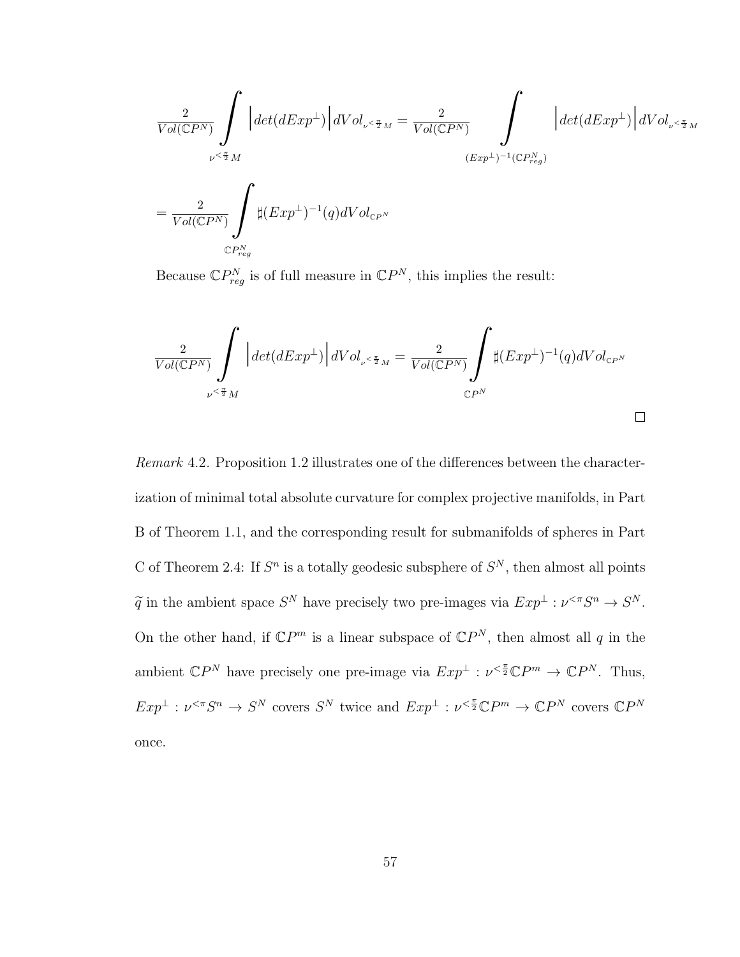$$
\begin{split} &\frac{2}{Vol(\mathbb{C}P^N)}\int\limits_{\nu\leq\frac{\pi}{2}M}\Big|det(dExp^\perp)\Big|dVol_{\nu^{\ltimes\frac{\pi}{2}M}}=\frac{2}{Vol(\mathbb{C}P^N)}\int\limits_{(Exp^\perp)^{-1}(\mathbb{C}P^N_{reg})}\Big|dVol_{\nu^{\ltimes\frac{\pi}{2}M}}\\ &=\frac{2}{Vol(\mathbb{C}P^N)}\int\limits_{\mathbb{C}P^N_{reg}}\sharp(Exp^\perp)^{-1}(q)dVol_{\mathbb{C}P^N}\end{split}
$$

Because  $\mathbb{C}P_{reg}^{N}$  is of full measure in  $\mathbb{C}P^{N}$ , this implies the result:

$$
\frac{2}{Vol(\mathbb{C}P^N)}\int\limits_{\nu\leq\frac{\pi}{2}M}\Big|det(dExp^{\perp})\Big|dVol_{\nu\leq\frac{\pi}{2}M}=\frac{2}{Vol(\mathbb{C}P^N)}\int\limits_{\mathbb{C}P^N}\sharp(Exp^{\perp})^{-1}(q)dVol_{\mathbb{C}P^N}
$$

Remark 4.2. Proposition 1.2 illustrates one of the differences between the characterization of minimal total absolute curvature for complex projective manifolds, in Part B of Theorem 1.1, and the corresponding result for submanifolds of spheres in Part C of Theorem 2.4: If  $S<sup>n</sup>$  is a totally geodesic subsphere of  $S<sup>N</sup>$ , then almost all points  $\tilde{q}$  in the ambient space  $S^N$  have precisely two pre-images via  $Exp^{\perp} : \nu^{\ltq \pi} S^n \to S^N$ . On the other hand, if  $\mathbb{C}P^m$  is a linear subspace of  $\mathbb{C}P^N$ , then almost all q in the ambient  $\mathbb{C}P^N$  have precisely one pre-image via  $Exp^{\perp} : \nu^{\leq \frac{\pi}{2}} \mathbb{C}P^m \to \mathbb{C}P^N$ . Thus,  $Exp^{\perp} : \nu^{<\pi}S^n \to S^N$  covers  $S^N$  twice and  $Exp^{\perp} : \nu^{<\frac{\pi}{2}}\mathbb{C}P^m \to \mathbb{C}P^N$  covers  $\mathbb{C}P^N$ once.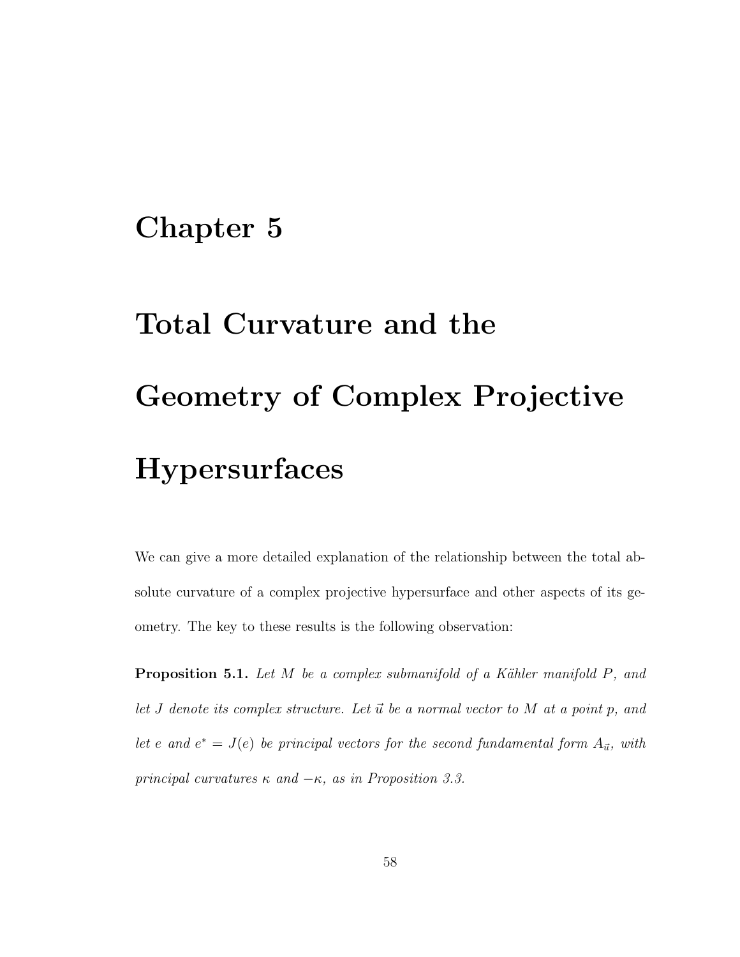## Chapter 5

## Total Curvature and the Geometry of Complex Projective **Hypersurfaces**

We can give a more detailed explanation of the relationship between the total absolute curvature of a complex projective hypersurface and other aspects of its geometry. The key to these results is the following observation:

**Proposition 5.1.** Let  $M$  be a complex submanifold of a Kähler manifold  $P$ , and let  $J$  denote its complex structure. Let  $\vec{u}$  be a normal vector to  $M$  at a point  $p$ , and let e and  $e^* = J(e)$  be principal vectors for the second fundamental form  $A_{\vec{u}}$ , with principal curvatures  $\kappa$  and  $-\kappa$ , as in Proposition 3.3.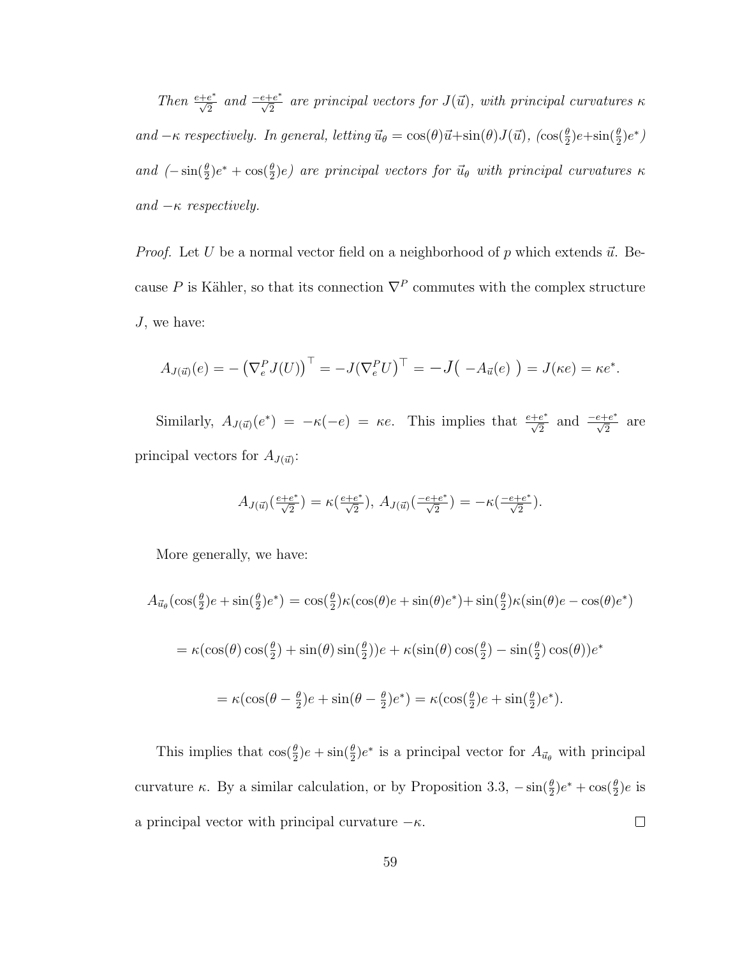Then  $\frac{e+e^*}{\sqrt{2}}$  and  $\frac{-e+e^*}{\sqrt{2}}$  are principal vectors for  $J(\vec{u})$ , with principal curvatures  $\kappa$ and  $-\kappa$  respectively. In general, letting  $\vec{u}_{\theta} = \cos(\theta)\vec{u} + \sin(\theta)J(\vec{u})$ ,  $(\cos(\frac{\theta}{2})e + \sin(\frac{\theta}{2})e^*)$ and  $(-\sin(\frac{\theta}{2})e^* + \cos(\frac{\theta}{2})e)$  are principal vectors for  $\vec{u}_{\theta}$  with principal curvatures  $\kappa$ and  $-\kappa$  respectively.

*Proof.* Let U be a normal vector field on a neighborhood of p which extends  $\vec{u}$ . Because P is Kähler, so that its connection  $\nabla^P$  commutes with the complex structure J, we have:

$$
A_{J(\vec{u})}(e) = -(\nabla_e^P J(U))^\top = -J(\nabla_e^P U)^\top = -J(-A_{\vec{u}}(e)) = J(\kappa e) = \kappa e^*.
$$

Similarly,  $A_{J(\vec{u})}(e^*) = -\kappa(-e) = \kappa e$ . This implies that  $\frac{e+e^*}{\sqrt{2}}$  and  $\frac{-e+e^*}{\sqrt{2}}$  are principal vectors for  $A_{J(\vec{u})}$ :

$$
A_{J(\vec{u})}\left(\frac{e+e^*}{\sqrt{2}}\right) = \kappa\left(\frac{e+e^*}{\sqrt{2}}\right), \ A_{J(\vec{u})}\left(\frac{-e+e^*}{\sqrt{2}}\right) = -\kappa\left(\frac{-e+e^*}{\sqrt{2}}\right).
$$

More generally, we have:

$$
A_{\vec{u}_{\theta}}(\cos(\frac{\theta}{2})e + \sin(\frac{\theta}{2})e^*) = \cos(\frac{\theta}{2})\kappa(\cos(\theta)e + \sin(\theta)e^*) + \sin(\frac{\theta}{2})\kappa(\sin(\theta)e - \cos(\theta)e^*)
$$
  

$$
= \kappa(\cos(\theta)\cos(\frac{\theta}{2}) + \sin(\theta)\sin(\frac{\theta}{2}))e + \kappa(\sin(\theta)\cos(\frac{\theta}{2}) - \sin(\frac{\theta}{2})\cos(\theta))e^*
$$
  

$$
= \kappa(\cos(\theta - \frac{\theta}{2})e + \sin(\theta - \frac{\theta}{2})e^*) = \kappa(\cos(\frac{\theta}{2})e + \sin(\frac{\theta}{2})e^*).
$$

This implies that  $\cos(\frac{\theta}{2})e + \sin(\frac{\theta}{2})e^*$  is a principal vector for  $A_{\vec{u}_{\theta}}$  with principal curvature  $\kappa$ . By a similar calculation, or by Proposition 3.3,  $-\sin(\frac{\theta}{2})e^* + \cos(\frac{\theta}{2})e$  is a principal vector with principal curvature  $-\kappa$ .  $\Box$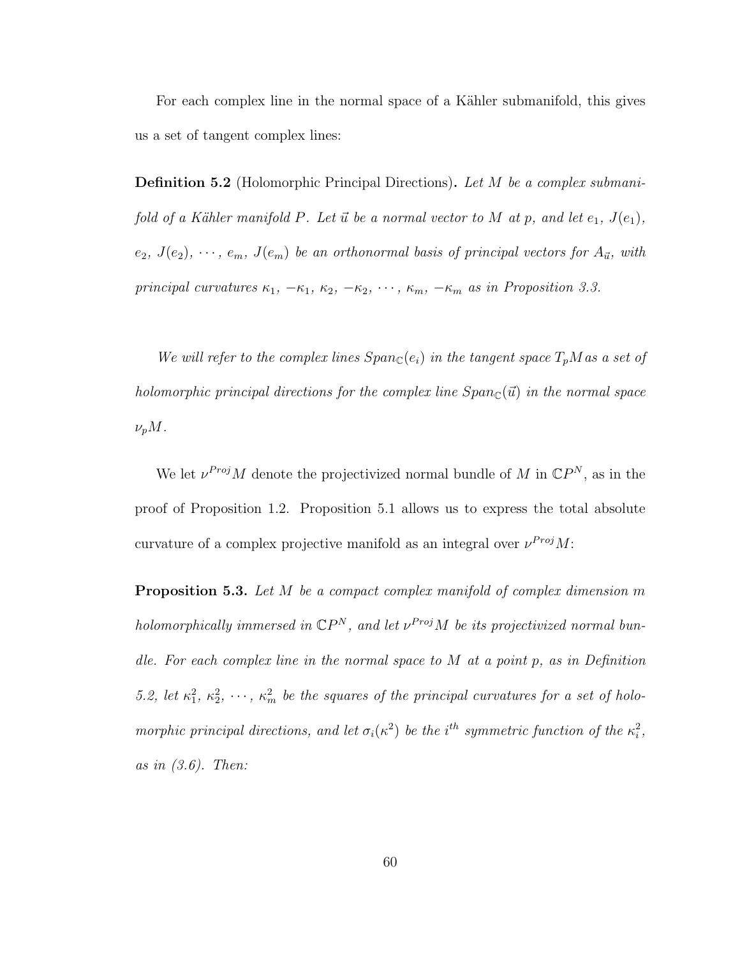For each complex line in the normal space of a Kähler submanifold, this gives us a set of tangent complex lines:

**Definition 5.2** (Holomorphic Principal Directions). Let M be a complex submanifold of a Kähler manifold P. Let  $\vec{u}$  be a normal vector to M at p, and let  $e_1$ ,  $J(e_1)$ ,  $e_2, J(e_2), \cdots, e_m, J(e_m)$  be an orthonormal basis of principal vectors for  $A_{\vec{u}},$  with principal curvatures  $\kappa_1$ ,  $-\kappa_1$ ,  $\kappa_2$ ,  $-\kappa_2$ ,  $\cdots$ ,  $\kappa_m$ ,  $-\kappa_m$  as in Proposition 3.3.

We will refer to the complex lines  $Span_{\mathbb{C}}(e_i)$  in the tangent space  $T_pM$  as a set of holomorphic principal directions for the complex line  $Span_{\mathbb{C}}(\vec{u})$  in the normal space  $\nu_p M$ .

We let  $\nu^{Proj} M$  denote the projectivized normal bundle of M in  $\mathbb{C}P^N$ , as in the proof of Proposition 1.2. Proposition 5.1 allows us to express the total absolute curvature of a complex projective manifold as an integral over  $\nu^{Proj} M$ :

Proposition 5.3. Let M be a compact complex manifold of complex dimension m holomorphically immersed in  $\mathbb{C}P^N$ , and let  $\nu^{Proj}M$  be its projectivized normal bundle. For each complex line in the normal space to  $M$  at a point  $p$ , as in Definition 5.2, let  $\kappa_1^2, \kappa_2^2, \cdots, \kappa_m^2$  be the squares of the principal curvatures for a set of holomorphic principal directions, and let  $\sigma_i(\kappa^2)$  be the i<sup>th</sup> symmetric function of the  $\kappa_i^2$ , as in  $(3.6)$ . Then: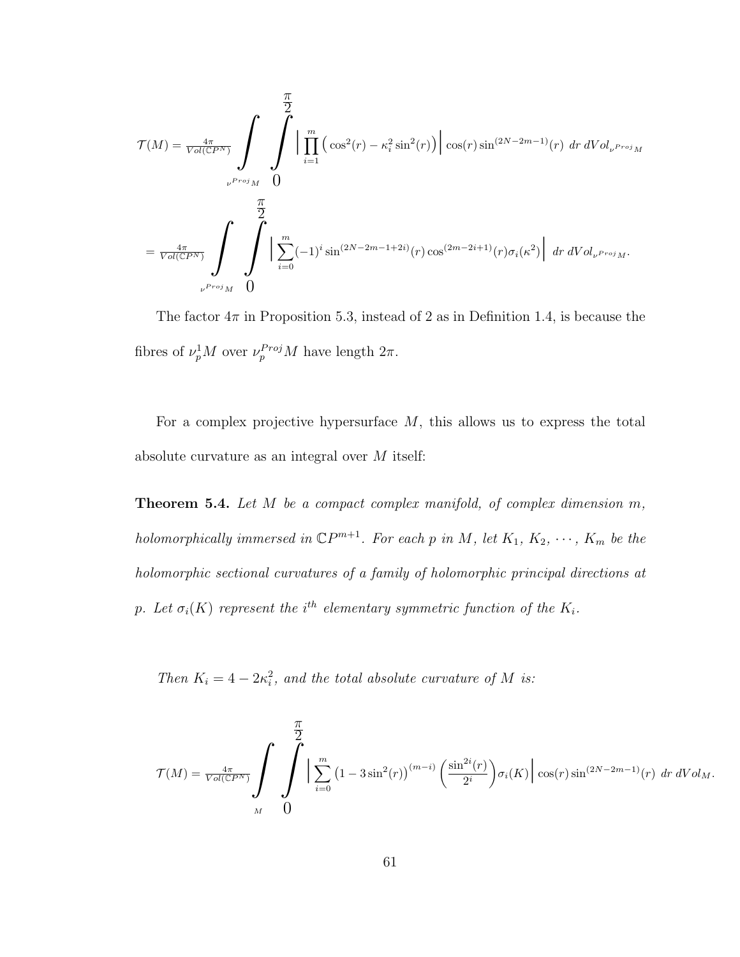$$
\mathcal{T}(M) = \frac{4\pi}{Vol(\mathbb{C}P^N)} \int \int \int \prod_{i=1}^m \left( \cos^2(r) - \kappa_i^2 \sin^2(r) \right) \cos(r) \sin^{(2N-2m-1)}(r) \, dr \, dVol_{\nu^{Proj} M} \n= \frac{4\pi}{Vol(\mathbb{C}P^N)} \int \int \int \prod_{i=0}^m (-1)^i \sin^{(2N-2m-1+2i)}(r) \cos^{(2m-2i+1)}(r) \sigma_i(\kappa^2) \, dr \, dVol_{\nu^{Proj} M}.
$$

The factor  $4\pi$  in Proposition 5.3, instead of 2 as in Definition 1.4, is because the fibres of  $\nu_p^1 M$  over  $\nu_p^{Proj} M$  have length  $2\pi$ .

For a complex projective hypersurface  $M$ , this allows us to express the total absolute curvature as an integral over M itself:

Theorem 5.4. Let M be a compact complex manifold, of complex dimension m, holomorphically immersed in  $\mathbb{C}P^{m+1}$ . For each p in M, let  $K_1, K_2, \cdots, K_m$  be the holomorphic sectional curvatures of a family of holomorphic principal directions at p. Let  $\sigma_i(K)$  represent the i<sup>th</sup> elementary symmetric function of the  $K_i$ .

Then  $K_i = 4 - 2\kappa_i^2$ , and the total absolute curvature of M is:

$$
\mathcal{T}(M) = \frac{4\pi}{Vol(\mathbb{C}P^N)} \int \int \int \sum_{i=0}^m \left(1 - 3\sin^2(r)\right)^{(m-i)} \left(\frac{\sin^{2i}(r)}{2^i}\right) \sigma_i(K) \, \Big| \, \cos(r) \sin^{(2N-2m-1)}(r) \, dr \, dVol_M.
$$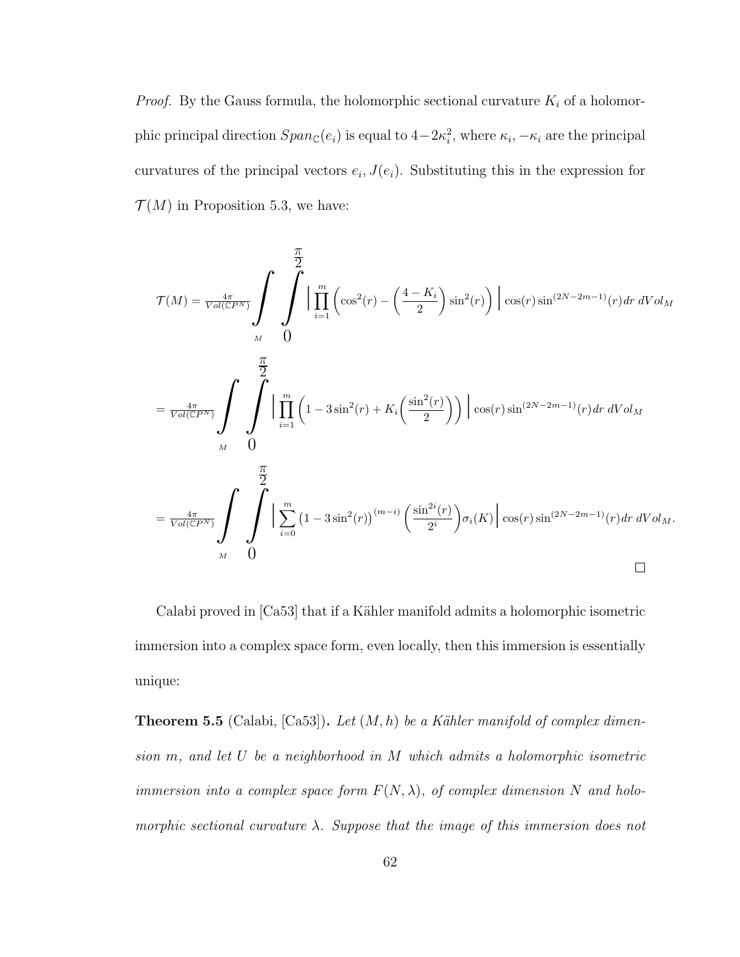*Proof.* By the Gauss formula, the holomorphic sectional curvature  $K_i$  of a holomorphic principal direction  $Span_{\mathbb{C}}(e_i)$  is equal to  $4-2\kappa_i^2$ , where  $\kappa_i, -\kappa_i$  are the principal curvatures of the principal vectors  $e_i$ ,  $J(e_i)$ . Substituting this in the expression for  $\mathcal{T}(M)$  in Proposition 5.3, we have:

$$
\mathcal{T}(M) = \frac{4\pi}{\text{Vol}(CP^N)} \int_{M} \int_{0}^{\frac{\pi}{2}} \left| \prod_{i=1}^{m} \left( \cos^2(r) - \left( \frac{4 - K_i}{2} \right) \sin^2(r) \right) \right| \cos(r) \sin^{(2N - 2m - 1)}(r) dr dVol_M
$$
  
\n
$$
= \frac{4\pi}{\text{Vol}(CP^N)} \int_{M} \int_{0}^{\frac{\pi}{2}} \left| \prod_{i=1}^{m} \left( 1 - 3 \sin^2(r) + K_i \left( \frac{\sin^2(r)}{2} \right) \right) \right| \cos(r) \sin^{(2N - 2m - 1)}(r) dr dVol_M
$$
  
\n
$$
= \frac{4\pi}{\text{Vol}(CP^N)} \int_{M} \int_{0}^{\frac{\pi}{2}} \left| \sum_{i=0}^{m} \left( 1 - 3 \sin^2(r) \right)^{(m-i)} \left( \frac{\sin^{2i}(r)}{2^i} \right) \sigma_i(K) \right| \cos(r) \sin^{(2N - 2m - 1)}(r) dr dVol_M.
$$

Calabi proved in [Ca53] that if a Kähler manifold admits a holomorphic isometric immersion into a complex space form, even locally, then this immersion is essentially unique:

**Theorem 5.5** (Calabi, [Ca53]). Let  $(M, h)$  be a Kähler manifold of complex dimension m, and let U be a neighborhood in M which admits a holomorphic isometric immersion into a complex space form  $F(N, \lambda)$ , of complex dimension N and holomorphic sectional curvature  $\lambda$ . Suppose that the image of this immersion does not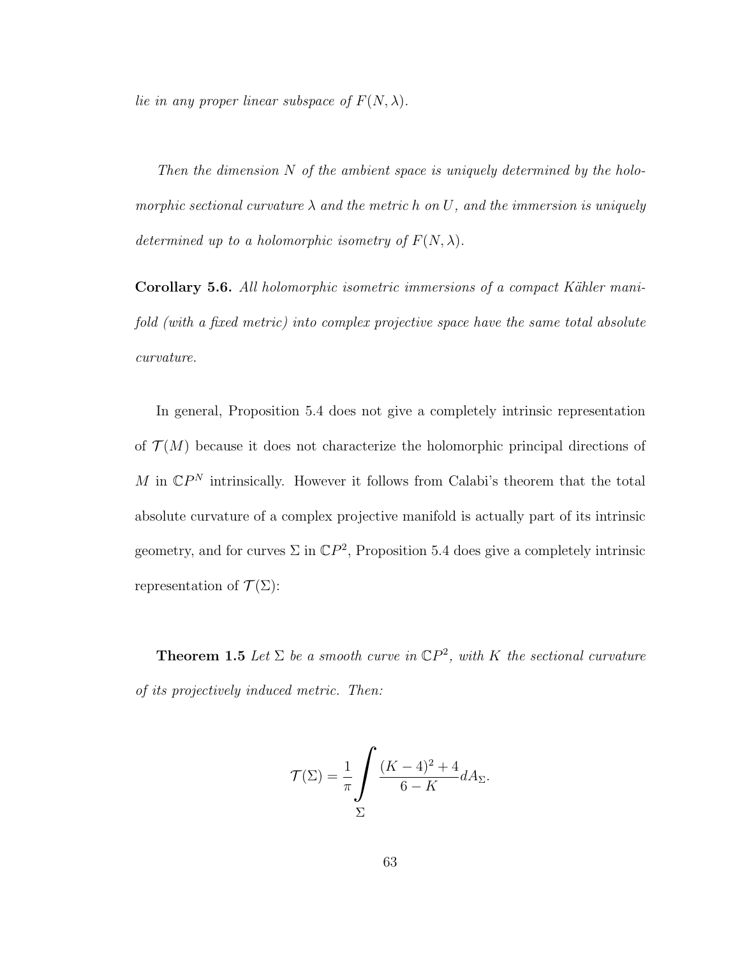lie in any proper linear subspace of  $F(N, \lambda)$ .

Then the dimension  $N$  of the ambient space is uniquely determined by the holomorphic sectional curvature  $\lambda$  and the metric h on U, and the immersion is uniquely determined up to a holomorphic isometry of  $F(N, \lambda)$ .

Corollary 5.6. All holomorphic isometric immersions of a compact Kähler manifold (with a fixed metric) into complex projective space have the same total absolute curvature.

In general, Proposition 5.4 does not give a completely intrinsic representation of  $\mathcal{T}(M)$  because it does not characterize the holomorphic principal directions of M in  $\mathbb{C}P^N$  intrinsically. However it follows from Calabi's theorem that the total absolute curvature of a complex projective manifold is actually part of its intrinsic geometry, and for curves  $\Sigma$  in  $\mathbb{C}P^2$ , Proposition 5.4 does give a completely intrinsic representation of  $\mathcal{T}(\Sigma)$ :

**Theorem 1.5** Let  $\Sigma$  be a smooth curve in  $\mathbb{C}P^2$ , with K the sectional curvature of its projectively induced metric. Then:

$$
\mathcal{T}(\Sigma) = \frac{1}{\pi} \int \frac{(K-4)^2 + 4}{6 - K} dA_{\Sigma}.
$$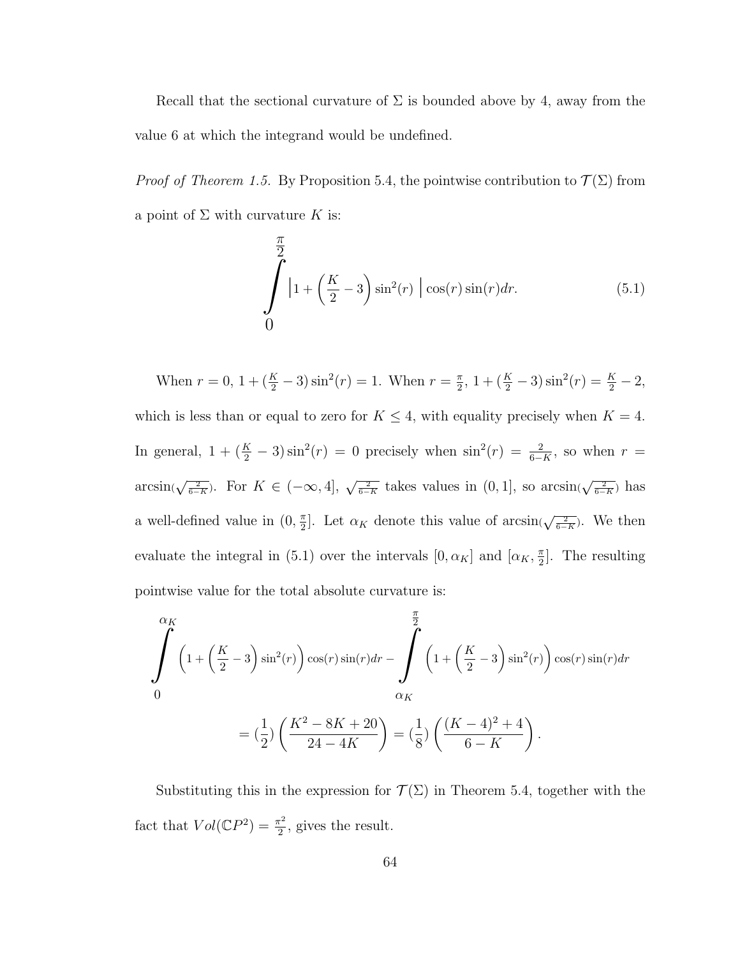Recall that the sectional curvature of  $\Sigma$  is bounded above by 4, away from the value 6 at which the integrand would be undefined.

*Proof of Theorem 1.5.* By Proposition 5.4, the pointwise contribution to  $\mathcal{T}(\Sigma)$  from a point of  $\Sigma$  with curvature K is:

$$
\int_{0}^{\frac{\pi}{2}} \left| 1 + \left(\frac{K}{2} - 3\right) \sin^2(r) \right| \cos(r) \sin(r) dr.
$$
 (5.1)

When  $r = 0$ ,  $1 + (\frac{K}{2} - 3) \sin^2(r) = 1$ . When  $r = \frac{\pi}{2}$  $\frac{\pi}{2}$ , 1 +  $(\frac{K}{2} - 3) \sin^2(r) = \frac{K}{2} - 2$ , which is less than or equal to zero for  $K \leq 4$ , with equality precisely when  $K = 4$ . In general,  $1 + (\frac{K}{2} - 3) \sin^2(r) = 0$  precisely when  $\sin^2(r) = \frac{2}{6-K}$ , so when  $r =$  $arcsin(\sqrt{\frac{2}{6-K}})$ . For  $K \in (-\infty, 4]$ ,  $\sqrt{\frac{2}{6-K}}$  takes values in  $(0, 1]$ , so  $arcsin(\sqrt{\frac{2}{6-K}})$  has a well-defined value in  $(0, \frac{\pi}{2})$  $\frac{\pi}{2}$ . Let  $\alpha_K$  denote this value of  $\arcsin(\sqrt{\frac{2}{6-K}})$ . We then evaluate the integral in (5.1) over the intervals  $[0, \alpha_K]$  and  $[\alpha_K, \frac{\pi}{2}]$  $\frac{\pi}{2}$ . The resulting pointwise value for the total absolute curvature is:

$$
\int_{0}^{\alpha_{K}} \left(1 + \left(\frac{K}{2} - 3\right)\sin^{2}(r)\right)\cos(r)\sin(r)dr - \int_{\alpha_{K}}^{\frac{\pi}{2}} \left(1 + \left(\frac{K}{2} - 3\right)\sin^{2}(r)\right)\cos(r)\sin(r)dr
$$

$$
= \left(\frac{1}{2}\right)\left(\frac{K^{2} - 8K + 20}{24 - 4K}\right) = \left(\frac{1}{8}\right)\left(\frac{(K - 4)^{2} + 4}{6 - K}\right).
$$

Substituting this in the expression for  $\mathcal{T}(\Sigma)$  in Theorem 5.4, together with the fact that  $Vol(\mathbb{C}P^2) = \frac{\pi^2}{2}$  $\frac{\pi^2}{2}$ , gives the result.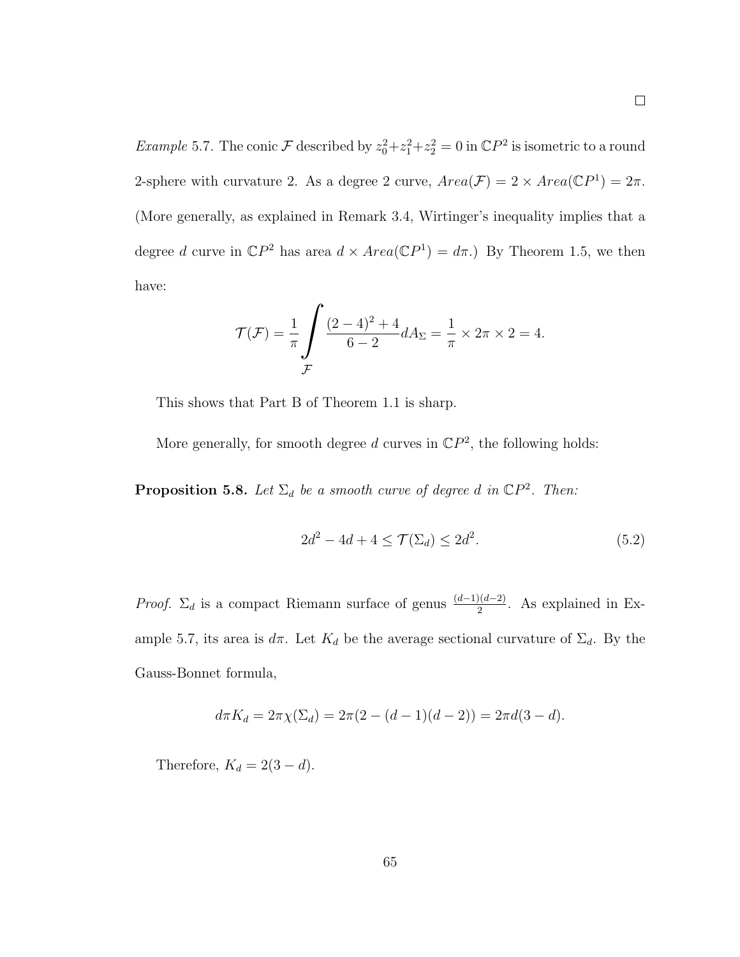*Example* 5.7. The conic  $\mathcal F$  described by  $z_0^2 + z_1^2 + z_2^2 = 0$  in  $\mathbb{C}P^2$  is isometric to a round 2-sphere with curvature 2. As a degree 2 curve,  $Area(\mathcal{F}) = 2 \times Area(\mathbb{C}P^1) = 2\pi$ . (More generally, as explained in Remark 3.4, Wirtinger's inequality implies that a degree d curve in  $\mathbb{C}P^2$  has area  $d \times Area(\mathbb{C}P^1) = d\pi$ .) By Theorem 1.5, we then have:

$$
\mathcal{T}(\mathcal{F}) = \frac{1}{\pi} \int \frac{(2-4)^2 + 4}{6-2} dA_{\Sigma} = \frac{1}{\pi} \times 2\pi \times 2 = 4.
$$

This shows that Part B of Theorem 1.1 is sharp.

More generally, for smooth degree d curves in  $\mathbb{C}P^2$ , the following holds:

**Proposition 5.8.** Let  $\Sigma_d$  be a smooth curve of degree d in  $\mathbb{C}P^2$ . Then:

$$
2d^2 - 4d + 4 \le \mathcal{T}(\Sigma_d) \le 2d^2. \tag{5.2}
$$

*Proof.*  $\Sigma_d$  is a compact Riemann surface of genus  $\frac{(d-1)(d-2)}{2}$ . As explained in Example 5.7, its area is  $d\pi$ . Let  $K_d$  be the average sectional curvature of  $\Sigma_d$ . By the Gauss-Bonnet formula,

$$
d\pi K_d = 2\pi \chi(\Sigma_d) = 2\pi (2 - (d-1)(d-2)) = 2\pi d(3-d).
$$

Therefore,  $K_d = 2(3 - d)$ .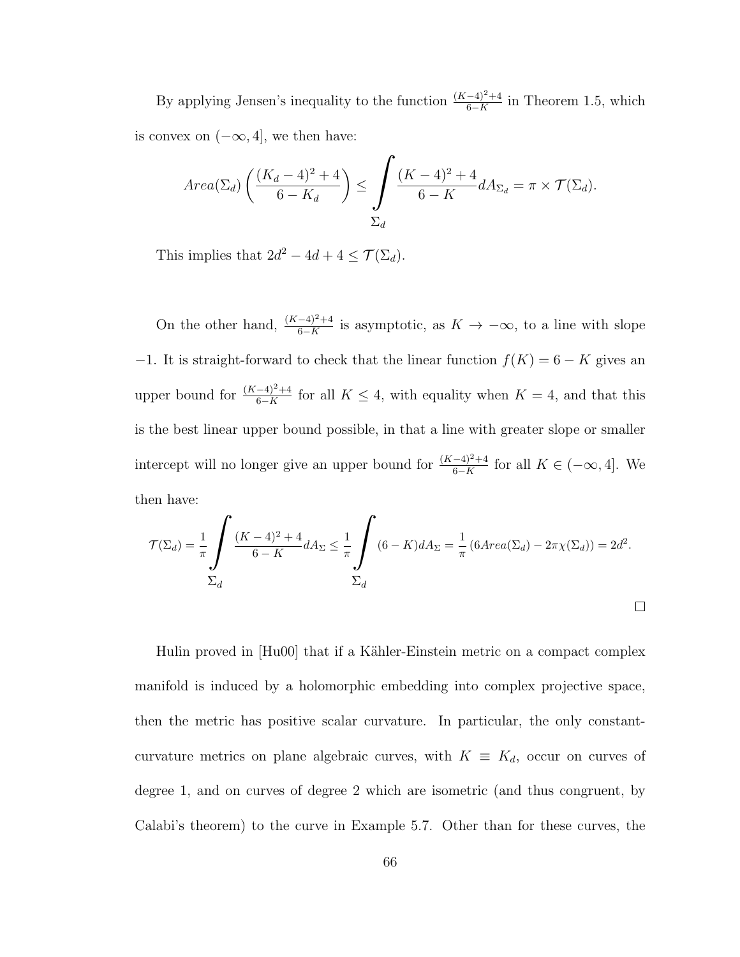By applying Jensen's inequality to the function  $\frac{(K-4)^2+4}{6-K}$  in Theorem 1.5, which is convex on  $(-\infty, 4]$ , we then have:

$$
Area(\Sigma_d) \left( \frac{(K_d - 4)^2 + 4}{6 - K_d} \right) \le \int \frac{(K - 4)^2 + 4}{6 - K} dA_{\Sigma_d} = \pi \times \mathcal{T}(\Sigma_d).
$$

This implies that  $2d^2 - 4d + 4 \leq \mathcal{T}(\Sigma_d)$ .

On the other hand,  $\frac{(K-4)^2+4}{6-K}$  is asymptotic, as  $K \to -\infty$ , to a line with slope −1. It is straight-forward to check that the linear function  $f(K) = 6 - K$  gives an upper bound for  $\frac{(K-4)^2+4}{6-K}$  for all  $K \leq 4$ , with equality when  $K = 4$ , and that this is the best linear upper bound possible, in that a line with greater slope or smaller intercept will no longer give an upper bound for  $\frac{(K-4)^2+4}{6-K}$  for all  $K \in (-\infty, 4]$ . We then have:

$$
\mathcal{T}(\Sigma_d) = \frac{1}{\pi} \int \frac{(K-4)^2 + 4}{6-K} dA_\Sigma \le \frac{1}{\pi} \int \left(6 - K\right) dA_\Sigma = \frac{1}{\pi} \left(6 \operatorname{Area}(\Sigma_d) - 2\pi \chi(\Sigma_d)\right) = 2d^2.
$$
  

$$
\Sigma_d
$$

Hulin proved in [Hu00] that if a Kähler-Einstein metric on a compact complex manifold is induced by a holomorphic embedding into complex projective space, then the metric has positive scalar curvature. In particular, the only constantcurvature metrics on plane algebraic curves, with  $K \equiv K_d$ , occur on curves of degree 1, and on curves of degree 2 which are isometric (and thus congruent, by Calabi's theorem) to the curve in Example 5.7. Other than for these curves, the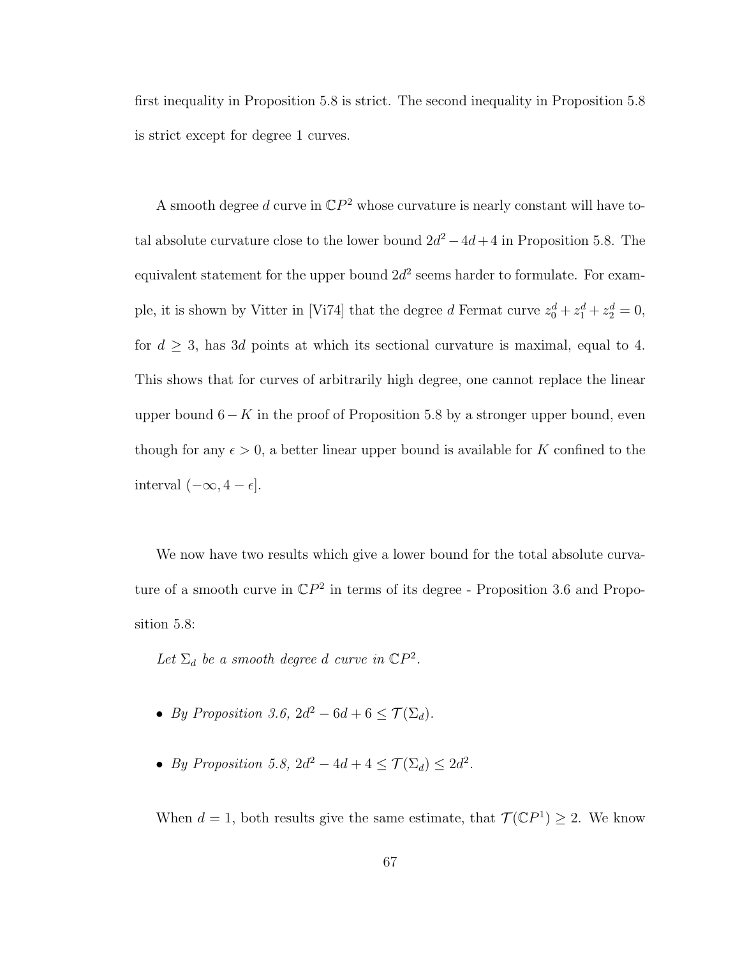first inequality in Proposition 5.8 is strict. The second inequality in Proposition 5.8 is strict except for degree 1 curves.

A smooth degree d curve in  $\mathbb{C}P^2$  whose curvature is nearly constant will have total absolute curvature close to the lower bound  $2d^2 - 4d + 4$  in Proposition 5.8. The equivalent statement for the upper bound  $2d^2$  seems harder to formulate. For example, it is shown by Vitter in [Vi74] that the degree d Fermat curve  $z_0^d + z_1^d + z_2^d = 0$ , for  $d \geq 3$ , has 3d points at which its sectional curvature is maximal, equal to 4. This shows that for curves of arbitrarily high degree, one cannot replace the linear upper bound  $6-K$  in the proof of Proposition 5.8 by a stronger upper bound, even though for any  $\epsilon > 0$ , a better linear upper bound is available for K confined to the interval  $(-\infty, 4 - \epsilon]$ .

We now have two results which give a lower bound for the total absolute curvature of a smooth curve in  $\mathbb{C}P^2$  in terms of its degree - Proposition 3.6 and Proposition 5.8:

Let  $\Sigma_d$  be a smooth degree d curve in  $\mathbb{C}P^2$ .

- By Proposition 3.6,  $2d^2 6d + 6 \leq \mathcal{T}(\Sigma_d)$ .
- By Proposition 5.8,  $2d^2 4d + 4 \leq \mathcal{T}(\Sigma_d) \leq 2d^2$ .

When  $d = 1$ , both results give the same estimate, that  $\mathcal{T}(\mathbb{C}P^1) \geq 2$ . We know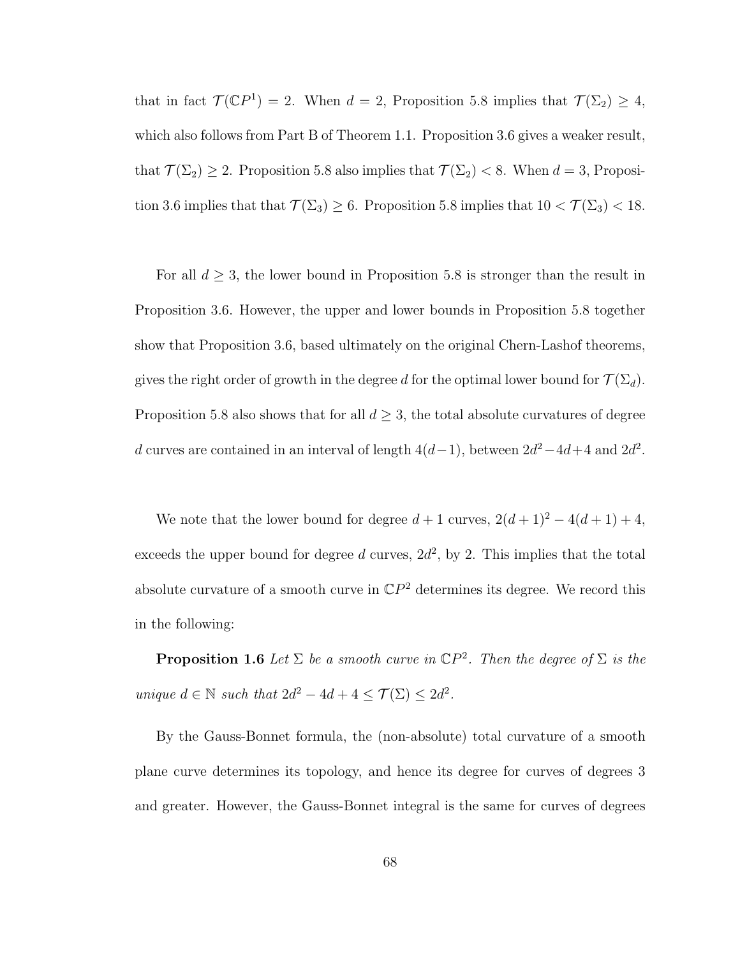that in fact  $\mathcal{T}(\mathbb{C}P^1) = 2$ . When  $d = 2$ , Proposition 5.8 implies that  $\mathcal{T}(\Sigma_2) \geq 4$ , which also follows from Part B of Theorem 1.1. Proposition 3.6 gives a weaker result, that  $\mathcal{T}(\Sigma_2) \geq 2$ . Proposition 5.8 also implies that  $\mathcal{T}(\Sigma_2) < 8$ . When  $d = 3$ , Proposition 3.6 implies that that  $\mathcal{T}(\Sigma_3) \ge 6$ . Proposition 5.8 implies that  $10 < \mathcal{T}(\Sigma_3) < 18$ .

For all  $d \geq 3$ , the lower bound in Proposition 5.8 is stronger than the result in Proposition 3.6. However, the upper and lower bounds in Proposition 5.8 together show that Proposition 3.6, based ultimately on the original Chern-Lashof theorems, gives the right order of growth in the degree d for the optimal lower bound for  $\mathcal{T}(\Sigma_d)$ . Proposition 5.8 also shows that for all  $d \geq 3$ , the total absolute curvatures of degree d curves are contained in an interval of length  $4(d-1)$ , between  $2d^2-4d+4$  and  $2d^2$ .

We note that the lower bound for degree  $d + 1$  curves,  $2(d+1)^2 - 4(d+1) + 4$ , exceeds the upper bound for degree  $d$  curves,  $2d^2$ , by 2. This implies that the total absolute curvature of a smooth curve in  $\mathbb{C}P^2$  determines its degree. We record this in the following:

**Proposition 1.6** Let  $\Sigma$  be a smooth curve in  $\mathbb{C}P^2$ . Then the degree of  $\Sigma$  is the unique  $d \in \mathbb{N}$  such that  $2d^2 - 4d + 4 \leq \mathcal{T}(\Sigma) \leq 2d^2$ .

By the Gauss-Bonnet formula, the (non-absolute) total curvature of a smooth plane curve determines its topology, and hence its degree for curves of degrees 3 and greater. However, the Gauss-Bonnet integral is the same for curves of degrees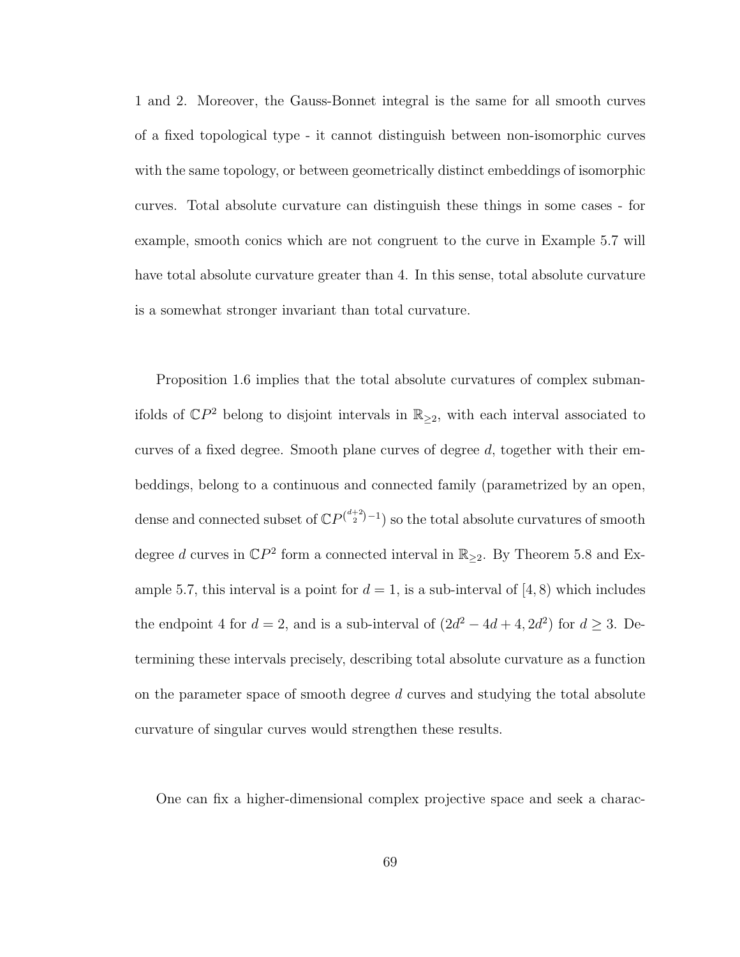1 and 2. Moreover, the Gauss-Bonnet integral is the same for all smooth curves of a fixed topological type - it cannot distinguish between non-isomorphic curves with the same topology, or between geometrically distinct embeddings of isomorphic curves. Total absolute curvature can distinguish these things in some cases - for example, smooth conics which are not congruent to the curve in Example 5.7 will have total absolute curvature greater than 4. In this sense, total absolute curvature is a somewhat stronger invariant than total curvature.

Proposition 1.6 implies that the total absolute curvatures of complex submanifolds of  $\mathbb{C}P^2$  belong to disjoint intervals in  $\mathbb{R}_{\geq 2}$ , with each interval associated to curves of a fixed degree. Smooth plane curves of degree  $d$ , together with their embeddings, belong to a continuous and connected family (parametrized by an open, dense and connected subset of  $\mathbb{C}P^{\binom{d+2}{2}-1}$  so the total absolute curvatures of smooth degree d curves in  $\mathbb{C}P^2$  form a connected interval in  $\mathbb{R}_{\geq 2}$ . By Theorem 5.8 and Example 5.7, this interval is a point for  $d = 1$ , is a sub-interval of [4, 8) which includes the endpoint 4 for  $d = 2$ , and is a sub-interval of  $(2d^2 - 4d + 4, 2d^2)$  for  $d \ge 3$ . Determining these intervals precisely, describing total absolute curvature as a function on the parameter space of smooth degree  $d$  curves and studying the total absolute curvature of singular curves would strengthen these results.

One can fix a higher-dimensional complex projective space and seek a charac-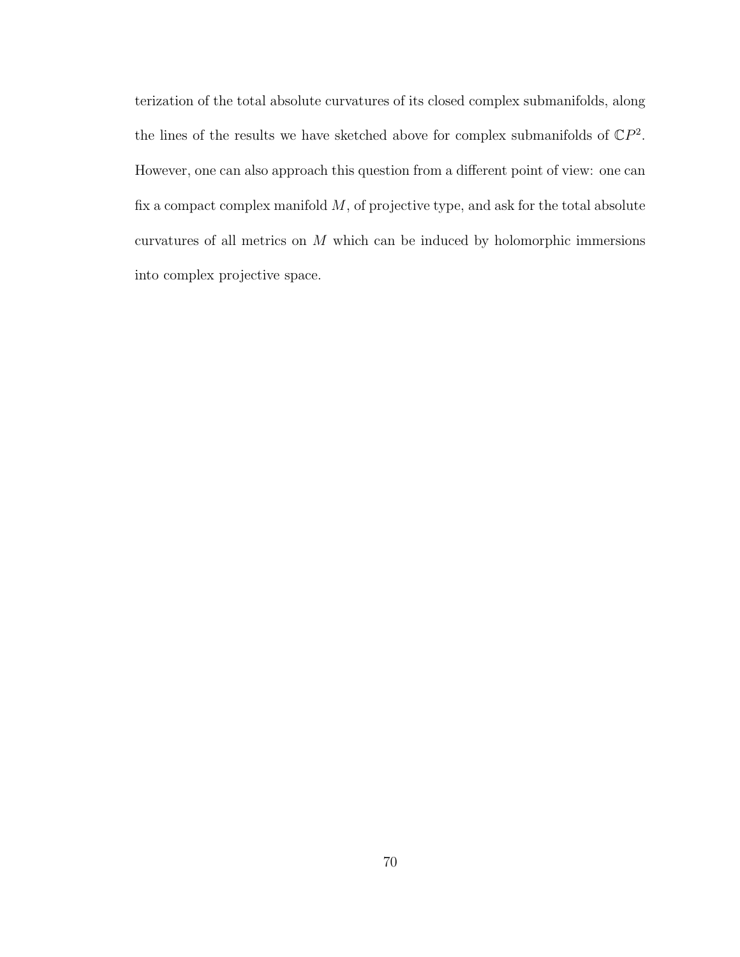terization of the total absolute curvatures of its closed complex submanifolds, along the lines of the results we have sketched above for complex submanifolds of  $\mathbb{C}P^2$ . However, one can also approach this question from a different point of view: one can fix a compact complex manifold  $M$ , of projective type, and ask for the total absolute curvatures of all metrics on M which can be induced by holomorphic immersions into complex projective space.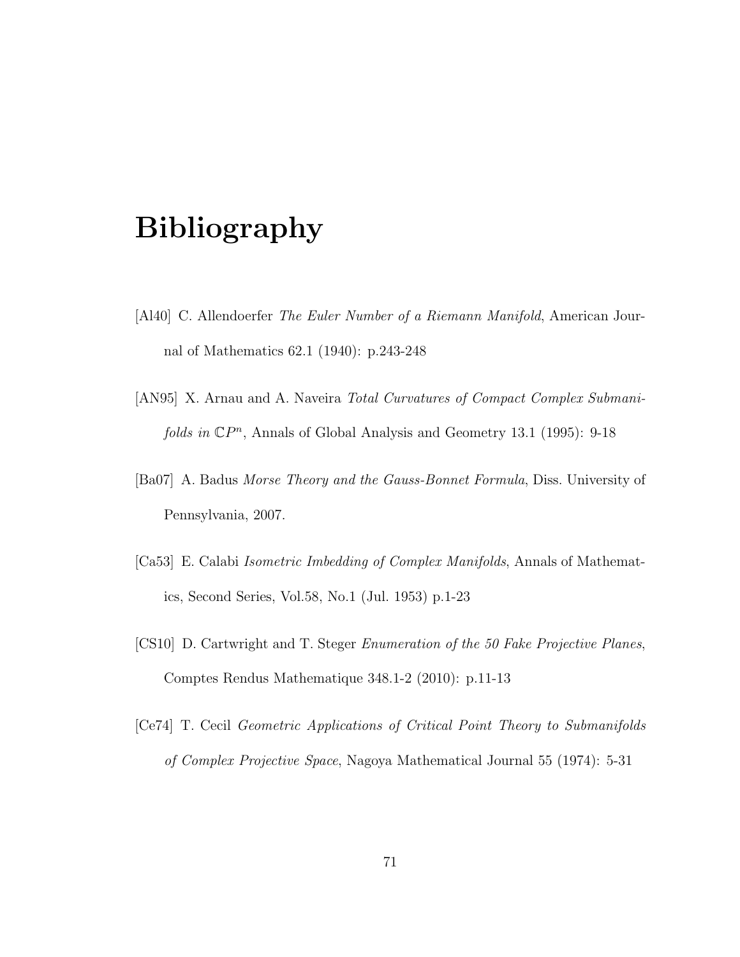## Bibliography

- [Al40] C. Allendoerfer The Euler Number of a Riemann Manifold, American Journal of Mathematics 62.1 (1940): p.243-248
- [AN95] X. Arnau and A. Naveira Total Curvatures of Compact Complex Submanifolds in  $\mathbb{C}P^n$ , Annals of Global Analysis and Geometry 13.1 (1995): 9-18
- [Ba07] A. Badus Morse Theory and the Gauss-Bonnet Formula, Diss. University of Pennsylvania, 2007.
- [Ca53] E. Calabi Isometric Imbedding of Complex Manifolds, Annals of Mathematics, Second Series, Vol.58, No.1 (Jul. 1953) p.1-23
- [CS10] D. Cartwright and T. Steger Enumeration of the 50 Fake Projective Planes, Comptes Rendus Mathematique 348.1-2 (2010): p.11-13
- [Ce74] T. Cecil Geometric Applications of Critical Point Theory to Submanifolds of Complex Projective Space, Nagoya Mathematical Journal 55 (1974): 5-31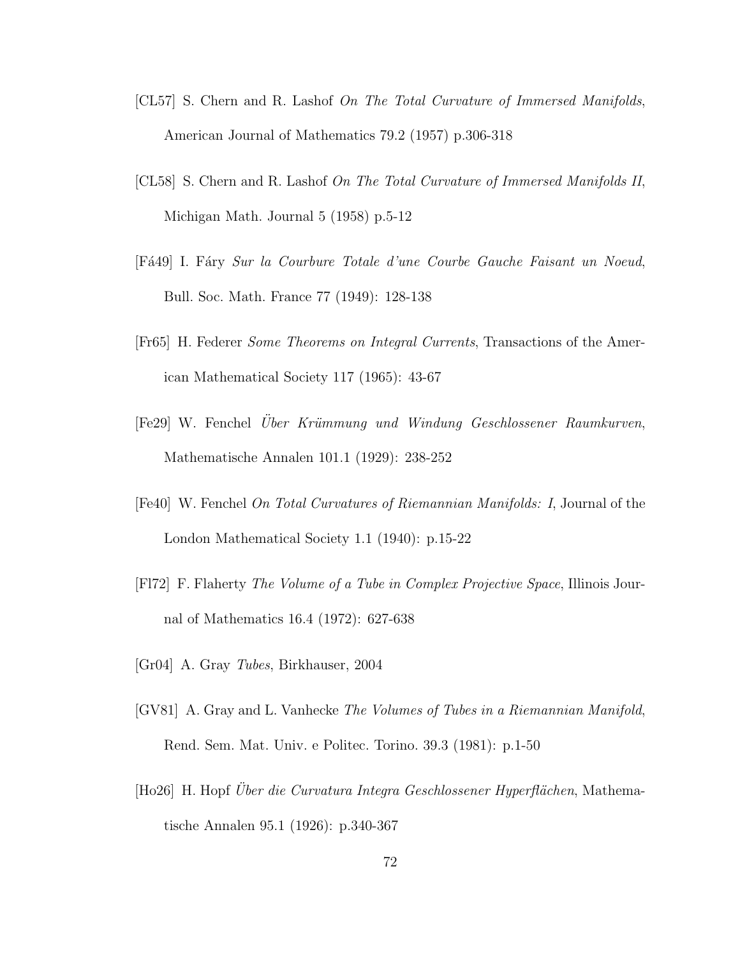- [CL57] S. Chern and R. Lashof On The Total Curvature of Immersed Manifolds, American Journal of Mathematics 79.2 (1957) p.306-318
- [CL58] S. Chern and R. Lashof On The Total Curvature of Immersed Manifolds II, Michigan Math. Journal 5 (1958) p.5-12
- [Fá49] I. Fáry Sur la Courbure Totale d'une Courbe Gauche Faisant un Noeud, Bull. Soc. Math. France 77 (1949): 128-138
- [Fr65] H. Federer Some Theorems on Integral Currents, Transactions of the American Mathematical Society 117 (1965): 43-67
- [Fe29] W. Fenchel Uber Krümmung und Windung Geschlossener Raumkurven, Mathematische Annalen 101.1 (1929): 238-252
- [Fe40] W. Fenchel On Total Curvatures of Riemannian Manifolds: I, Journal of the London Mathematical Society 1.1 (1940): p.15-22
- [Fl72] F. Flaherty The Volume of a Tube in Complex Projective Space, Illinois Journal of Mathematics 16.4 (1972): 627-638
- [Gr04] A. Gray Tubes, Birkhauser, 2004
- [GV81] A. Gray and L. Vanhecke The Volumes of Tubes in a Riemannian Manifold, Rend. Sem. Mat. Univ. e Politec. Torino. 39.3 (1981): p.1-50
- [Ho26] H. Hopf Über die Curvatura Integra Geschlossener Hyperflächen, Mathematische Annalen 95.1 (1926): p.340-367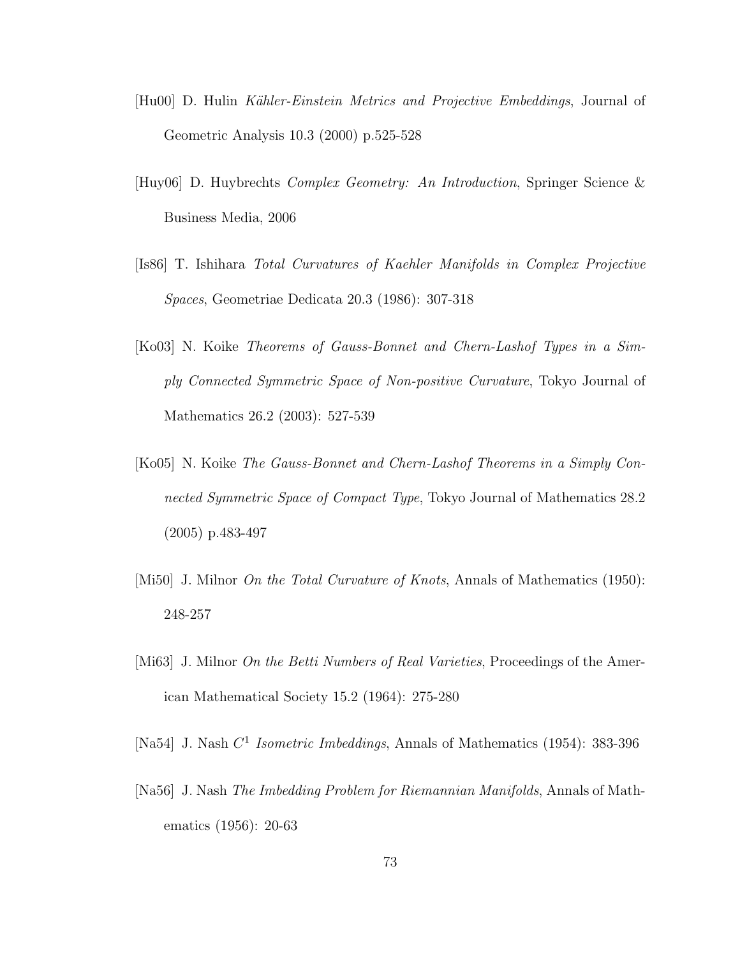- [Hu00] D. Hulin Kähler-Einstein Metrics and Projective Embeddings, Journal of Geometric Analysis 10.3 (2000) p.525-528
- [Huy06] D. Huybrechts Complex Geometry: An Introduction, Springer Science & Business Media, 2006
- [Is86] T. Ishihara Total Curvatures of Kaehler Manifolds in Complex Projective Spaces, Geometriae Dedicata 20.3 (1986): 307-318
- [Ko03] N. Koike Theorems of Gauss-Bonnet and Chern-Lashof Types in a Simply Connected Symmetric Space of Non-positive Curvature, Tokyo Journal of Mathematics 26.2 (2003): 527-539
- [Ko05] N. Koike The Gauss-Bonnet and Chern-Lashof Theorems in a Simply Connected Symmetric Space of Compact Type, Tokyo Journal of Mathematics 28.2 (2005) p.483-497
- [Mi50] J. Milnor *On the Total Curvature of Knots*, Annals of Mathematics (1950): 248-257
- [Mi63] J. Milnor *On the Betti Numbers of Real Varieties*, Proceedings of the American Mathematical Society 15.2 (1964): 275-280
- [Na54] J. Nash  $C^1$  *Isometric Imbeddings*, Annals of Mathematics (1954): 383-396
- [Na56] J. Nash The Imbedding Problem for Riemannian Manifolds, Annals of Mathematics (1956): 20-63